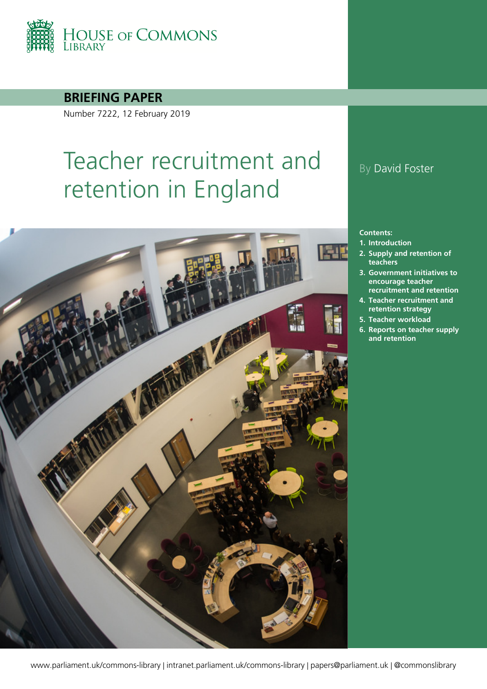

**BRIEFING PAPER**

Number 7222, 12 February 2019

# Teacher recruitment and retention in England



#### By David Foster

#### **Contents:**

- **1. [Introduction](#page-5-0)**
- **2. [Supply and retention of](#page-7-0)  [teachers](#page-7-0)**
- **3. [Government initiatives to](#page-16-0)  [encourage teacher](#page-16-0)  [recruitment and retention](#page-16-0)**
- **4. [Teacher recruitment and](#page-28-0)  [retention strategy](#page-28-0)**
- **5. [Teacher workload](#page-33-0)**
- **6. [Reports on teacher supply](#page-39-0)  [and retention](#page-39-0)**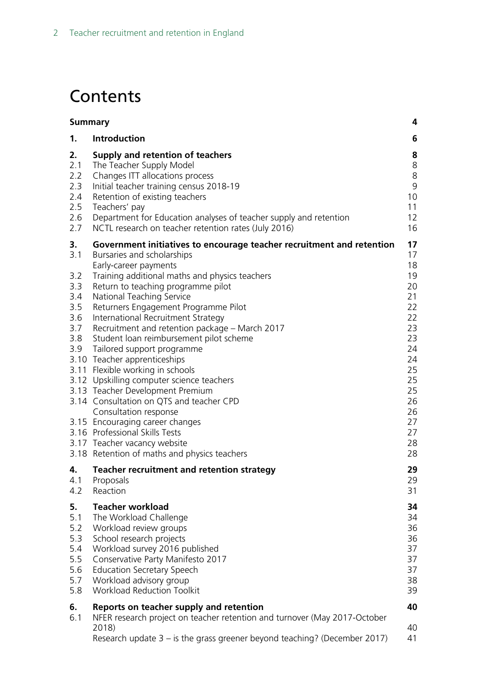## **Contents**

| <b>Summary</b>                                             |                                                                                                                                                                                                                                                                                                                                                                                                                                                                                                                                                                                                                                                                                                                                    | 4                                                                                                              |
|------------------------------------------------------------|------------------------------------------------------------------------------------------------------------------------------------------------------------------------------------------------------------------------------------------------------------------------------------------------------------------------------------------------------------------------------------------------------------------------------------------------------------------------------------------------------------------------------------------------------------------------------------------------------------------------------------------------------------------------------------------------------------------------------------|----------------------------------------------------------------------------------------------------------------|
| 1.                                                         | <b>Introduction</b>                                                                                                                                                                                                                                                                                                                                                                                                                                                                                                                                                                                                                                                                                                                | 6                                                                                                              |
| 2.<br>2.1<br>2.2<br>2.3<br>2.4<br>2.5<br>2.6<br>2.7        | Supply and retention of teachers<br>The Teacher Supply Model<br>Changes ITT allocations process<br>Initial teacher training census 2018-19<br>Retention of existing teachers<br>Teachers' pay<br>Department for Education analyses of teacher supply and retention<br>NCTL research on teacher retention rates (July 2016)                                                                                                                                                                                                                                                                                                                                                                                                         | 8<br>8<br>8<br>9<br>10<br>11<br>12<br>16                                                                       |
| 3.<br>3.1                                                  | Government initiatives to encourage teacher recruitment and retention<br>Bursaries and scholarships                                                                                                                                                                                                                                                                                                                                                                                                                                                                                                                                                                                                                                | 17<br>17                                                                                                       |
| 3.2<br>3.3<br>3.4<br>3.5<br>3.6<br>3.7<br>3.8<br>3.9       | Early-career payments<br>Training additional maths and physics teachers<br>Return to teaching programme pilot<br>National Teaching Service<br>Returners Engagement Programme Pilot<br>International Recruitment Strategy<br>Recruitment and retention package - March 2017<br>Student loan reimbursement pilot scheme<br>Tailored support programme<br>3.10 Teacher apprenticeships<br>3.11 Flexible working in schools<br>3.12 Upskilling computer science teachers<br>3.13 Teacher Development Premium<br>3.14 Consultation on QTS and teacher CPD<br>Consultation response<br>3.15 Encouraging career changes<br>3.16 Professional Skills Tests<br>3.17 Teacher vacancy website<br>3.18 Retention of maths and physics teachers | 18<br>19<br>20<br>21<br>22<br>22<br>23<br>23<br>24<br>24<br>25<br>25<br>25<br>26<br>26<br>27<br>27<br>28<br>28 |
| 4.<br>4.1<br>4.2                                           | Teacher recruitment and retention strategy<br>Proposals<br>Reaction                                                                                                                                                                                                                                                                                                                                                                                                                                                                                                                                                                                                                                                                | 29<br>29<br>31                                                                                                 |
| 5.<br>5.1<br>5.2<br>5.3<br>5.4<br>5.5<br>5.6<br>5.7<br>5.8 | <b>Teacher workload</b><br>The Workload Challenge<br>Workload review groups<br>School research projects<br>Workload survey 2016 published<br>Conservative Party Manifesto 2017<br><b>Education Secretary Speech</b><br>Workload advisory group<br><b>Workload Reduction Toolkit</b>                                                                                                                                                                                                                                                                                                                                                                                                                                                | 34<br>34<br>36<br>36<br>37<br>37<br>37<br>38<br>39                                                             |
| 6.                                                         | Reports on teacher supply and retention                                                                                                                                                                                                                                                                                                                                                                                                                                                                                                                                                                                                                                                                                            | 40                                                                                                             |
| 6.1                                                        | NFER research project on teacher retention and turnover (May 2017-October<br>2018)<br>Research update $3 - i$ s the grass greener beyond teaching? (December 2017)                                                                                                                                                                                                                                                                                                                                                                                                                                                                                                                                                                 | 40<br>41                                                                                                       |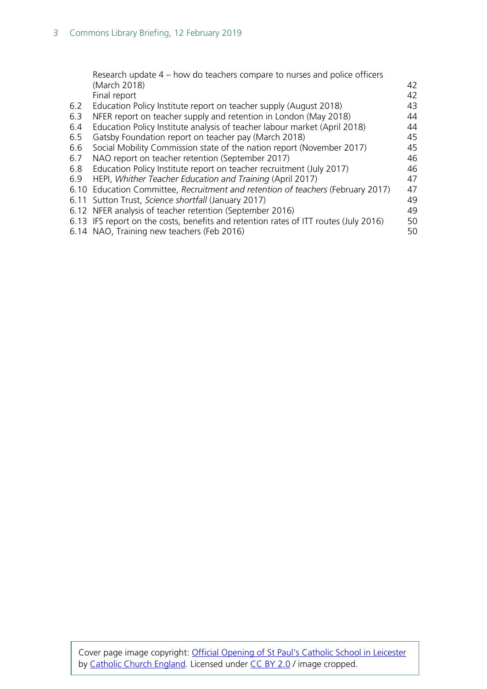|      | Research update 4 – how do teachers compare to nurses and police officers            |    |
|------|--------------------------------------------------------------------------------------|----|
|      | (March 2018)                                                                         | 42 |
|      | Final report                                                                         | 42 |
| 6.2  | Education Policy Institute report on teacher supply (August 2018)                    | 43 |
| 6.3  | NFER report on teacher supply and retention in London (May 2018)                     | 44 |
| 6.4  | Education Policy Institute analysis of teacher labour market (April 2018)            | 44 |
| 6.5  | Gatsby Foundation report on teacher pay (March 2018)                                 | 45 |
| 6.6  | Social Mobility Commission state of the nation report (November 2017)                | 45 |
| 6.7  | NAO report on teacher retention (September 2017)                                     | 46 |
| 6.8  | Education Policy Institute report on teacher recruitment (July 2017)                 | 46 |
| 6.9  | HEPI, Whither Teacher Education and Training (April 2017)                            | 47 |
| 6.10 | Education Committee, Recruitment and retention of teachers (February 2017)           | 47 |
|      | 6.11 Sutton Trust, Science shortfall (January 2017)                                  | 49 |
|      | 6.12 NFER analysis of teacher retention (September 2016)                             | 49 |
|      | 6.13 IFS report on the costs, benefits and retention rates of ITT routes (July 2016) | 50 |
|      | 6.14 NAO, Training new teachers (Feb 2016)                                           | 50 |
|      |                                                                                      |    |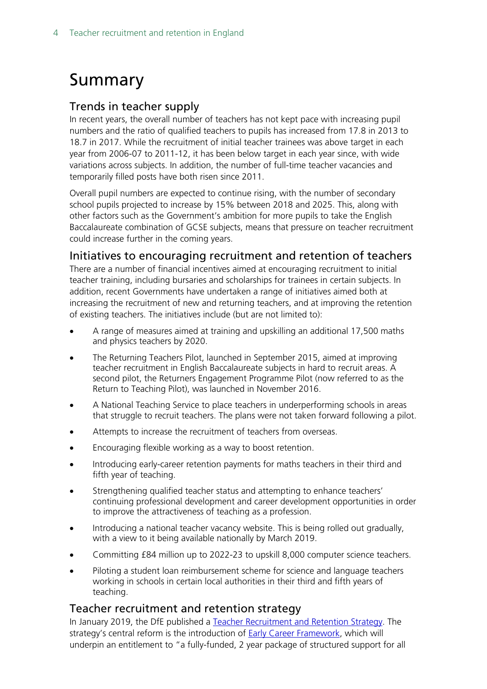## <span id="page-3-0"></span>Summary

#### Trends in teacher supply

In recent years, the overall number of teachers has not kept pace with increasing pupil numbers and the ratio of qualified teachers to pupils has increased from 17.8 in 2013 to 18.7 in 2017. While the recruitment of initial teacher trainees was above target in each year from 2006-07 to 2011-12, it has been below target in each year since, with wide variations across subjects. In addition, the number of full-time teacher vacancies and temporarily filled posts have both risen since 2011.

Overall pupil numbers are expected to continue rising, with the number of secondary school pupils projected to increase by 15% between 2018 and 2025. This, along with other factors such as the Government's ambition for more pupils to take the English Baccalaureate combination of GCSE subjects, means that pressure on teacher recruitment could increase further in the coming years.

#### Initiatives to encouraging recruitment and retention of teachers

There are a number of financial incentives aimed at encouraging recruitment to initial teacher training, including bursaries and scholarships for trainees in certain subjects. In addition, recent Governments have undertaken a range of initiatives aimed both at increasing the recruitment of new and returning teachers, and at improving the retention of existing teachers. The initiatives include (but are not limited to):

- A range of measures aimed at training and upskilling an additional 17,500 maths and physics teachers by 2020.
- The Returning Teachers Pilot, launched in September 2015, aimed at improving teacher recruitment in English Baccalaureate subjects in hard to recruit areas. A second pilot, the Returners Engagement Programme Pilot (now referred to as the Return to Teaching Pilot), was launched in November 2016.
- A National Teaching Service to place teachers in underperforming schools in areas that struggle to recruit teachers. The plans were not taken forward following a pilot.
- Attempts to increase the recruitment of teachers from overseas.
- Encouraging flexible working as a way to boost retention.
- Introducing early-career retention payments for maths teachers in their third and fifth year of teaching.
- Strengthening qualified teacher status and attempting to enhance teachers' continuing professional development and career development opportunities in order to improve the attractiveness of teaching as a profession.
- Introducing a national teacher vacancy website. This is being rolled out gradually, with a view to it being available nationally by March 2019.
- Committing £84 million up to 2022-23 to upskill 8,000 computer science teachers.
- Piloting a student loan reimbursement scheme for science and language teachers working in schools in certain local authorities in their third and fifth years of teaching.

#### Teacher recruitment and retention strategy

In January 2019, the DfE published a [Teacher Recruitment and Retention Strategy.](https://www.gov.uk/government/publications/teacher-recruitment-and-retention-strategy) The strategy's central reform is the introduction of [Early Career Framework,](https://www.gov.uk/government/publications/supporting-early-career-teachers) which will underpin an entitlement to "a fully-funded, 2 year package of structured support for all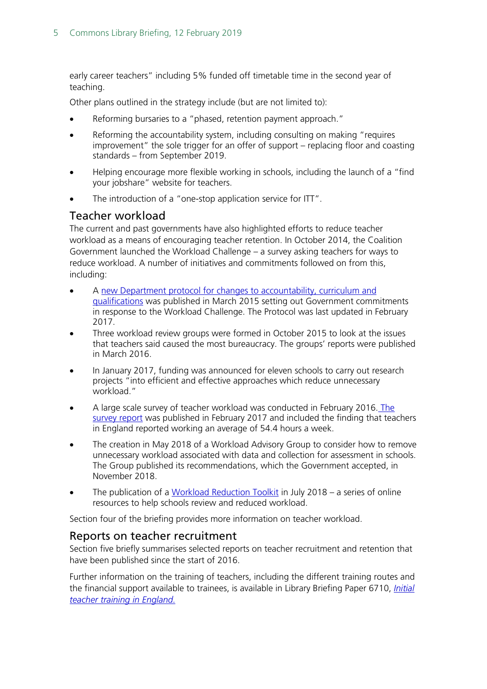early career teachers" including 5% funded off timetable time in the second year of teaching.

Other plans outlined in the strategy include (but are not limited to):

- Reforming bursaries to a "phased, retention payment approach."
- Reforming the accountability system, including consulting on making "requires improvement" the sole trigger for an offer of support – replacing floor and coasting standards – from September 2019.
- Helping encourage more flexible working in schools, including the launch of a "find your jobshare" website for teachers.
- The introduction of a "one-stop application service for ITT".

#### Teacher workload

The current and past governments have also highlighted efforts to reduce teacher workload as a means of encouraging teacher retention. In October 2014, the Coalition Government launched the Workload Challenge – a survey asking teachers for ways to reduce workload. A number of initiatives and commitments followed on from this, including:

- A new Department protocol for changes to accountability, curriculum and [qualifications](https://www.gov.uk/government/uploads/system/uploads/attachment_data/file/594215/DfE_Protocol_-_Feb_2017.pdf) was published in March 2015 setting out Government commitments in response to the Workload Challenge. The Protocol was last updated in February 2017.
- Three workload review groups were formed in October 2015 to look at the issues that teachers said caused the most bureaucracy. The groups' reports were published in March 2016.
- In January 2017, funding was announced for eleven schools to carry out research projects "into efficient and effective approaches which reduce unnecessary workload."
- A large scale survey of teacher workload was conducted in February 2016. [The](https://www.gov.uk/government/uploads/system/uploads/attachment_data/file/594696/TWS-2016_FINAL_Research_brief_Feb_2017.pdf)  [survey report](https://www.gov.uk/government/uploads/system/uploads/attachment_data/file/594696/TWS-2016_FINAL_Research_brief_Feb_2017.pdf) was published in February 2017 and included the finding that teachers in England reported working an average of 54.4 hours a week.
- The creation in May 2018 of a Workload Advisory Group to consider how to remove unnecessary workload associated with data and collection for assessment in schools. The Group published its recommendations, which the Government accepted, in November 2018.
- The publication of a [Workload Reduction Toolkit](https://www.gov.uk/government/collections/workload-reduction-toolkit?utm_source=83156181-a218-46a6-9c68-3f71940a799e&utm_medium=email&utm_campaign=govuk-notifications&utm_content=immediate) in July 2018 a series of online resources to help schools review and reduced workload.

Section four of the briefing provides more information on teacher workload.

#### Reports on teacher recruitment

Section five briefly summarises selected reports on teacher recruitment and retention that have been published since the start of 2016.

Further information on the training of teachers, including the different training routes and the financial support available to trainees, is available in Library Briefing Paper 6710, *[Initial](http://researchbriefings.files.parliament.uk/documents/SN06710/SN06710.pdf)  [teacher training in England.](http://researchbriefings.files.parliament.uk/documents/SN06710/SN06710.pdf)*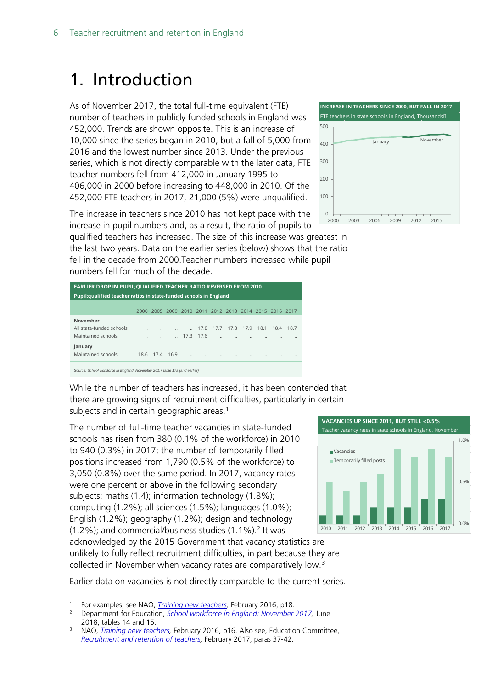## <span id="page-5-0"></span>1. Introduction

As of November 2017, the total full-time equivalent (FTE) number of teachers in publicly funded schools in England was 452,000. Trends are shown opposite. This is an increase of 10,000 since the series began in 2010, but a fall of 5,000 from 2016 and the lowest number since 2013. Under the previous series, which is not directly comparable with the later data, FTE teacher numbers fell from 412,000 in January 1995 to 406,000 in 2000 before increasing to 448,000 in 2010. Of the 452,000 FTE teachers in 2017, 21,000 (5%) were unqualified.

**INCREASE IN TEACHERS SINCE 2000, BUT FALL IN 2017** FTE teachers in state schools in England, Thousands January November  $\Omega$ 100 200 300  $400$ 500 2000 2003 2006 2009 2012 2015

The increase in teachers since 2010 has not kept pace with the increase in pupil numbers and, as a result, the ratio of pupils to

qualified teachers has increased. The size of this increase was greatest in the last two years. Data on the earlier series (below) shows that the ratio fell in the decade from 2000.Teacher numbers increased while pupil numbers fell for much of the decade.

| <b>EARLIER DROP IN PUPIL; QUALIFIED TEACHER RATIO REVERSED FROM 2010</b> |                      |           |  |                      |                      |                                                   |                      |           |                      |           |          |  |
|--------------------------------------------------------------------------|----------------------|-----------|--|----------------------|----------------------|---------------------------------------------------|----------------------|-----------|----------------------|-----------|----------|--|
| Pupil: qualified teacher ratios in state-funded schools in England       |                      |           |  |                      |                      |                                                   |                      |           |                      |           |          |  |
|                                                                          | 2000                 |           |  |                      |                      | 2005 2009 2010 2011 2012 2013 2014 2015 2016 2017 |                      |           |                      |           |          |  |
| November                                                                 |                      |           |  |                      |                      |                                                   |                      |           |                      |           |          |  |
| All state-funded schools                                                 | $\ddot{\phantom{a}}$ |           |  |                      | 17.8                 | 17.7                                              |                      | 17.8 17.9 |                      | 18.1 18.4 | 18.7     |  |
| Maintained schools                                                       | $\ddot{\phantom{a}}$ |           |  |                      | 17.3 17.6            | $\ddotsc$                                         |                      |           |                      |           | $\cdots$ |  |
| January<br>Maintained schools                                            | 18.6                 | 17.4 16.9 |  | $\ddot{\phantom{a}}$ | $\ddot{\phantom{a}}$ | $\ddot{\phantom{a}}$                              | $\ddot{\phantom{a}}$ |           | $\ddot{\phantom{a}}$ | $\cdots$  | $\cdots$ |  |
|                                                                          |                      |           |  |                      |                      |                                                   |                      |           |                      |           |          |  |

*Source: School workforce in England: November 201,7 table 17a (and earlier)*

While the number of teachers has increased, it has been contended that there are growing signs of recruitment difficulties, particularly in certain subjects and in certain geographic areas.<sup>[1](#page-5-1)</sup>

The number of full-time teacher vacancies in state-funded schools has risen from 380 (0.1% of the workforce) in 2010 to 940 (0.3%) in 2017; the number of temporarily filled positions increased from 1,790 (0.5% of the workforce) to 3,050 (0.8%) over the same period. In 2017, vacancy rates were one percent or above in the following secondary subjects: maths (1.4); information technology (1.8%); computing (1.2%); all sciences (1.5%); languages (1.0%); English (1.2%); geography (1.2%); design and technology  $(1.2\%)$  $(1.2\%)$  $(1.2\%)$ ; and commercial/business studies  $(1.1\%)$ .<sup>2</sup> It was

**VACANCIES UP SINCE 2011, BUT STILL <0.5%** Teacher vacancy rates in state schools in England, N 0.0% 0.5% 1.0% 2010 2011 2012 2013 2014 2015 2016 2017 Vacancies **Temporarily filled posts** 

acknowledged by the 2015 Government that vacancy statistics are unlikely to fully reflect recruitment difficulties, in part because they are collected in November when vacancy rates are comparatively low.<sup>[3](#page-5-3)</sup>

Earlier data on vacancies is not directly comparable to the current series.

<span id="page-5-2"></span><span id="page-5-1"></span> <sup>1</sup> For examples, see NAO, *[Training new teachers,](https://www.nao.org.uk/wp-content/uploads/2016/02/Training-new-teachers.pdf)* February 2016, p18.

<sup>2</sup> Department for Education, *[School workforce in England: November 2017,](https://www.gov.uk/government/statistics/school-workforce-in-england-november-2017)* June 2018, tables 14 and 15.

<span id="page-5-3"></span><sup>&</sup>lt;sup>3</sup> NAO, *Training new teachers*, February 2016, p16. Also see, Education Committee. *[Recruitment and retention of teachers,](https://www.publications.parliament.uk/pa/cm201617/cmselect/cmeduc/199/199.pdf)* February 2017, paras 37-42.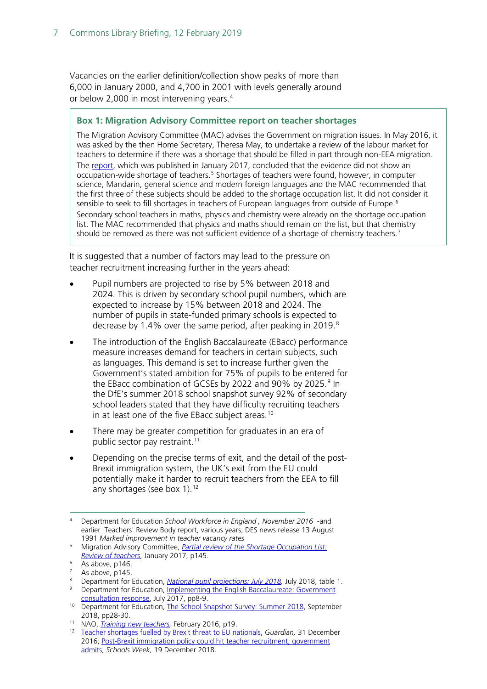Vacancies on the earlier definition/collection show peaks of more than 6,000 in January 2000, and 4,700 in 2001 with levels generally around or below 2,000 in most intervening years.<sup>[4](#page-6-0)</sup>

#### **Box 1: Migration Advisory Committee report on teacher shortages**

The Migration Advisory Committee (MAC) advises the Government on migration issues. In May 2016, it was asked by the then Home Secretary, Theresa May, to undertake a review of the labour market for teachers to determine if there was a shortage that should be filled in part through non-EEA migration. The [report,](https://www.gov.uk/government/uploads/system/uploads/attachment_data/file/585998/2017_01_26_MAC_report_teachers_SOL.pdf) which was published in January 2017, concluded that the evidence did not show an occupation-wide shortage of teachers.<sup>[5](#page-6-6)</sup> Shortages of teachers were found, however, in computer science, Mandarin, general science and modern foreign languages and the MAC recommended that the first three of these subjects should be added to the shortage occupation list. It did not consider it sensible to seek to fill shortages in teachers of European languages from outside of Europe.<sup>[6](#page-6-7)</sup> Secondary school teachers in maths, physics and chemistry were already on the shortage occupation list. The MAC recommended that physics and maths should remain on the list, but that chemistry should be removed as there was not sufficient evidence of a shortage of chemistry teachers.[7](#page-6-8)

It is suggested that a number of factors may lead to the pressure on teacher recruitment increasing further in the years ahead:

- Pupil numbers are projected to rise by 5% between 2018 and 2024. This is driven by secondary school pupil numbers, which are expected to increase by 15% between 2018 and 2024. The number of pupils in state-funded primary schools is expected to decrease by 1.4% over the same period, after peaking in 2019. $8$
- The introduction of the English Baccalaureate (EBacc) performance measure increases demand for teachers in certain subjects, such as languages. This demand is set to increase further given the Government's stated ambition for 75% of pupils to be entered for the EBacc combination of GCSEs by 2022 and [9](#page-6-2)0% by 2025. $9$  In the DfE's summer 2018 school snapshot survey 92% of secondary school leaders stated that they have difficulty recruiting teachers in at least one of the five EBacc subject areas.<sup>[10](#page-6-3)</sup>
- There may be greater competition for graduates in an era of public sector pay restraint.<sup>[11](#page-6-4)</sup>
- Depending on the precise terms of exit, and the detail of the post-Brexit immigration system, the UK's exit from the EU could potentially make it harder to recruit teachers from the EEA to fill any shortages (see box 1).<sup>[12](#page-6-5)</sup>

<span id="page-6-0"></span> <sup>4</sup> Department for Education *School Workforce in England , November 2016* -and earlier Teachers' Review Body report, various years; DES news release 13 August 1991 *Marked improvement in teacher vacancy rates*

<span id="page-6-6"></span><sup>5</sup> Migration Advisory Committee, *[Partial review of the Shortage Occupation List:](https://www.gov.uk/government/uploads/system/uploads/attachment_data/file/585998/2017_01_26_MAC_report_teachers_SOL.pdf)  [Review of teachers](https://www.gov.uk/government/uploads/system/uploads/attachment_data/file/585998/2017_01_26_MAC_report_teachers_SOL.pdf)*, January 2017, p145.

<span id="page-6-7"></span> $6\overline{\text{As above}}$ , p146.

As above, p145.

<span id="page-6-8"></span><span id="page-6-1"></span><sup>8</sup> Department for Education, *[National pupil projections: July 2018,](https://www.gov.uk/government/statistics/national-pupil-projections-july-2018)* July 2018, table 1.

<span id="page-6-2"></span><sup>9</sup> Department for Education, Implementing the English Baccalaureate: Government [consultation response,](https://www.gov.uk/government/uploads/system/uploads/attachment_data/file/630713/Implementing_the_English_Baccalaureate_-_Government_consultation_response.pdf) July 2017, pp8-9.

<span id="page-6-3"></span><sup>10</sup> Department for Education, [The School Snapshot Survey: Summer 2018,](https://assets.publishing.service.gov.uk/government/uploads/system/uploads/attachment_data/file/773842/Summer_2018_SSS_Final_Report.pdf) September 2018, pp28-30.

<span id="page-6-4"></span><sup>11</sup> NAO, *[Training new teachers,](https://www.nao.org.uk/wp-content/uploads/2016/02/Training-new-teachers.pdf)* February 2016, p19.

<span id="page-6-5"></span><sup>12</sup> [Teacher shortages fuelled by Brexit threat to EU nationals,](https://www.theguardian.com/education/2016/dec/31/brexit-threat-to-teachers-from-eu) *Guardian,* 31 December 2016; [Post-Brexit immigration policy could hit teacher recruitment, government](https://schoolsweek.co.uk/post-brexit-immigration-policy-could-hit-teacher-recruitment-government-admits/)  [admits,](https://schoolsweek.co.uk/post-brexit-immigration-policy-could-hit-teacher-recruitment-government-admits/) *Schools Week,* 19 December 2018.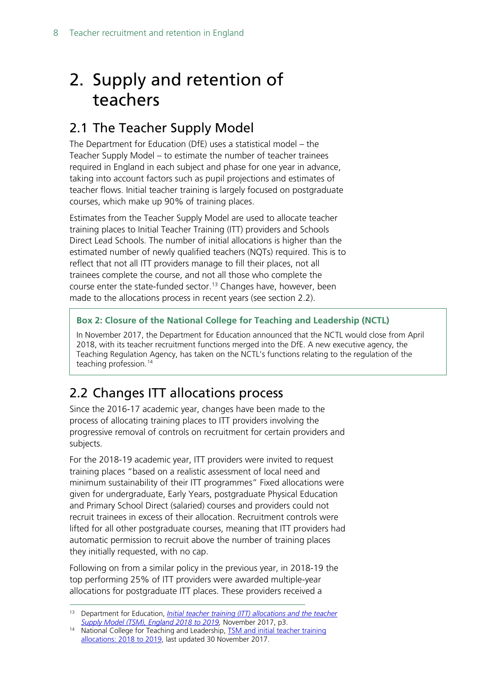## <span id="page-7-0"></span>2. Supply and retention of teachers

### <span id="page-7-1"></span>2.1 The Teacher Supply Model

The Department for Education (DfE) uses a statistical model – the Teacher Supply Model – to estimate the number of teacher trainees required in England in each subject and phase for one year in advance, taking into account factors such as pupil projections and estimates of teacher flows. Initial teacher training is largely focused on postgraduate courses, which make up 90% of training places.

Estimates from the Teacher Supply Model are used to allocate teacher training places to Initial Teacher Training (ITT) providers and Schools Direct Lead Schools. The number of initial allocations is higher than the estimated number of newly qualified teachers (NQTs) required. This is to reflect that not all ITT providers manage to fill their places, not all trainees complete the course, and not all those who complete the course enter the state-funded sector.<sup>[13](#page-7-3)</sup> Changes have, however, been made to the allocations process in recent years (see section 2.2).

#### **Box 2: Closure of the National College for Teaching and Leadership (NCTL)**

In November 2017, the Department for Education announced that the NCTL would close from April 2018, with its teacher recruitment functions merged into the DfE. A new executive agency, the Teaching Regulation Agency, has taken on the NCTL's functions relating to the regulation of the teaching profession.<sup>[14](#page-7-4)</sup>

### <span id="page-7-2"></span>2.2 Changes ITT allocations process

Since the 2016-17 academic year, changes have been made to the process of allocating training places to ITT providers involving the progressive removal of controls on recruitment for certain providers and subjects.

For the 2018-19 academic year, ITT providers were invited to request training places "based on a realistic assessment of local need and minimum sustainability of their ITT programmes" Fixed allocations were given for undergraduate, Early Years, postgraduate Physical Education and Primary School Direct (salaried) courses and providers could not recruit trainees in excess of their allocation. Recruitment controls were lifted for all other postgraduate courses, meaning that ITT providers had automatic permission to recruit above the number of training places they initially requested, with no cap.

Following on from a similar policy in the previous year, in 2018-19 the top performing 25% of ITT providers were awarded multiple-year allocations for postgraduate ITT places. These providers received a

<span id="page-7-3"></span> <sup>13</sup> Department for Education, *[Initial teacher training \(ITT\) allocations and the teacher](https://www.gov.uk/government/statistics/tsm-and-initial-teacher-training-allocations-2018-to-2019)  [Supply Model \(TSM\), England 2018 to 2019,](https://www.gov.uk/government/statistics/tsm-and-initial-teacher-training-allocations-2018-to-2019)* November 2017, p3.

<span id="page-7-4"></span><sup>14</sup> National College for Teaching and Leadership, **TSM** and initial teacher training [allocations: 2018 to 2019,](https://www.gov.uk/government/statistics/tsm-and-initial-teacher-training-allocations-2018-to-2019) last updated 30 November 2017.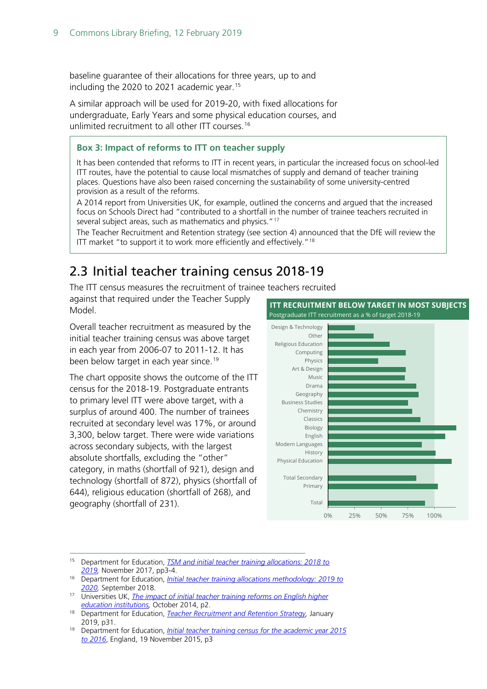baseline guarantee of their allocations for three years, up to and including the 2020 to 2021 academic year.<sup>[15](#page-8-1)</sup>

A similar approach will be used for 2019-20, with fixed allocations for undergraduate, Early Years and some physical education courses, and unlimited recruitment to all other ITT courses.<sup>[16](#page-8-2)</sup>

#### **Box 3: Impact of reforms to ITT on teacher supply**

It has been contended that reforms to ITT in recent years, in particular the increased focus on school-led ITT routes, have the potential to cause local mismatches of supply and demand of teacher training places. Questions have also been raised concerning the sustainability of some university-centred provision as a result of the reforms.

A 2014 report from Universities UK, for example, outlined the concerns and argued that the increased focus on Schools Direct had "contributed to a shortfall in the number of trainee teachers recruited in several subject areas, such as mathematics and physics."<sup>[17](#page-8-4)</sup>

The Teacher Recruitment and Retention strategy (see section 4) announced that the DfE will review the ITT market "to support it to work more efficiently and effectively."<sup>[18](#page-8-5)</sup>

### <span id="page-8-0"></span>2.3 Initial teacher training census 2018-19

The ITT census measures the recruitment of trainee teachers recruited

against that required under the Teacher Supply Model.

Overall teacher recruitment as measured by the initial teacher training census was above target in each year from 2006-07 to 2011-12. It has been below target in each year since.<sup>[19](#page-8-3)</sup>

The chart opposite shows the outcome of the ITT census for the 2018-19. Postgraduate entrants to primary level ITT were above target, with a surplus of around 400. The number of trainees recruited at secondary level was 17%, or around 3,300, below target. There were wide variations across secondary subjects, with the largest absolute shortfalls, excluding the "other" category, in maths (shortfall of 921), design and technology (shortfall of 872), physics (shortfall of 644), religious education (shortfall of 268), and geography (shortfall of 231).



- <span id="page-8-1"></span> 15 Department for Education, *[TSM and initial teacher training allocations: 2018 to](https://www.gov.uk/government/statistics/tsm-and-initial-teacher-training-allocations-2018-to-2019)  [2019,](https://www.gov.uk/government/statistics/tsm-and-initial-teacher-training-allocations-2018-to-2019)* November 2017, pp3-4.
- <span id="page-8-2"></span><sup>16</sup> Department for Education, *[Initial teacher training allocations methodology: 2019 to](https://www.gov.uk/government/publications/initial-teacher-training-itt-requesting-places-2019-to-2020)  [2020,](https://www.gov.uk/government/publications/initial-teacher-training-itt-requesting-places-2019-to-2020)* September 2018.
- <span id="page-8-4"></span>17 Universities UK, *The impact of initial teacher training reforms on English higher [education institutions,](http://www.universitiesuk.ac.uk/policy-and-analysis/reports/Pages/impact-of-initial-teacher-training-reforms.aspx)* October 2014, p2.
- <span id="page-8-5"></span><sup>18</sup> Department for Education, *[Teacher Recruitment and Retention Strategy,](https://assets.publishing.service.gov.uk/government/uploads/system/uploads/attachment_data/file/773930/Teacher_Retention_Strategy_Report.PDF.pdf)* January 2019, p31.
- <span id="page-8-3"></span><sup>19</sup> Department for Education, *[Initial teacher training census for the academic year 2015](https://www.gov.uk/government/uploads/system/uploads/attachment_data/file/478098/ITT_CENSUS_SFR_46_2015_to_2016.pdf)  [to 2016](https://www.gov.uk/government/uploads/system/uploads/attachment_data/file/478098/ITT_CENSUS_SFR_46_2015_to_2016.pdf)*, England, 19 November 2015, p3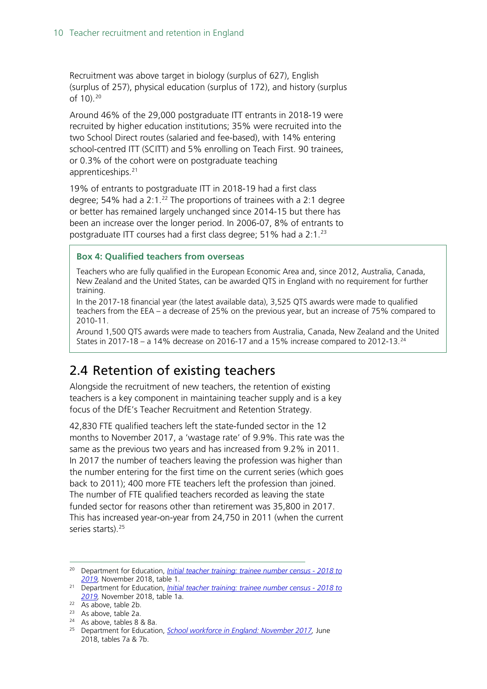Recruitment was above target in biology (surplus of 627), English (surplus of 257), physical education (surplus of 172), and history (surplus of 10).[20](#page-9-1)

Around 46% of the 29,000 postgraduate ITT entrants in 2018-19 were recruited by higher education institutions; 35% were recruited into the two School Direct routes (salaried and fee-based), with 14% entering school-centred ITT (SCITT) and 5% enrolling on Teach First. 90 trainees, or 0.3% of the cohort were on postgraduate teaching apprenticeships.<sup>[21](#page-9-2)</sup>

19% of entrants to postgraduate ITT in 2018-19 had a first class degree; 54% had a  $2:1.^{22}$  $2:1.^{22}$  $2:1.^{22}$  The proportions of trainees with a 2:1 degree or better has remained largely unchanged since 2014-15 but there has been an increase over the longer period. In 2006-07, 8% of entrants to postgraduate ITT courses had a first class degree; 51% had a 2:1.<sup>[23](#page-9-4)</sup>

#### **Box 4: Qualified teachers from overseas**

Teachers who are fully qualified in the European Economic Area and, since 2012, Australia, Canada, New Zealand and the United States, can be awarded QTS in England with no requirement for further training.

In the 2017-18 financial year (the latest available data), 3,525 QTS awards were made to qualified teachers from the EEA – a decrease of 25% on the previous year, but an increase of 75% compared to 2010-11.

Around 1,500 QTS awards were made to teachers from Australia, Canada, New Zealand and the United States in 2017-18 – a 14% decrease on 2016-17 and a 15% increase compared to 2012-13.<sup>[24](#page-9-5)</sup>

### <span id="page-9-0"></span>2.4 Retention of existing teachers

Alongside the recruitment of new teachers, the retention of existing teachers is a key component in maintaining teacher supply and is a key focus of the DfE's Teacher Recruitment and Retention Strategy.

42,830 FTE qualified teachers left the state-funded sector in the 12 months to November 2017, a 'wastage rate' of 9.9%. This rate was the same as the previous two years and has increased from 9.2% in 2011. In 2017 the number of teachers leaving the profession was higher than the number entering for the first time on the current series (which goes back to 2011); 400 more FTE teachers left the profession than joined. The number of FTE qualified teachers recorded as leaving the state funded sector for reasons other than retirement was 35,800 in 2017. This has increased year-on-year from 24,750 in 2011 (when the current series starts).<sup>[25](#page-9-6)</sup>

<span id="page-9-1"></span> <sup>20</sup> Department for Education, *[Initial teacher training: trainee number census -](https://www.gov.uk/government/statistics/initial-teacher-training-trainee-number-census-2018-to-2019) 2018 to 2019,* November 2018, table 1. 21 Department for Education, *[Initial teacher training: trainee number census -](https://www.gov.uk/government/statistics/initial-teacher-training-trainee-number-census-2018-to-2019) 2018 to* 

<span id="page-9-2"></span>*[<sup>2019,</sup>](https://www.gov.uk/government/statistics/initial-teacher-training-trainee-number-census-2018-to-2019)* November 2018, table 1a.

<span id="page-9-3"></span> $22$  As above, table 2b.

<span id="page-9-4"></span> $23$  As above, table 2a.

<span id="page-9-5"></span><sup>24</sup> As above, tables 8 & 8a.

<span id="page-9-6"></span><sup>25</sup> Department for Education, *[School workforce in England: November 2017,](https://www.gov.uk/government/statistics/school-workforce-in-england-november-2017)* June 2018, tables 7a & 7b.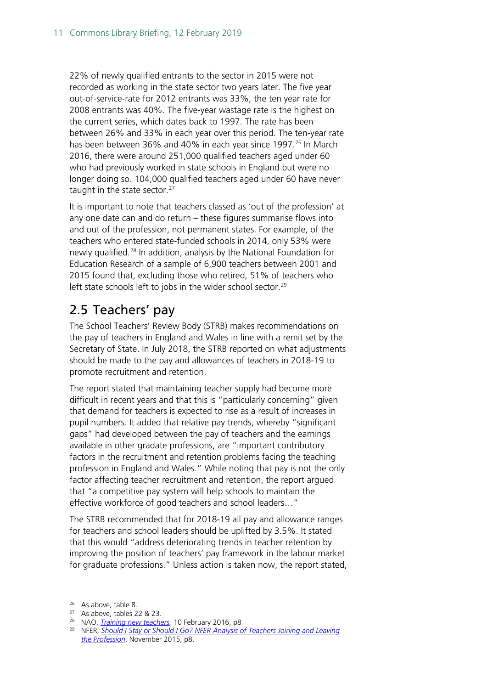22% of newly qualified entrants to the sector in 2015 were not recorded as working in the state sector two years later. The five year out-of-service-rate for 2012 entrants was 33%, the ten year rate for 2008 entrants was 40%. The five-year wastage rate is the highest on the current series, which dates back to 1997. The rate has been between 26% and 33% in each year over this period. The ten-year rate has been between 36% and 40% in each year since 1997.<sup>[26](#page-10-1)</sup> In March 2016, there were around 251,000 qualified teachers aged under 60 who had previously worked in state schools in England but were no longer doing so. 104,000 qualified teachers aged under 60 have never taught in the state sector.<sup>[27](#page-10-2)</sup>

It is important to note that teachers classed as 'out of the profession' at any one date can and do return – these figures summarise flows into and out of the profession, not permanent states. For example, of the teachers who entered state-funded schools in 2014, only 53% were newly qualified.<sup>[28](#page-10-3)</sup> In addition, analysis by the National Foundation for Education Research of a sample of 6,900 teachers between 2001 and 2015 found that, excluding those who retired, 51% of teachers who left state schools left to jobs in the wider school sector.<sup>[29](#page-10-4)</sup>

### <span id="page-10-0"></span>2.5 Teachers' pay

The School Teachers' Review Body (STRB) makes recommendations on the pay of teachers in England and Wales in line with a remit set by the Secretary of State. In July 2018, the STRB reported on what adjustments should be made to the pay and allowances of teachers in 2018-19 to promote recruitment and retention.

The report stated that maintaining teacher supply had become more difficult in recent years and that this is "particularly concerning" given that demand for teachers is expected to rise as a result of increases in pupil numbers. It added that relative pay trends, whereby "significant gaps" had developed between the pay of teachers and the earnings available in other gradate professions, are "important contributory factors in the recruitment and retention problems facing the teaching profession in England and Wales." While noting that pay is not the only factor affecting teacher recruitment and retention, the report argued that "a competitive pay system will help schools to maintain the effective workforce of good teachers and school leaders…"

The STRB recommended that for 2018-19 all pay and allowance ranges for teachers and school leaders should be uplifted by 3.5%. It stated that this would "address deteriorating trends in teacher retention by improving the position of teachers' pay framework in the labour market for graduate professions." Unless action is taken now, the report stated,

<span id="page-10-1"></span> <sup>26</sup> As above, table 8.

<span id="page-10-2"></span><sup>27</sup> As above, tables 22 & 23.

<span id="page-10-3"></span><sup>28</sup> NAO, *[Training new teachers,](https://www.nao.org.uk/wp-content/uploads/2016/02/Training-new-teachers.pdf)* 10 February 2016, p8

<span id="page-10-4"></span><sup>&</sup>lt;sup>29</sup> NFER, *Should I Stay or Should I Go? NFER Analysis of Teachers Joining and Leaving [the Profession](https://www.nfer.ac.uk/media/1924/lfsa01.pdf)*, November 2015, p8.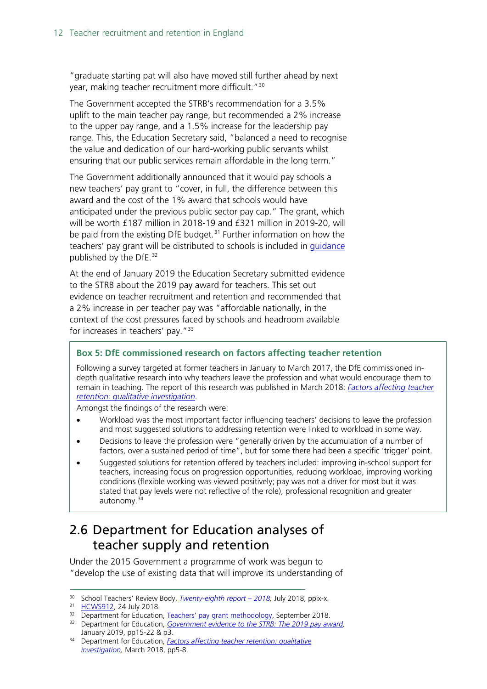"graduate starting pat will also have moved still further ahead by next year, making teacher recruitment more difficult."[30](#page-11-1)

The Government accepted the STRB's recommendation for a 3.5% uplift to the main teacher pay range, but recommended a 2% increase to the upper pay range, and a 1.5% increase for the leadership pay range. This, the Education Secretary said, "balanced a need to recognise the value and dedication of our hard-working public servants whilst ensuring that our public services remain affordable in the long term."

The Government additionally announced that it would pay schools a new teachers' pay grant to "cover, in full, the difference between this award and the cost of the 1% award that schools would have anticipated under the previous public sector pay cap." The grant, which will be worth £187 million in 2018-19 and £321 million in 2019-20, will be paid from the existing DfE budget.<sup>[31](#page-11-2)</sup> Further information on how the teachers' pay grant will be distributed to schools is included in *guidance* published by the DfE.<sup>[32](#page-11-3)</sup>

At the end of January 2019 the Education Secretary submitted evidence to the STRB about the 2019 pay award for teachers. This set out evidence on teacher recruitment and retention and recommended that a 2% increase in per teacher pay was "affordable nationally, in the context of the cost pressures faced by schools and headroom available for increases in teachers' pay."<sup>[33](#page-11-4)</sup>

#### **Box 5: DfE commissioned research on factors affecting teacher retention**

Following a survey targeted at former teachers in January to March 2017, the DfE commissioned indepth qualitative research into why teachers leave the profession and what would encourage them to remain in teaching. The report of this research was published in March 2018: *[Factors affecting teacher](https://assets.publishing.service.gov.uk/government/uploads/system/uploads/attachment_data/file/686947/Factors_affecting_teacher_retention_-_qualitative_investigation.pdf)  [retention: qualitative investigation](https://assets.publishing.service.gov.uk/government/uploads/system/uploads/attachment_data/file/686947/Factors_affecting_teacher_retention_-_qualitative_investigation.pdf)*.

Amongst the findings of the research were:

- Workload was the most important factor influencing teachers' decisions to leave the profession and most suggested solutions to addressing retention were linked to workload in some way.
- Decisions to leave the profession were "generally driven by the accumulation of a number of factors, over a sustained period of time", but for some there had been a specific 'trigger' point.
- Suggested solutions for retention offered by teachers included: improving in-school support for teachers, increasing focus on progression opportunities, reducing workload, improving working conditions (flexible working was viewed positively; pay was not a driver for most but it was stated that pay levels were not reflective of the role), professional recognition and greater autonomy.[34](#page-11-5)

### <span id="page-11-0"></span>2.6 Department for Education analyses of teacher supply and retention

Under the 2015 Government a programme of work was begun to "develop the use of existing data that will improve its understanding of

 <sup>30</sup> School Teachers' Review Body, *[Twenty-eighth report –](https://www.gov.uk/government/publications/school-teachers-review-body-28th-report-2018) 2018,* July 2018, ppix-x.

<span id="page-11-2"></span><span id="page-11-1"></span><sup>31</sup> [HCWS912,](https://www.parliament.uk/business/publications/written-questions-answers-statements/written-statement/Commons/2018-07-24/HCWS912/) 24 July 2018.

<sup>&</sup>lt;sup>32</sup> Department for Education, [Teachers' pay grant methodology,](https://www.gov.uk/government/publications/teachers-pay-grant-methodology/teachers-pay-grant-methodology) September 2018.

<span id="page-11-4"></span><span id="page-11-3"></span><sup>&</sup>lt;sup>33</sup> Department for Education, Government evidence to the STRB: The 2019 pay award, January 2019, pp15-22 & p3. 34 Department for Education, *[Factors affecting teacher retention: qualitative](https://assets.publishing.service.gov.uk/government/uploads/system/uploads/attachment_data/file/686947/Factors_affecting_teacher_retention_-_qualitative_investigation.pdf)* 

<span id="page-11-5"></span>*[investigation,](https://assets.publishing.service.gov.uk/government/uploads/system/uploads/attachment_data/file/686947/Factors_affecting_teacher_retention_-_qualitative_investigation.pdf)* March 2018, pp5-8.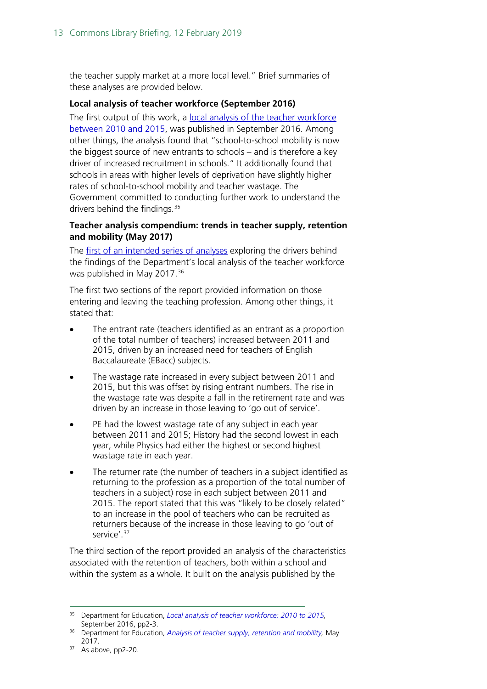the teacher supply market at a more local level." Brief summaries of these analyses are provided below.

#### **Local analysis of teacher workforce (September 2016)**

The first output of this work, a [local analysis of the teacher workforce](https://www.gov.uk/government/statistics/local-analysis-of-teacher-workforce-2010-to-2015)  [between 2010 and 2015,](https://www.gov.uk/government/statistics/local-analysis-of-teacher-workforce-2010-to-2015) was published in September 2016. Among other things, the analysis found that "school-to-school mobility is now the biggest source of new entrants to schools – and is therefore a key driver of increased recruitment in schools." It additionally found that schools in areas with higher levels of deprivation have slightly higher rates of school-to-school mobility and teacher wastage. The Government committed to conducting further work to understand the drivers behind the findings.<sup>[35](#page-12-0)</sup>

#### **Teacher analysis compendium: trends in teacher supply, retention and mobility (May 2017)**

The [first of an intended series of analyses](https://www.gov.uk/government/statistics/teachers-analysis-compendium-2017) exploring the drivers behind the findings of the Department's local analysis of the teacher workforce was published in May 2017.<sup>[36](#page-12-1)</sup>

The first two sections of the report provided information on those entering and leaving the teaching profession. Among other things, it stated that:

- The entrant rate (teachers identified as an entrant as a proportion of the total number of teachers) increased between 2011 and 2015, driven by an increased need for teachers of English Baccalaureate (EBacc) subjects.
- The wastage rate increased in every subject between 2011 and 2015, but this was offset by rising entrant numbers. The rise in the wastage rate was despite a fall in the retirement rate and was driven by an increase in those leaving to 'go out of service'.
- PE had the lowest wastage rate of any subject in each year between 2011 and 2015; History had the second lowest in each year, while Physics had either the highest or second highest wastage rate in each year.
- The returner rate (the number of teachers in a subject identified as returning to the profession as a proportion of the total number of teachers in a subject) rose in each subject between 2011 and 2015. The report stated that this was "likely to be closely related" to an increase in the pool of teachers who can be recruited as returners because of the increase in those leaving to go 'out of service'.[37](#page-12-2)

The third section of the report provided an analysis of the characteristics associated with the retention of teachers, both within a school and within the system as a whole. It built on the analysis published by the

<span id="page-12-0"></span> <sup>35</sup> Department for Education, *[Local analysis of teacher workforce: 2010 to 2015,](https://www.gov.uk/government/statistics/local-analysis-of-teacher-workforce-2010-to-2015)*  September 2016, pp2-3.

<span id="page-12-1"></span><sup>36</sup> Department for Education, *[Analysis of teacher supply, retention and mobility,](https://www.gov.uk/government/statistics/teachers-analysis-compendium-2017)* May 2017.

<span id="page-12-2"></span><sup>&</sup>lt;sup>37</sup> As above, pp2-20.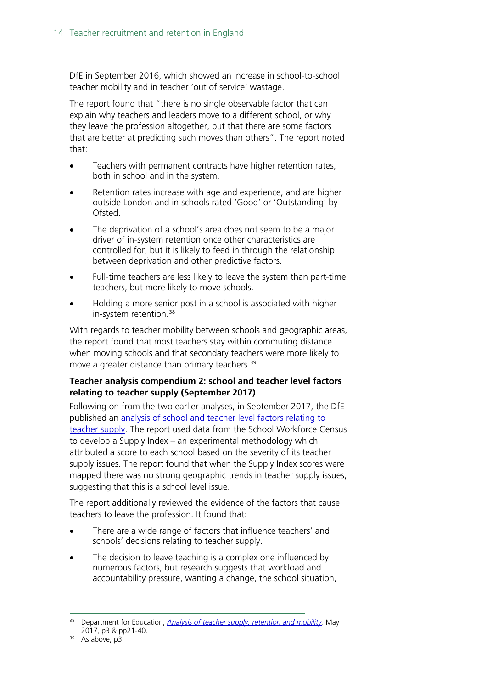DfE in September 2016, which showed an increase in school-to-school teacher mobility and in teacher 'out of service' wastage.

The report found that "there is no single observable factor that can explain why teachers and leaders move to a different school, or why they leave the profession altogether, but that there are some factors that are better at predicting such moves than others". The report noted that:

- Teachers with permanent contracts have higher retention rates, both in school and in the system.
- Retention rates increase with age and experience, and are higher outside London and in schools rated 'Good' or 'Outstanding' by Ofsted.
- The deprivation of a school's area does not seem to be a major driver of in-system retention once other characteristics are controlled for, but it is likely to feed in through the relationship between deprivation and other predictive factors.
- Full-time teachers are less likely to leave the system than part-time teachers, but more likely to move schools.
- Holding a more senior post in a school is associated with higher in-system retention.<sup>[38](#page-13-0)</sup>

With regards to teacher mobility between schools and geographic areas, the report found that most teachers stay within commuting distance when moving schools and that secondary teachers were more likely to move a greater distance than primary teachers.<sup>[39](#page-13-1)</sup>

#### **Teacher analysis compendium 2: school and teacher level factors relating to teacher supply (September 2017)**

Following on from the two earlier analyses, in September 2017, the DfE published an [analysis of school and teacher level factors relating to](https://www.gov.uk/government/uploads/system/uploads/attachment_data/file/643974/SFR86_2017_Main_Text.pdf)  [teacher supply.](https://www.gov.uk/government/uploads/system/uploads/attachment_data/file/643974/SFR86_2017_Main_Text.pdf) The report used data from the School Workforce Census to develop a Supply Index – an experimental methodology which attributed a score to each school based on the severity of its teacher supply issues. The report found that when the Supply Index scores were mapped there was no strong geographic trends in teacher supply issues, suggesting that this is a school level issue.

The report additionally reviewed the evidence of the factors that cause teachers to leave the profession. It found that:

- There are a wide range of factors that influence teachers' and schools' decisions relating to teacher supply.
- The decision to leave teaching is a complex one influenced by numerous factors, but research suggests that workload and accountability pressure, wanting a change, the school situation,

<span id="page-13-0"></span> <sup>38</sup> Department for Education, *Analysis of [teacher supply, retention and mobility,](https://www.gov.uk/government/statistics/teachers-analysis-compendium-2017)* May 2017, p3 & pp21-40.

<span id="page-13-1"></span> $39$  As above, p3.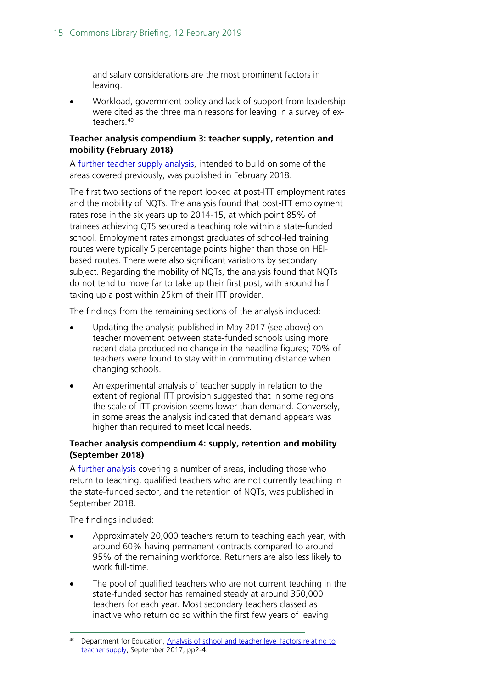and salary considerations are the most prominent factors in leaving.

• Workload, government policy and lack of support from leadership were cited as the three main reasons for leaving in a survey of exteachers.[40](#page-14-0)

#### **Teacher analysis compendium 3: teacher supply, retention and mobility (February 2018)**

A [further teacher supply analysis,](https://assets.publishing.service.gov.uk/government/uploads/system/uploads/attachment_data/file/682892/SFR11_2018_Main_Text.pdf) intended to build on some of the areas covered previously, was published in February 2018.

The first two sections of the report looked at post-ITT employment rates and the mobility of NQTs. The analysis found that post-ITT employment rates rose in the six years up to 2014-15, at which point 85% of trainees achieving QTS secured a teaching role within a state-funded school. Employment rates amongst graduates of school-led training routes were typically 5 percentage points higher than those on HEIbased routes. There were also significant variations by secondary subject. Regarding the mobility of NQTs, the analysis found that NQTs do not tend to move far to take up their first post, with around half taking up a post within 25km of their ITT provider.

The findings from the remaining sections of the analysis included:

- Updating the analysis published in May 2017 (see above) on teacher movement between state-funded schools using more recent data produced no change in the headline figures; 70% of teachers were found to stay within commuting distance when changing schools.
- An experimental analysis of teacher supply in relation to the extent of regional ITT provision suggested that in some regions the scale of ITT provision seems lower than demand. Conversely, in some areas the analysis indicated that demand appears was higher than required to meet local needs.

#### **Teacher analysis compendium 4: supply, retention and mobility (September 2018)**

A [further analysis](https://assets.publishing.service.gov.uk/government/uploads/system/uploads/attachment_data/file/743743/Teachers_Analysis_Compendium_4.pdf) covering a number of areas, including those who return to teaching, qualified teachers who are not currently teaching in the state-funded sector, and the retention of NQTs, was published in September 2018.

The findings included:

- Approximately 20,000 teachers return to teaching each year, with around 60% having permanent contracts compared to around 95% of the remaining workforce. Returners are also less likely to work full-time.
- The pool of qualified teachers who are not current teaching in the state-funded sector has remained steady at around 350,000 teachers for each year. Most secondary teachers classed as inactive who return do so within the first few years of leaving

<span id="page-14-0"></span> <sup>40</sup> Department for Education, [Analysis of school and teacher level factors relating to](https://www.gov.uk/government/uploads/system/uploads/attachment_data/file/643974/SFR86_2017_Main_Text.pdf)  [teacher supply,](https://www.gov.uk/government/uploads/system/uploads/attachment_data/file/643974/SFR86_2017_Main_Text.pdf) September 2017, pp2-4.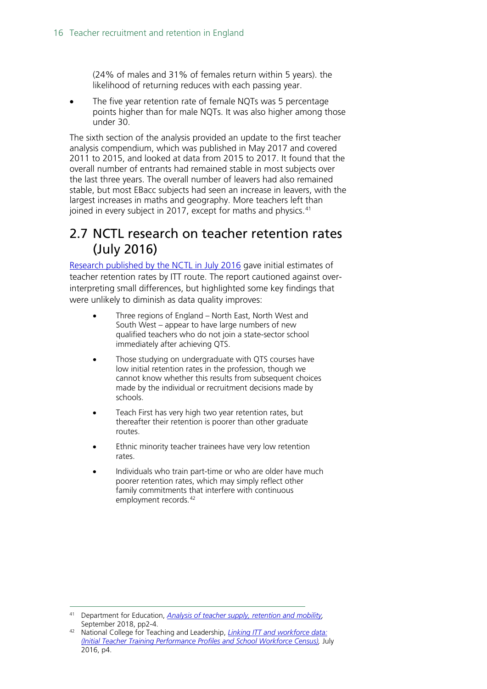(24% of males and 31% of females return within 5 years). the likelihood of returning reduces with each passing year.

The five year retention rate of female NQTs was 5 percentage points higher than for male NQTs. It was also higher among those under 30.

The sixth section of the analysis provided an update to the first teacher analysis compendium, which was published in May 2017 and covered 2011 to 2015, and looked at data from 2015 to 2017. It found that the overall number of entrants had remained stable in most subjects over the last three years. The overall number of leavers had also remained stable, but most EBacc subjects had seen an increase in leavers, with the largest increases in maths and geography. More teachers left than joined in every subject in 2017, except for maths and physics.<sup>[41](#page-15-1)</sup>

### <span id="page-15-0"></span>2.7 NCTL research on teacher retention rates (July 2016)

[Research published by the NCTL in July 2016](https://www.gov.uk/government/uploads/system/uploads/attachment_data/file/544773/Linking_ITT_and_workforce_data__Initial_Teacher_Training_Performance_Profiles_and_School_Workforce_Census_.pdf) gave initial estimates of teacher retention rates by ITT route. The report cautioned against overinterpreting small differences, but highlighted some key findings that were unlikely to diminish as data quality improves:

- Three regions of England North East, North West and South West – appear to have large numbers of new qualified teachers who do not join a state-sector school immediately after achieving QTS.
- Those studying on undergraduate with QTS courses have low initial retention rates in the profession, though we cannot know whether this results from subsequent choices made by the individual or recruitment decisions made by schools.
- Teach First has very high two year retention rates, but thereafter their retention is poorer than other graduate routes.
- Ethnic minority teacher trainees have very low retention rates.
- Individuals who train part-time or who are older have much poorer retention rates, which may simply reflect other family commitments that interfere with continuous employment records.<sup>[42](#page-15-2)</sup>

<span id="page-15-1"></span> <sup>41</sup> Department for Education, *[Analysis of teacher supply, retention and mobility,](https://www.gov.uk/government/statistics/teachers-analysis-compendium-4)*  September 2018, pp2-4.

<span id="page-15-2"></span><sup>42</sup> National College for Teaching and Leadership, *[Linking ITT and workforce data:](https://www.gov.uk/government/uploads/system/uploads/attachment_data/file/544773/Linking_ITT_and_workforce_data__Initial_Teacher_Training_Performance_Profiles_and_School_Workforce_Census_.pdf)  [\(Initial Teacher Training Performance Profiles and School Workforce Census\),](https://www.gov.uk/government/uploads/system/uploads/attachment_data/file/544773/Linking_ITT_and_workforce_data__Initial_Teacher_Training_Performance_Profiles_and_School_Workforce_Census_.pdf)* July 2016, p4.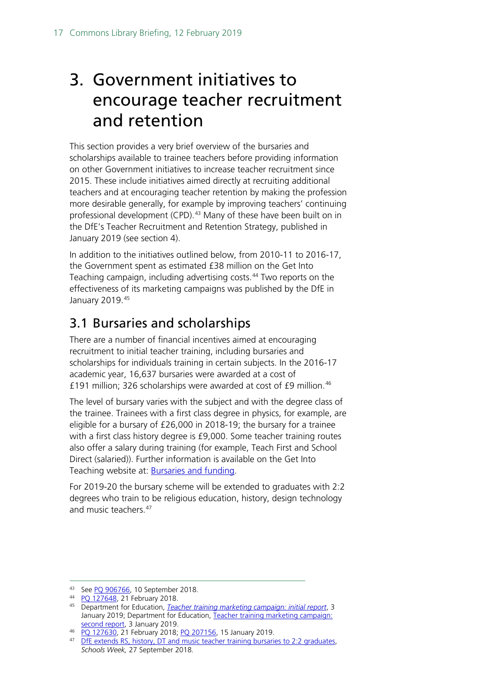## <span id="page-16-0"></span>3. Government initiatives to encourage teacher recruitment and retention

This section provides a very brief overview of the bursaries and scholarships available to trainee teachers before providing information on other Government initiatives to increase teacher recruitment since 2015. These include initiatives aimed directly at recruiting additional teachers and at encouraging teacher retention by making the profession more desirable generally, for example by improving teachers' continuing professional development (CPD).<sup>[43](#page-16-2)</sup> Many of these have been built on in the DfE's Teacher Recruitment and Retention Strategy, published in January 2019 (see section 4).

In addition to the initiatives outlined below, from 2010-11 to 2016-17, the Government spent as estimated £38 million on the Get Into Teaching campaign, including advertising costs.<sup>[44](#page-16-3)</sup> Two reports on the effectiveness of its marketing campaigns was published by the DfE in January 2019.[45](#page-16-4)

### <span id="page-16-1"></span>3.1 Bursaries and scholarships

There are a number of financial incentives aimed at encouraging recruitment to initial teacher training, including bursaries and scholarships for individuals training in certain subjects. In the 2016-17 academic year, 16,637 bursaries were awarded at a cost of £191 million; 326 scholarships were awarded at cost of £9 million.<sup>[46](#page-16-5)</sup>

The level of bursary varies with the subject and with the degree class of the trainee. Trainees with a first class degree in physics, for example, are eligible for a bursary of £26,000 in 2018-19; the bursary for a trainee with a first class history degree is £9,000. Some teacher training routes also offer a salary during training (for example, Teach First and School Direct (salaried)). Further information is available on the Get Into Teaching website at: [Bursaries and funding.](https://getintoteaching.education.gov.uk/funding-and-salary/overview)

For 2019-20 the bursary scheme will be extended to graduates with 2:2 degrees who train to be religious education, history, design technology and music teachers.<sup>[47](#page-16-6)</sup>

<span id="page-16-2"></span><sup>43</sup> See [PQ 906766,](https://www.parliament.uk/written-questions-answers-statements/written-question/commons/2018-09-10/906766) 10 September 2018.

<span id="page-16-3"></span><sup>44</sup> [PQ 127648,](https://www.parliament.uk/written-questions-answers-statements/written-question/commons/2018-02-08/127648) 21 February 2018.

<span id="page-16-4"></span><sup>45</sup> Department for Education, *[Teacher training marketing campaign: initial report](https://www.gov.uk/government/publications/teacher-training-marketing-campaign-initial-report)*, 3 January 2019; Department for Education, [Teacher training marketing campaign:](https://www.gov.uk/government/publications/teacher-training-marketing-campaign-second-report)  [second report,](https://www.gov.uk/government/publications/teacher-training-marketing-campaign-second-report) 3 January 2019.

<span id="page-16-5"></span><sup>46</sup> [PQ 127630,](https://www.parliament.uk/written-questions-answers-statements/written-question/commons/2018-02-08/127630) 21 February 2018; [PQ 207156,](https://www.parliament.uk/written-questions-answers-statements/written-question/commons/2019-01-10/207156) 15 January 2019.

<span id="page-16-6"></span><sup>&</sup>lt;sup>47</sup> [DfE extends RS, history, DT and music teacher training bursaries to 2:2 graduates,](https://schoolsweek.co.uk/dfe-extends-rs-history-dt-and-music-teacher-training-bursaries-to-22-graduates/) *Schools Week,* 27 September 2018.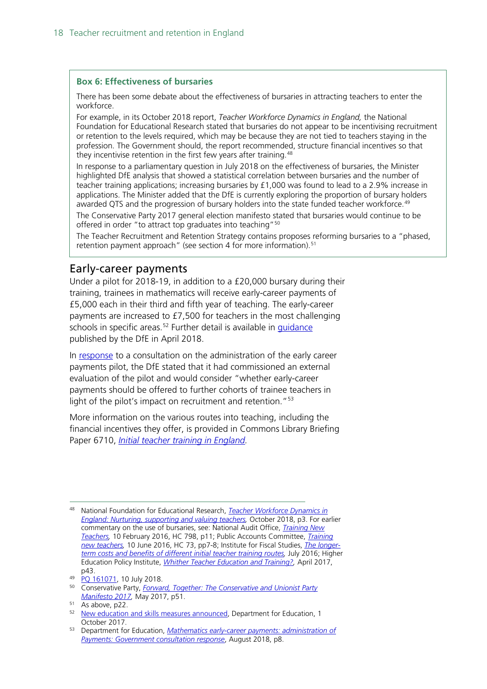#### **Box 6: Effectiveness of bursaries**

There has been some debate about the effectiveness of bursaries in attracting teachers to enter the workforce.

For example, in its October 2018 report, *Teacher Workforce Dynamics in England,* the National Foundation for Educational Research stated that bursaries do not appear to be incentivising recruitment or retention to the levels required, which may be because they are not tied to teachers staying in the profession. The Government should, the report recommended, structure financial incentives so that they incentivise retention in the first few years after training.<sup>[48](#page-17-1)</sup>

In response to a parliamentary question in July 2018 on the effectiveness of bursaries, the Minister highlighted DfE analysis that showed a statistical correlation between bursaries and the number of teacher training applications; increasing bursaries by £1,000 was found to lead to a 2.9% increase in applications. The Minister added that the DfE is currently exploring the proportion of bursary holders awarded QTS and the progression of bursary holders into the state funded teacher workforce.<sup>[49](#page-17-2)</sup>

The Conservative Party 2017 general election manifesto stated that bursaries would continue to be offered in order "to attract top graduates into teaching"[50](#page-17-3)

The Teacher Recruitment and Retention Strategy contains proposes reforming bursaries to a "phased, retention payment approach" (see section 4 for more information).<sup>[51](#page-17-4)</sup>

#### <span id="page-17-0"></span>Early-career payments

Under a pilot for 2018-19, in addition to a £20,000 bursary during their training, trainees in mathematics will receive early-career payments of £5,000 each in their third and fifth year of teaching. The early-career payments are increased to £7,500 for teachers in the most challenging schools in specific areas.<sup>[52](#page-17-5)</sup> Further detail is available in quidance published by the DfE in April 2018.

In [response](https://assets.publishing.service.gov.uk/government/uploads/system/uploads/attachment_data/file/736794/Mathematics_early-career_payments_-consultation_response.pdf) to a consultation on the administration of the early career payments pilot, the DfE stated that it had commissioned an external evaluation of the pilot and would consider "whether early-career payments should be offered to further cohorts of trainee teachers in light of the pilot's impact on recruitment and retention."<sup>[53](#page-17-6)</sup>

More information on the various routes into teaching, including the financial incentives they offer, is provided in Commons Library Briefing Paper 6710, *[Initial teacher training in England.](http://researchbriefings.files.parliament.uk/documents/SN06710/SN06710.pdf)* 

<span id="page-17-1"></span> <sup>48</sup> National Foundation for Educational Research, *[Teacher Workforce Dynamics in](https://www.nfer.ac.uk/media/3111/teacher_workforce_dynamics_in_england_final_report.pdf)  [England: Nurturing, supporting and valuing teachers,](https://www.nfer.ac.uk/media/3111/teacher_workforce_dynamics_in_england_final_report.pdf)* October 2018, p3. For earlier commentary on the use of bursaries, see: National Audit Office, *[Training New](https://www.nao.org.uk/report/training-new-teachers/)  [Teachers,](https://www.nao.org.uk/report/training-new-teachers/)* 10 February 2016, HC 798, p11; Public Accounts Committee, *[Training](https://www.publications.parliament.uk/pa/cm201617/cmselect/cmpubacc/73/73.pdf)  [new teachers,](https://www.publications.parliament.uk/pa/cm201617/cmselect/cmpubacc/73/73.pdf)* 10 June 2016, HC 73, pp7-8; Institute for Fiscal Studies, *[The longer](https://www.ifs.org.uk/publications/8368)[term costs and benefits of different initial teacher training routes,](https://www.ifs.org.uk/publications/8368)* July 2016; Higher Education Policy Institute, *[Whither Teacher Education and Training?,](http://www.hepi.ac.uk/wp-content/uploads/2017/04/Embargoed-until-00.01am-Thursday-27-April-2017-WHITHER-TEACHER-EDUCATION-AND-TRAINING-Report-95-19_04_17WEB.pdf)* April 2017, p43.

<sup>49</sup> [PQ 161071,](https://www.parliament.uk/written-questions-answers-statements/written-question/commons/2018-07-05/161071) 10 July 2018.

<span id="page-17-3"></span><span id="page-17-2"></span><sup>50</sup> Conservative Party, *[Forward, Together: The Conservative and Unionist Party](https://www.conservatives.com/manifesto)  [Manifesto 2017,](https://www.conservatives.com/manifesto) May 2017, p51.*<br>51 As above, p22.

<span id="page-17-4"></span>

<span id="page-17-5"></span><sup>&</sup>lt;sup>52</sup> [New education and skills measures announced,](https://www.gov.uk/government/news/new-education-and-skills-measures-announced) Department for Education, 1 October 2017.

<span id="page-17-6"></span><sup>53</sup> Department for Education, *[Mathematics early-career payments: administration of](https://assets.publishing.service.gov.uk/government/uploads/system/uploads/attachment_data/file/736794/Mathematics_early-career_payments_-consultation_response.pdf)  [Payments: Government consultation response](https://assets.publishing.service.gov.uk/government/uploads/system/uploads/attachment_data/file/736794/Mathematics_early-career_payments_-consultation_response.pdf)*, August 2018, p8.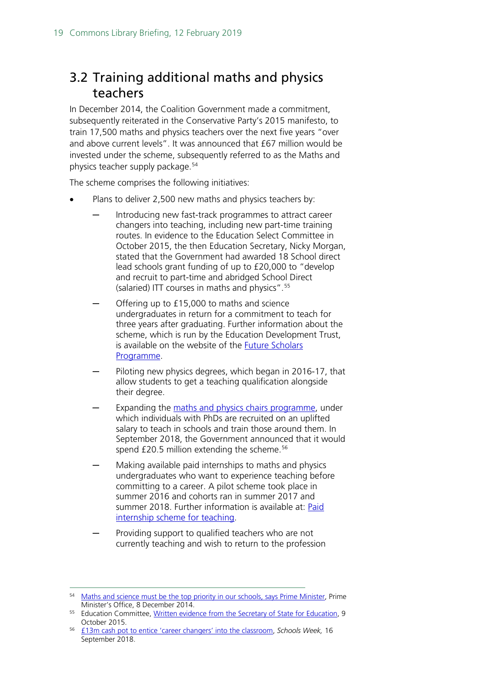### <span id="page-18-0"></span>3.2 Training additional maths and physics teachers

In December 2014, the Coalition Government made a commitment, subsequently reiterated in the Conservative Party's 2015 manifesto, to train 17,500 maths and physics teachers over the next five years "over and above current levels". It was announced that £67 million would be invested under the scheme, subsequently referred to as the Maths and physics teacher supply package.[54](#page-18-1)

The scheme comprises the following initiatives:

- Plans to deliver 2,500 new maths and physics teachers by:
	- Introducing new fast-track programmes to attract career changers into teaching, including new part-time training routes. In evidence to the Education Select Committee in October 2015, the then Education Secretary, Nicky Morgan, stated that the Government had awarded 18 School direct lead schools grant funding of up to £20,000 to "develop and recruit to part-time and abridged School Direct (salaried) ITT courses in maths and physics".[55](#page-18-2)
	- Offering up to £15,000 to maths and science undergraduates in return for a commitment to teach for three years after graduating. Further information about the scheme, which is run by the Education Development Trust, is available on the website of the [Future Scholars](https://www.futureteachingscholars.com/programme)  [Programme.](https://www.futureteachingscholars.com/programme)
	- Piloting new physics degrees, which began in 2016-17, that allow students to get a teaching qualification alongside their degree.
	- Expanding the [maths and physics chairs programme,](http://www.researchersinschools.org/our-work/maths-and-physics-chairs-programme/) under which individuals with PhDs are recruited on an uplifted salary to teach in schools and train those around them. In September 2018, the Government announced that it would spend £20.5 million extending the scheme.<sup>[56](#page-18-3)</sup>
	- Making available paid internships to maths and physics undergraduates who want to experience teaching before committing to a career. A pilot scheme took place in summer 2016 and cohorts ran in summer 2017 and summer 2018. Further information is available at: [Paid](https://www.gov.uk/guidance/paid-internships-for-teaching)  [internship scheme for teaching.](https://www.gov.uk/guidance/paid-internships-for-teaching)
	- Providing support to qualified teachers who are not currently teaching and wish to return to the profession

<span id="page-18-1"></span><sup>54</sup> [Maths and science must be the top priority in our schools, says Prime Minister,](https://www.gov.uk/government/news/maths-and-science-must-be-the-top-priority-in-our-schools-says-prime-minister) Prime Minister's Office, 8 December 2014.

<span id="page-18-2"></span><sup>&</sup>lt;sup>55</sup> Education Committee, [Written evidence from the Secretary of State for Education,](http://www.parliament.uk/documents/commons-committees/Education/Letter-from-the-Secretary-of-State-regarding-teacher-recruitment.pdf) 9 October 2015.

<span id="page-18-3"></span><sup>56</sup> [£13m cash pot to entice 'career changers' into the classroom,](https://schoolsweek.co.uk/13m-cash-pot-to-entice-career-changers-into-the-classroom/) *Schools Week,* 16 September 2018.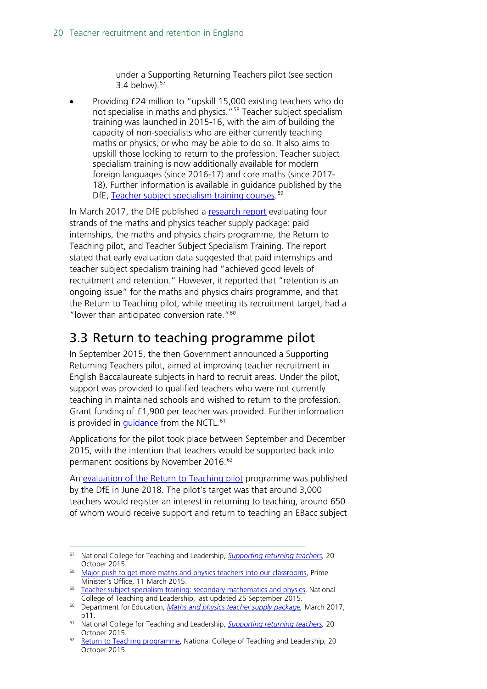under a Supporting Returning Teachers pilot (see section 3.4 below). [57](#page-19-1)

• Providing £24 million to "upskill 15,000 existing teachers who do not specialise in maths and physics."<sup>[58](#page-19-2)</sup> Teacher subject specialism training was launched in 2015-16, with the aim of building the capacity of non-specialists who are either currently teaching maths or physics, or who may be able to do so. It also aims to upskill those looking to return to the profession. Teacher subject specialism training is now additionally available for modern foreign languages (since 2016-17) and core maths (since 2017- 18). Further information is available in guidance published by the DfE, [Teacher](https://www.gov.uk/guidance/teacher-subject-specialism-training-courses) subject specialism training courses.<sup>[59](#page-19-3)</sup>

In March 2017, the DfE published a [research report](https://www.gov.uk/government/publications/maths-and-physics-teacher-supply-package) evaluating four strands of the maths and physics teacher supply package: paid internships, the maths and physics chairs programme, the Return to Teaching pilot, and Teacher Subject Specialism Training. The report stated that early evaluation data suggested that paid internships and teacher subject specialism training had "achieved good levels of recruitment and retention." However, it reported that "retention is an ongoing issue" for the maths and physics chairs programme, and that the Return to Teaching pilot, while meeting its recruitment target, had a "lower than anticipated conversion rate."<sup>[60](#page-19-4)</sup>

### <span id="page-19-0"></span>3.3 Return to teaching programme pilot

In September 2015, the then Government announced a Supporting Returning Teachers pilot, aimed at improving teacher recruitment in English Baccalaureate subjects in hard to recruit areas. Under the pilot, support was provided to qualified teachers who were not currently teaching in maintained schools and wished to return to the profession. Grant funding of £1,900 per teacher was provided. Further information is provided in *guidance* from the NCTL.<sup>[61](#page-19-5)</sup>

Applications for the pilot took place between September and December 2015, with the intention that teachers would be supported back into permanent positions by November 2016.<sup>[62](#page-19-6)</sup>

An [evaluation of the Return to Teaching pilot](https://assets.publishing.service.gov.uk/government/uploads/system/uploads/attachment_data/file/720366/Evaluation_of_the_Return_to_Teaching_pilot_programme.pdf) programme was published by the DfE in June 2018. The pilot's target was that around 3,000 teachers would register an interest in returning to teaching, around 650 of whom would receive support and return to teaching an EBacc subject

<span id="page-19-1"></span> <sup>57</sup> National College for Teaching and Leadership, *[Supporting returning teachers,](https://www.gov.uk/guidance/supporting-returning-teachers#overview)* <sup>20</sup> October 2015.

<span id="page-19-2"></span><sup>&</sup>lt;sup>58</sup> [Major push to get more maths and physics teachers into our classrooms,](https://www.gov.uk/government/news/major-push-to-get-more-maths-and-physics-teachers-into-our-classrooms) Prime Minister's Office, 11 March 2015.

<span id="page-19-3"></span><sup>&</sup>lt;sup>59</sup> [Teacher subject specialism training: secondary mathematics and physics,](https://www.gov.uk/guidance/teacher-subject-specialism-training-secondary-maths-and-physics) National College of Teaching and Leadership, last updated 25 September 2015.

<span id="page-19-4"></span><sup>60</sup> Department for Education, *[Maths and physics teacher supply package,](https://www.gov.uk/government/publications/maths-and-physics-teacher-supply-package)* March 2017, p11.

<span id="page-19-5"></span><sup>61</sup> National College for Teaching and Leadership, *[Supporting returning teachers,](https://www.gov.uk/guidance/supporting-returning-teachers#overview)* 20 October 2015.

<span id="page-19-6"></span><sup>&</sup>lt;sup>62</sup> [Return to Teaching programme,](https://www.gov.uk/guidance/supporting-returning-teachers) National College of Teaching and Leadership, 20 October 2015.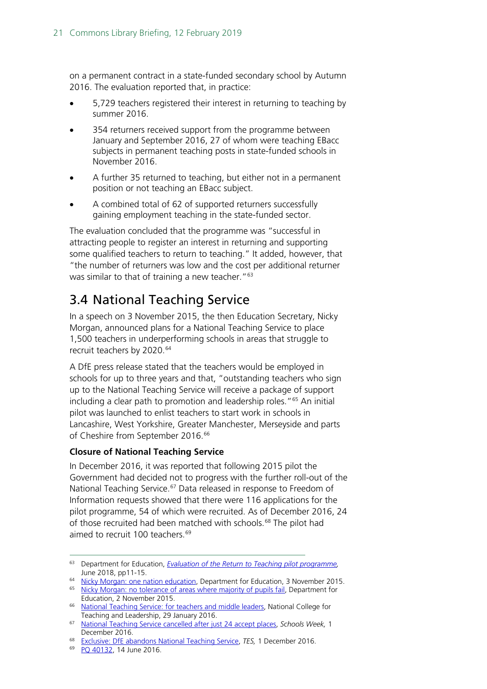on a permanent contract in a state-funded secondary school by Autumn 2016. The evaluation reported that, in practice:

- 5,729 teachers registered their interest in returning to teaching by summer 2016.
- 354 returners received support from the programme between January and September 2016, 27 of whom were teaching EBacc subjects in permanent teaching posts in state-funded schools in November 2016.
- A further 35 returned to teaching, but either not in a permanent position or not teaching an EBacc subject.
- A combined total of 62 of supported returners successfully gaining employment teaching in the state-funded sector.

The evaluation concluded that the programme was "successful in attracting people to register an interest in returning and supporting some qualified teachers to return to teaching." It added, however, that "the number of returners was low and the cost per additional returner was similar to that of training a new teacher."<sup>[63](#page-20-1)</sup>

### <span id="page-20-0"></span>3.4 National Teaching Service

In a speech on 3 November 2015, the then Education Secretary, Nicky Morgan, announced plans for a National Teaching Service to place 1,500 teachers in underperforming schools in areas that struggle to recruit teachers by 2020.<sup>[64](#page-20-2)</sup>

A DfE press release stated that the teachers would be employed in schools for up to three years and that, "outstanding teachers who sign up to the National Teaching Service will receive a package of support including a clear path to promotion and leadership roles."[65](#page-20-3) An initial pilot was launched to enlist teachers to start work in schools in Lancashire, West Yorkshire, Greater Manchester, Merseyside and parts of Cheshire from September 2016.<sup>[66](#page-20-4)</sup>

#### **Closure of National Teaching Service**

In December 2016, it was reported that following 2015 pilot the Government had decided not to progress with the further roll-out of the National Teaching Service.<sup>[67](#page-20-5)</sup> Data released in response to Freedom of Information requests showed that there were 116 applications for the pilot programme, 54 of which were recruited. As of December 2016, 24 of those recruited had been matched with schools.<sup>[68](#page-20-6)</sup> The pilot had aimed to recruit 100 teachers.<sup>[69](#page-20-7)</sup>

<span id="page-20-1"></span> <sup>63</sup> Department for Education, *[Evaluation of the Return to Teaching pilot programme,](https://www.gov.uk/government/publications/evaluation-of-the-return-to-teaching-programme?utm_source=b811c1da-936a-4637-86ab-eea4b0cdf481&utm_medium=email&utm_campaign=govuk-notifications&utm_content=immediate)*  June 2018, pp11-15.

<span id="page-20-2"></span><sup>&</sup>lt;sup>64</sup> [Nicky Morgan: one nation education,](https://www.gov.uk/government/speeches/nicky-morgan-one-nation-education) Department for Education, 3 November 2015.

<span id="page-20-3"></span><sup>&</sup>lt;sup>65</sup> [Nicky Morgan: no tolerance of areas where majority of pupils fail,](https://www.gov.uk/government/news/nicky-morgan-no-tolerance-of-areas-where-majority-of-pupils-fail) Department for Education, 2 November 2015.

<span id="page-20-4"></span><sup>66</sup> [National Teaching Service: for teachers and middle leaders,](https://www.gov.uk/guidance/national-teaching-service-for-teachers-and-middle-leaders#benefits) National College for Teaching and Leadership, 29 January 2016.

<span id="page-20-5"></span><sup>67</sup> [National Teaching Service cancelled after just 24 accept places,](http://schoolsweek.co.uk/national-teaching-service-cancelled-after-just-24-accept-places/) *Schools Week,* 1 December 2016.

<span id="page-20-6"></span><sup>68</sup> [Exclusive: DfE abandons National Teaching Service,](https://www.tes.com/news/school-news/breaking-news/exclusive-dfe-abandons-national-teaching-service) *TES,* 1 December 2016.

<span id="page-20-7"></span><sup>69</sup> [PQ 40132,](http://www.parliament.uk/written-questions-answers-statements/written-question/commons/2016-06-09/40132) 14 June 2016.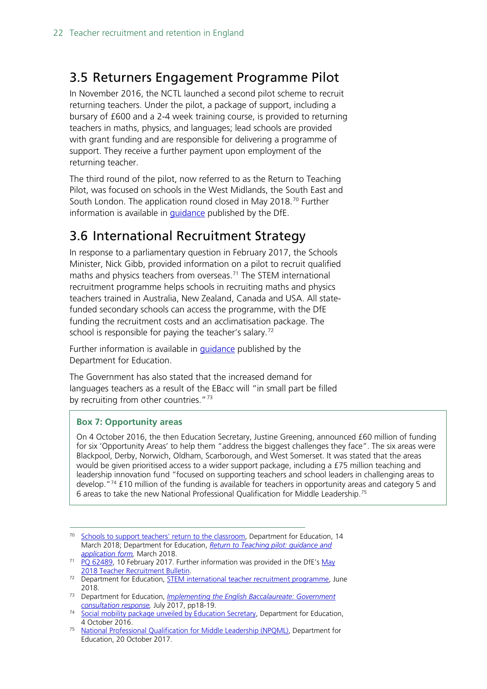### <span id="page-21-0"></span>3.5 Returners Engagement Programme Pilot

In November 2016, the NCTL launched a second pilot scheme to recruit returning teachers. Under the pilot, a package of support, including a bursary of £600 and a 2-4 week training course, is provided to returning teachers in maths, physics, and languages; lead schools are provided with grant funding and are responsible for delivering a programme of support. They receive a further payment upon employment of the returning teacher.

The third round of the pilot, now referred to as the Return to Teaching Pilot, was focused on schools in the West Midlands, the South East and South London. The application round closed in May 2018. [70](#page-21-2) Further information is available in [guidance](https://www.gov.uk/government/publications/return-to-teaching-pilot-guidance-and-application-form) published by the DfE.

### <span id="page-21-1"></span>3.6 International Recruitment Strategy

In response to a parliamentary question in February 2017, the Schools Minister, Nick Gibb, provided information on a pilot to recruit qualified maths and physics teachers from overseas. [71](#page-21-3) The STEM international recruitment programme helps schools in recruiting maths and physics teachers trained in Australia, New Zealand, Canada and USA. All statefunded secondary schools can access the programme, with the DfE funding the recruitment costs and an acclimatisation package. The school is responsible for paying the teacher's salary.<sup>[72](#page-21-4)</sup>

Further information is available in [guidance](https://www.gov.uk/guidance/stem-international-teacher-recruitment-programme?utm_source=51d1e5f8-75a1-4f76-856d-2bef6b1004c2&utm_medium=email&utm_campaign=govuk-notifications&utm_content=immediate#programme-evaluation) published by the Department for Education.

The Government has also stated that the increased demand for languages teachers as a result of the EBacc will "in small part be filled by recruiting from other countries." $73$ 

#### **Box 7: Opportunity areas**

On 4 October 2016, the then Education Secretary, Justine Greening, announced £60 million of funding for six 'Opportunity Areas' to help them "address the biggest challenges they face". The six areas were Blackpool, Derby, Norwich, Oldham, Scarborough, and West Somerset. It was stated that the areas would be given prioritised access to a wider support package, including a £75 million teaching and leadership innovation fund "focused on supporting teachers and school leaders in challenging areas to develop."[74](#page-21-6) £10 million of the funding is available for teachers in opportunity areas and category 5 and 6 areas to take the new National Professional Qualification for Middle Leadership. [75](#page-21-7)

<span id="page-21-2"></span><sup>&</sup>lt;sup>70</sup> [Schools to support teachers' return to the classroom,](https://www.gov.uk/government/news/schools-to-support-teachers-return-to-the-classroom) Department for Education, 14 March 2018; Department for Education, *[Return to Teaching pilot: guidance and](https://www.gov.uk/government/publications/return-to-teaching-pilot-guidance-and-application-form)  [application form,](https://www.gov.uk/government/publications/return-to-teaching-pilot-guidance-and-application-form)* March 2018.

<span id="page-21-3"></span> $71$  [PQ 62489,](http://www.parliament.uk/written-questions-answers-statements/written-question/commons/2017-01-31/62489) 10 February 2017. Further information was provided in the DfE's May [2018 Teacher Recruitment Bulletin.](https://www.gov.uk/government/publications/teacher-recruitment-bulletin/teacher-recruitment-bulletin-may-2018)

<span id="page-21-4"></span><sup>&</sup>lt;sup>72</sup> Department for Education, **STEM** international teacher recruitment programme, June 2018.

<span id="page-21-5"></span><sup>73</sup> Department for Education, *[Implementing the English Baccalaureate: Government](https://www.gov.uk/government/uploads/system/uploads/attachment_data/file/630713/Implementing_the_English_Baccalaureate_-_Government_consultation_response.pdf)  [consultation response,](https://www.gov.uk/government/uploads/system/uploads/attachment_data/file/630713/Implementing_the_English_Baccalaureate_-_Government_consultation_response.pdf)* July 2017, pp18-19.

<span id="page-21-6"></span><sup>&</sup>lt;sup>74</sup> [Social mobility package unveiled](https://www.gov.uk/government/news/social-mobility-package-unveiled-by-education-secretary) by Education Secretary, Department for Education, 4 October 2016.

<span id="page-21-7"></span><sup>75</sup> [National Professional Qualification for Middle Leadership \(NPQML\),](https://www.gov.uk/guidance/national-professional-qualification-for-middle-leadership-npqml) Department for Education, 20 October 2017.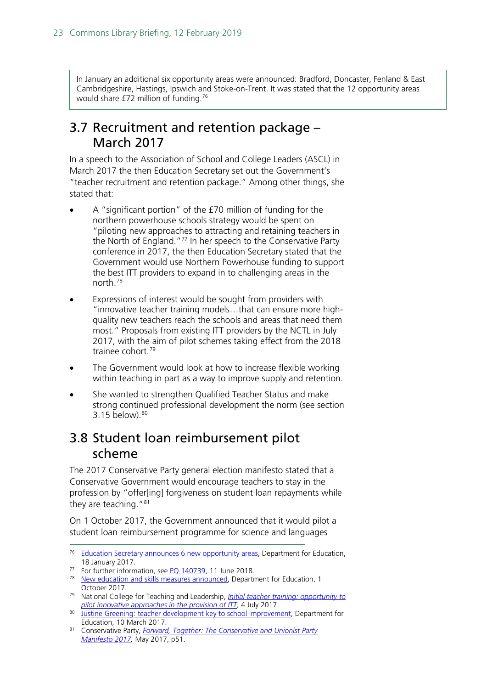In January an additional six opportunity areas were announced: Bradford, Doncaster, Fenland & East Cambridgeshire, Hastings, Ipswich and Stoke-on-Trent. It was stated that the 12 opportunity areas would share £72 million of funding.[76](#page-22-2)

#### <span id="page-22-0"></span>3.7 Recruitment and retention package – March 2017

In a speech to the Association of School and College Leaders (ASCL) in March 2017 the then Education Secretary set out the Government's "teacher recruitment and retention package." Among other things, she stated that:

- A "significant portion" of the £70 million of funding for the northern powerhouse schools strategy would be spent on "piloting new approaches to attracting and retaining teachers in the North of England."<sup>[77](#page-22-3)</sup> In her speech to the Conservative Party conference in 2017, the then Education Secretary stated that the Government would use Northern Powerhouse funding to support the best ITT providers to expand in to challenging areas in the north.[78](#page-22-4)
- Expressions of interest would be sought from providers with "innovative teacher training models…that can ensure more highquality new teachers reach the schools and areas that need them most." Proposals from existing ITT providers by the NCTL in July 2017, with the aim of pilot schemes taking effect from the 2018 trainee cohort.<sup>[79](#page-22-5)</sup>
- The Government would look at how to increase flexible working within teaching in part as a way to improve supply and retention.
- She wanted to strengthen Qualified Teacher Status and make strong continued professional development the norm (see section 3.15 below). [80](#page-22-6)

### <span id="page-22-1"></span>3.8 Student loan reimbursement pilot scheme

The 2017 Conservative Party general election manifesto stated that a Conservative Government would encourage teachers to stay in the profession by "offer[ing] forgiveness on student loan repayments while they are teaching."<sup>[81](#page-22-7)</sup>

On 1 October 2017, the Government announced that it would pilot a student loan reimbursement programme for science and languages

<sup>77</sup> For further information, see [PQ 140739,](https://www.parliament.uk/written-questions-answers-statements/written-question/commons/2018-05-02/140739) 11 June 2018.

<span id="page-22-5"></span><sup>79</sup> National College for Teaching and Leadership, *[Initial teacher training: opportunity to](https://www.gov.uk/guidance/initial-teacher-training-opportunity-to-pilot-innovative-approaches-in-the-provision-of-itt)  [pilot innovative approaches in the provision of ITT,](https://www.gov.uk/guidance/initial-teacher-training-opportunity-to-pilot-innovative-approaches-in-the-provision-of-itt)* 4 July 2017.

<span id="page-22-2"></span><sup>&</sup>lt;sup>76</sup> [Education Secretary announces 6 new opportunity areas,](https://www.gov.uk/government/news/education-secretary-announces-6-new-opportunity-areas) Department for Education, 18 January 2017.

<span id="page-22-4"></span><span id="page-22-3"></span><sup>78</sup> [New education and skills measures announced,](https://www.gov.uk/government/news/new-education-and-skills-measures-announced) Department for Education, 1 October 2017.

<span id="page-22-6"></span><sup>80</sup> [Justine Greening: teacher development key to school improvement,](https://www.gov.uk/government/speeches/justine-greening-teacher-development-key-to-school-improvement) Department for Education, 10 March 2017.

<span id="page-22-7"></span><sup>81</sup> Conservative Party, *[Forward, Together: The Conservative and Unionist Party](https://www.conservatives.com/manifesto)  [Manifesto 2017,](https://www.conservatives.com/manifesto)* May 2017, p51.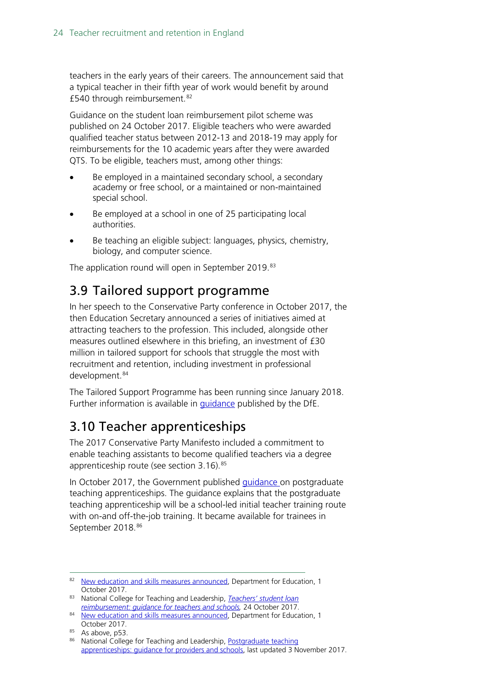teachers in the early years of their careers. The announcement said that a typical teacher in their fifth year of work would benefit by around £540 through reimbursement.<sup>[82](#page-23-2)</sup>

Guidance on the student loan reimbursement pilot scheme was published on 24 October 2017. Eligible teachers who were awarded qualified teacher status between 2012-13 and 2018-19 may apply for reimbursements for the 10 academic years after they were awarded QTS. To be eligible, teachers must, among other things:

- Be employed in a maintained secondary school, a secondary academy or free school, or a maintained or non-maintained special school.
- Be employed at a school in one of 25 participating local authorities.
- Be teaching an eligible subject: languages, physics, chemistry, biology, and computer science.

The application round will open in September 2019.<sup>[83](#page-23-3)</sup>

### <span id="page-23-0"></span>3.9 Tailored support programme

In her speech to the Conservative Party conference in October 2017, the then Education Secretary announced a series of initiatives aimed at attracting teachers to the profession. This included, alongside other measures outlined elsewhere in this briefing, an investment of £30 million in tailored support for schools that struggle the most with recruitment and retention, including investment in professional development.<sup>[84](#page-23-4)</sup>

The Tailored Support Programme has been running since January 2018. Further information is available in [guidance](https://www.gov.uk/government/publications/tailored-support-programme-system-leaders-support?utm_source=7678eb46-9cc9-4561-bbcb-4f23ca8d4046&utm_medium=email&utm_campaign=govuk-notifications&utm_content=immediate) published by the DfE.

### <span id="page-23-1"></span>3.10 Teacher apprenticeships

The 2017 Conservative Party Manifesto included a commitment to enable teaching assistants to become qualified teachers via a degree apprenticeship route (see section  $3.16$ ).  $85$ 

In October 2017, the Government published [guidance o](https://www.gov.uk/guidance/postgraduate-teaching-apprenticeships-guidance-for-providers)n postgraduate teaching apprenticeships. The guidance explains that the postgraduate teaching apprenticeship will be a school-led initial teacher training route with on-and off-the-job training. It became available for trainees in September 2018.<sup>[86](#page-23-6)</sup>

<span id="page-23-2"></span><sup>82</sup> [New education and skills measures announced,](https://www.gov.uk/government/news/new-education-and-skills-measures-announced) Department for Education, 1 October 2017.

<span id="page-23-3"></span><sup>83</sup> National College for Teaching and Leadership, *[Teachers' student loan](https://www.gov.uk/guidance/teachers-student-loan-reimbursement-guidance-for-teachers-and-schools)  [reimbursement: guidance for teachers and schools,](https://www.gov.uk/guidance/teachers-student-loan-reimbursement-guidance-for-teachers-and-schools)* 24 October 2017.

<span id="page-23-4"></span><sup>84</sup> [New education and skills measures announced,](https://www.gov.uk/government/news/new-education-and-skills-measures-announced--2) Department for Education, 1 October 2017.

<sup>85</sup> As above, p53.

<span id="page-23-6"></span><span id="page-23-5"></span><sup>86</sup> National College for Teaching and Leadership, Postgraduate teaching [apprenticeships: guidance for providers and schools,](https://www.gov.uk/guidance/postgraduate-teaching-apprenticeships-guidance-for-providers) last updated 3 November 2017.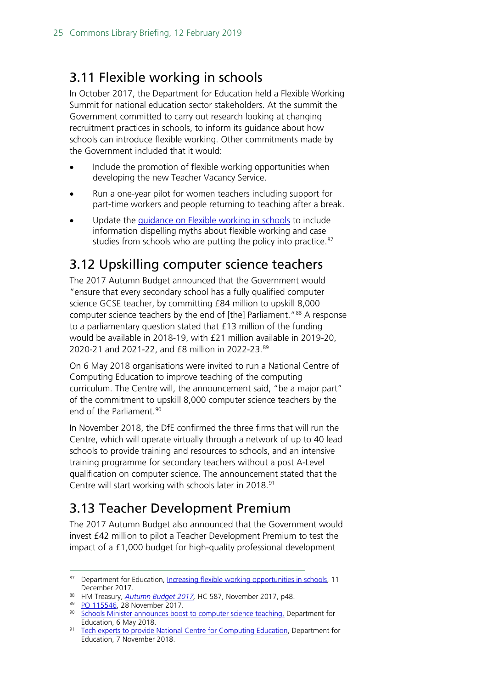### <span id="page-24-0"></span>3.11 Flexible working in schools

In October 2017, the Department for Education held a Flexible Working Summit for national education sector stakeholders. At the summit the Government committed to carry out research looking at changing recruitment practices in schools, to inform its guidance about how schools can introduce flexible working. Other commitments made by the Government included that it would:

- Include the promotion of flexible working opportunities when developing the new Teacher Vacancy Service.
- Run a one-year pilot for women teachers including support for part-time workers and people returning to teaching after a break.
- Update the [guidance on Flexible working in schools](https://www.gov.uk/government/publications/flexible-working-in-schools) to include information dispelling myths about flexible working and case studies from schools who are putting the policy into practice.<sup>[87](#page-24-3)</sup>

### <span id="page-24-1"></span>3.12 Upskilling computer science teachers

The 2017 Autumn Budget announced that the Government would "ensure that every secondary school has a fully qualified computer science GCSE teacher, by committing £84 million to upskill 8,000 computer science teachers by the end of [the] Parliament."<sup>[88](#page-24-4)</sup> A response to a parliamentary question stated that £13 million of the funding would be available in 2018-19, with £21 million available in 2019-20, 2020-21 and 2021-22, and £8 million in 2022-23.[89](#page-24-5)

On 6 May 2018 organisations were invited to run a National Centre of Computing Education to improve teaching of the computing curriculum. The Centre will, the announcement said, "be a major part" of the commitment to upskill 8,000 computer science teachers by the end of the Parliament.<sup>[90](#page-24-6)</sup>

In November 2018, the DfE confirmed the three firms that will run the Centre, which will operate virtually through a network of up to 40 lead schools to provide training and resources to schools, and an intensive training programme for secondary teachers without a post A-Level qualification on computer science. The announcement stated that the Centre will start working with schools later in 2018.<sup>[91](#page-24-7)</sup>

### <span id="page-24-2"></span>3.13 Teacher Development Premium

The 2017 Autumn Budget also announced that the Government would invest £42 million to pilot a Teacher Development Premium to test the impact of a £1,000 budget for high-quality professional development

<span id="page-24-4"></span><sup>88</sup> HM Treasury, *[Autumn Budget 2017,](https://www.gov.uk/government/uploads/system/uploads/attachment_data/file/661480/autumn_budget_2017_web.pdf)* HC 587, November 2017, p48.

<span id="page-24-3"></span><sup>87</sup> Department for Education, [Increasing flexible working opportunities in schools,](https://www.gov.uk/government/publications/increasing-flexible-working-in-schools/increasing-flexible-working-opportunities-in-schools) 11 December 2017.

<sup>89</sup> [PQ 115546,](http://www.parliament.uk/written-questions-answers-statements/written-question/commons/2017-11-23/115546) 28 November 2017.

<span id="page-24-6"></span><span id="page-24-5"></span><sup>90</sup> [Schools Minister announces boost to computer science teaching,](https://www.gov.uk/government/news/schools-minister-announces-boost-to-computer-science-teaching?utm_source=d04d8485-cea6-40fc-b3d2-6b9b24a360df&utm_medium=email&utm_campaign=govuk-notifications&utm_content=immediate) Department for Education, 6 May 2018.

<span id="page-24-7"></span>[Tech experts to provide National Centre for Computing Education,](https://www.gov.uk/government/news/tech-experts-to-provide-national-centre-for-computing-education) Department for Education, 7 November 2018.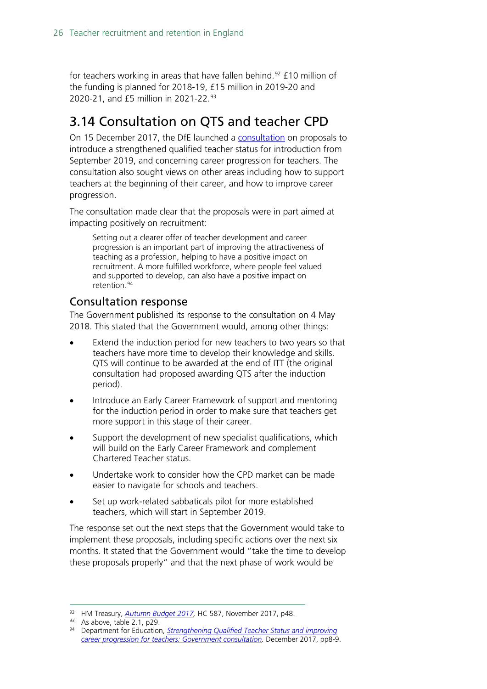for teachers working in areas that have fallen behind.<sup>[92](#page-25-2)</sup> £10 million of the funding is planned for 2018-19, £15 million in 2019-20 and 2020-21, and £5 million in 2021-22.<sup>[93](#page-25-3)</sup>

### <span id="page-25-0"></span>3.14 Consultation on QTS and teacher CPD

On 15 December 2017, the DfE launched a [consultation](https://consult.education.gov.uk/teaching-profession-unit/strengthening-qts-and-improving-career-progression/supporting_documents/Strengthening%20Qualified%20Teacher%20Status%20and%20improving%20career%20progression%20for%20teachers%20consultation.pdf) on proposals to introduce a strengthened qualified teacher status for introduction from September 2019, and concerning career progression for teachers. The consultation also sought views on other areas including how to support teachers at the beginning of their career, and how to improve career progression.

The consultation made clear that the proposals were in part aimed at impacting positively on recruitment:

Setting out a clearer offer of teacher development and career progression is an important part of improving the attractiveness of teaching as a profession, helping to have a positive impact on recruitment. A more fulfilled workforce, where people feel valued and supported to develop, can also have a positive impact on retention.[94](#page-25-4)

#### <span id="page-25-1"></span>Consultation response

The Government published its response to the consultation on 4 May 2018. This stated that the Government would, among other things:

- Extend the induction period for new teachers to two years so that teachers have more time to develop their knowledge and skills. QTS will continue to be awarded at the end of ITT (the original consultation had proposed awarding QTS after the induction period).
- Introduce an Early Career Framework of support and mentoring for the induction period in order to make sure that teachers get more support in this stage of their career.
- Support the development of new specialist qualifications, which will build on the Early Career Framework and complement Chartered Teacher status.
- Undertake work to consider how the CPD market can be made easier to navigate for schools and teachers.
- Set up work-related sabbaticals pilot for more established teachers, which will start in September 2019.

The response set out the next steps that the Government would take to implement these proposals, including specific actions over the next six months. It stated that the Government would "take the time to develop these proposals properly" and that the next phase of work would be

<span id="page-25-2"></span> <sup>92</sup> HM Treasury, *[Autumn Budget 2017,](https://www.gov.uk/government/uploads/system/uploads/attachment_data/file/661480/autumn_budget_2017_web.pdf)* HC 587, November 2017, p48.

<span id="page-25-3"></span><sup>93</sup> As above, table 2.1, p29.

<span id="page-25-4"></span><sup>94</sup> Department for Education, *[Strengthening Qualified Teacher Status and improving](https://consult.education.gov.uk/teaching-profession-unit/strengthening-qts-and-improving-career-progression/supporting_documents/Strengthening%20Qualified%20Teacher%20Status%20and%20improving%20career%20progression%20for%20teachers%20consultation.pdf)  [career progression for teachers: Government consultation,](https://consult.education.gov.uk/teaching-profession-unit/strengthening-qts-and-improving-career-progression/supporting_documents/Strengthening%20Qualified%20Teacher%20Status%20and%20improving%20career%20progression%20for%20teachers%20consultation.pdf)* December 2017, pp8-9.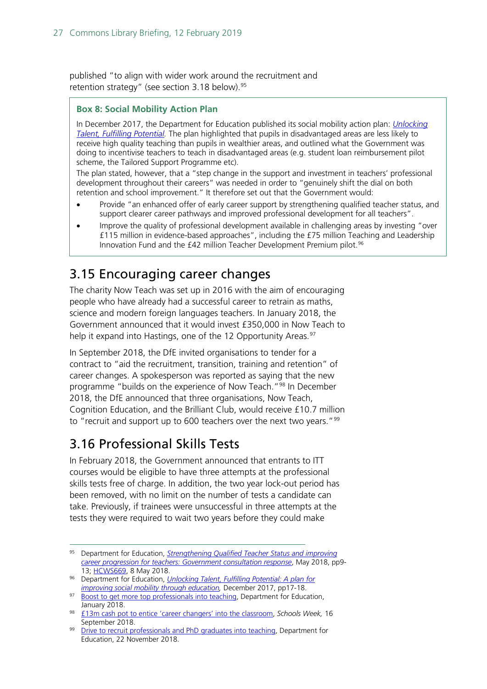published "to align with wider work around the recruitment and retention strategy" (see section  $3.18$  below).<sup>[95](#page-26-2)</sup>

#### **Box 8: Social Mobility Action Plan**

In December 2017, the Department for Education published its social mobility action plan: *[Unlocking](https://www.gov.uk/government/uploads/system/uploads/attachment_data/file/667690/Social_Mobility_Action_Plan_-_for_printing.pdf)  [Talent, Fulfilling Potential.](https://www.gov.uk/government/uploads/system/uploads/attachment_data/file/667690/Social_Mobility_Action_Plan_-_for_printing.pdf)* The plan highlighted that pupils in disadvantaged areas are less likely to receive high quality teaching than pupils in wealthier areas, and outlined what the Government was doing to incentivise teachers to teach in disadvantaged areas (e.g. student loan reimbursement pilot scheme, the Tailored Support Programme etc).

The plan stated, however, that a "step change in the support and investment in teachers' professional development throughout their careers" was needed in order to "genuinely shift the dial on both retention and school improvement." It therefore set out that the Government would:

- Provide "an enhanced offer of early career support by strengthening qualified teacher status, and support clearer career pathways and improved professional development for all teachers".
- Improve the quality of professional development available in challenging areas by investing "over £115 million in evidence-based approaches", including the £75 million Teaching and Leadership Innovation Fund and the £42 million Teacher Development Premium pilot. [96](#page-26-3)

### <span id="page-26-0"></span>3.15 Encouraging career changes

The charity Now Teach was set up in 2016 with the aim of encouraging people who have already had a successful career to retrain as maths, science and modern foreign languages teachers. In January 2018, the Government announced that it would invest £350,000 in Now Teach to help it expand into Hastings, one of the 12 Opportunity Areas.<sup>[97](#page-26-4)</sup>

In September 2018, the DfE invited organisations to tender for a contract to "aid the recruitment, transition, training and retention" of career changes. A spokesperson was reported as saying that the new programme "builds on the experience of Now Teach."<sup>[98](#page-26-5)</sup> In December 2018, the DfE announced that three organisations, Now Teach, Cognition Education, and the Brilliant Club, would receive £10.7 million to "recruit and support up to 600 teachers over the next two years."<sup>[99](#page-26-6)</sup>

#### <span id="page-26-1"></span>3.16 Professional Skills Tests

In February 2018, the Government announced that entrants to ITT courses would be eligible to have three attempts at the professional skills tests free of charge. In addition, the two year lock-out period has been removed, with no limit on the number of tests a candidate can take. Previously, if trainees were unsuccessful in three attempts at the tests they were required to wait two years before they could make

<span id="page-26-2"></span> <sup>95</sup> Department for Education, *[Strengthening Qualified Teacher Status and improving](https://assets.publishing.service.gov.uk/government/uploads/system/uploads/attachment_data/file/704942/Government_consultation_response_-_QTS_and_career_progression.pdf)  [career progression for teachers: Government consultation response](https://assets.publishing.service.gov.uk/government/uploads/system/uploads/attachment_data/file/704942/Government_consultation_response_-_QTS_and_career_progression.pdf)*, May 2018, pp9- 13; [HCWS669,](https://www.parliament.uk/business/publications/written-questions-answers-statements/written-statement/Commons/2018-05-08/HCWS669) 8 May 2018.

<span id="page-26-3"></span><sup>96</sup> Department for Education, *[Unlocking Talent, Fulfilling Potential: A plan for](https://www.gov.uk/government/uploads/system/uploads/attachment_data/file/667690/Social_Mobility_Action_Plan_-_for_printing.pdf)  [improving social mobility through education,](https://www.gov.uk/government/uploads/system/uploads/attachment_data/file/667690/Social_Mobility_Action_Plan_-_for_printing.pdf)* December 2017, pp17-18.

<span id="page-26-4"></span><sup>97</sup> [Boost to get more top professionals into teaching,](https://www.gov.uk/government/news/boost-to-get-more-top-professionals-into-teaching) Department for Education, January 2018.

<span id="page-26-5"></span><sup>98</sup> [£13m cash pot to entice 'career changers' into the classroom,](https://schoolsweek.co.uk/13m-cash-pot-to-entice-career-changers-into-the-classroom/) *Schools Week,* 16 September 2018.

<span id="page-26-6"></span>[Drive to recruit professionals and PhD graduates into teaching,](https://www.gov.uk/government/news/drive-to-recruit-professionals-and-phd-graduates-into-teaching) Department for Education, 22 November 2018.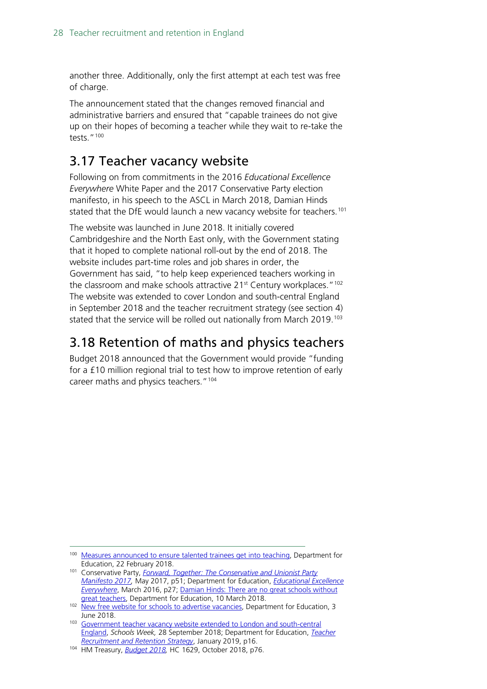another three. Additionally, only the first attempt at each test was free of charge.

The announcement stated that the changes removed financial and administrative barriers and ensured that "capable trainees do not give up on their hopes of becoming a teacher while they wait to re-take the tests."[100](#page-27-2)

### <span id="page-27-0"></span>3.17 Teacher vacancy website

Following on from commitments in the 2016 *Educational Excellence Everywhere* White Paper and the 2017 Conservative Party election manifesto, in his speech to the ASCL in March 2018, Damian Hinds stated that the DfE would launch a new vacancy website for teachers.<sup>[101](#page-27-3)</sup>

The website was launched in June 2018. It initially covered Cambridgeshire and the North East only, with the Government stating that it hoped to complete national roll-out by the end of 2018. The website includes part-time roles and job shares in order, the Government has said, "to help keep experienced teachers working in the classroom and make schools attractive 21<sup>st</sup> Century workplaces."<sup>[102](#page-27-4)</sup> The website was extended to cover London and south-central England in September 2018 and the teacher recruitment strategy (see section 4) stated that the service will be rolled out nationally from March 2019.<sup>[103](#page-27-5)</sup>

### <span id="page-27-1"></span>3.18 Retention of maths and physics teachers

Budget 2018 announced that the Government would provide "funding for a £10 million regional trial to test how to improve retention of early career maths and physics teachers."<sup>[104](#page-27-6)</sup>

<span id="page-27-2"></span><sup>&</sup>lt;sup>100</sup> [Measures announced to ensure talented trainees get into teaching,](https://www.gov.uk/government/news/measures-announced-to-ensure-talented-trainees-get-into-teaching) Department for Education, 22 February 2018.

<span id="page-27-3"></span><sup>101</sup> Conservative Party, *[Forward, Together: The Conservative and Unionist Party](https://s3.eu-west-2.amazonaws.com/manifesto2017/Manifesto2017.pdf)  [Manifesto 2017,](https://s3.eu-west-2.amazonaws.com/manifesto2017/Manifesto2017.pdf)* May 2017, p51; Department for Education, *[Educational Excellence](https://www.gov.uk/government/publications/educational-excellence-everywhere)  [Everywhere](https://www.gov.uk/government/publications/educational-excellence-everywhere)*, March 2016, p27; [Damian Hinds: There are no great schools without](https://www.gov.uk/government/speeches/damian-hinds-there-are-no-great-schools-without-great-teachers)  [great teachers,](https://www.gov.uk/government/speeches/damian-hinds-there-are-no-great-schools-without-great-teachers) Department for Education, 10 March 2018.

<span id="page-27-4"></span><sup>&</sup>lt;sup>102</sup> [New free website for schools to advertise vacancies,](https://www.gov.uk/government/news/new-free-website-for-schools-to-advertise-vacancies?utm_source=84648a83-34b7-4188-8b8a-01ec52a104ac&utm_medium=email&utm_campaign=govuk-notifications&utm_content=immediate) Department for Education, 3 June 2018.

<span id="page-27-5"></span><sup>&</sup>lt;sup>103</sup> Government teacher vacancy website extended to London and south-central [England,](https://schoolsweek.co.uk/government-teacher-vacancy-website-extended-to-london-and-south-central-england/) *Schools Week,* 28 September 2018; Department for Education, *[Teacher](https://assets.publishing.service.gov.uk/government/uploads/system/uploads/attachment_data/file/773930/Teacher_Retention_Strategy_Report.PDF.pdf)  [Recruitment and Retention Strategy](https://assets.publishing.service.gov.uk/government/uploads/system/uploads/attachment_data/file/773930/Teacher_Retention_Strategy_Report.PDF.pdf)*, January 2019, p16.

<span id="page-27-6"></span><sup>104</sup> HM Treasury, *[Budget 2018,](https://assets.publishing.service.gov.uk/government/uploads/system/uploads/attachment_data/file/752202/Budget_2018_red_web.pdf)* HC 1629, October 2018, p76.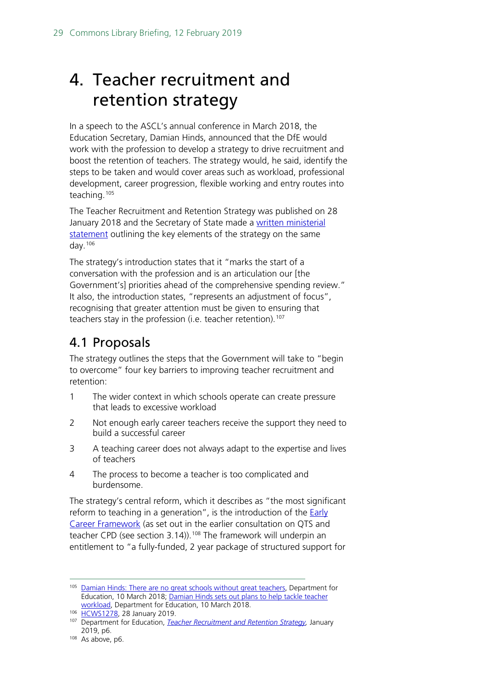## <span id="page-28-0"></span>4. Teacher recruitment and retention strategy

In a speech to the ASCL's annual conference in March 2018, the Education Secretary, Damian Hinds, announced that the DfE would work with the profession to develop a strategy to drive recruitment and boost the retention of teachers. The strategy would, he said, identify the steps to be taken and would cover areas such as workload, professional development, career progression, flexible working and entry routes into teaching.[105](#page-28-2)

The Teacher Recruitment and Retention Strategy was published on 28 January 2018 and the Secretary of State made a [written ministerial](https://www.parliament.uk/business/publications/written-questions-answers-statements/written-statement/Commons/2019-01-28/HCWS1278)  [statement](https://www.parliament.uk/business/publications/written-questions-answers-statements/written-statement/Commons/2019-01-28/HCWS1278) outlining the key elements of the strategy on the same day. $106$ 

The strategy's introduction states that it "marks the start of a conversation with the profession and is an articulation our [the Government's] priorities ahead of the comprehensive spending review." It also, the introduction states, "represents an adjustment of focus", recognising that greater attention must be given to ensuring that teachers stay in the profession (i.e. teacher retention).<sup>[107](#page-28-4)</sup>

### <span id="page-28-1"></span>4.1 Proposals

The strategy outlines the steps that the Government will take to "begin to overcome" four key barriers to improving teacher recruitment and retention:

- 1 The wider context in which schools operate can create pressure that leads to excessive workload
- 2 Not enough early career teachers receive the support they need to build a successful career
- 3 A teaching career does not always adapt to the expertise and lives of teachers
- 4 The process to become a teacher is too complicated and burdensome.

The strategy's central reform, which it describes as "the most significant reform to teaching in a generation", is the introduction of the  $Early$ </u> [Career Framework](https://www.gov.uk/government/publications/supporting-early-career-teachers) (as set out in the earlier consultation on QTS and teacher CPD (see section 3.14)).<sup>[108](#page-28-5)</sup> The framework will underpin an entitlement to "a fully-funded, 2 year package of structured support for

<span id="page-28-2"></span><sup>&</sup>lt;sup>105</sup> [Damian Hinds: There are no great schools without great teachers,](https://www.gov.uk/government/speeches/damian-hinds-there-are-no-great-schools-without-great-teachers) Department for Education, 10 March 2018; [Damian Hinds sets out plans to help tackle teacher](https://www.gov.uk/government/news/damian-hinds-sets-out-plans-to-help-tackle-teacher-workload)  [workload,](https://www.gov.uk/government/news/damian-hinds-sets-out-plans-to-help-tackle-teacher-workload) Department for Education, 10 March 2018.

<span id="page-28-3"></span><sup>106</sup> [HCWS1278,](https://www.parliament.uk/business/publications/written-questions-answers-statements/written-statement/Commons/2019-01-28/HCWS1278) 28 January 2019.

<span id="page-28-4"></span><sup>107</sup> Department for Education, *[Teacher Recruitment and Retention Strategy,](https://assets.publishing.service.gov.uk/government/uploads/system/uploads/attachment_data/file/773930/Teacher_Retention_Strategy_Report.PDF.pdf)* January 2019, p6.

<span id="page-28-5"></span><sup>108</sup> As above, p6.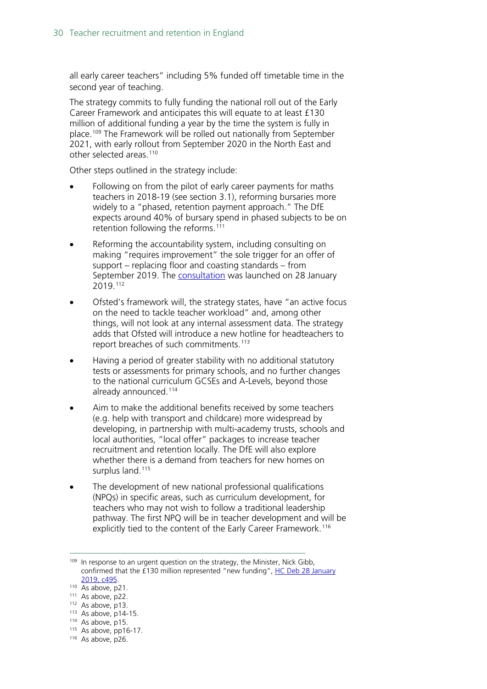all early career teachers" including 5% funded off timetable time in the second year of teaching.

The strategy commits to fully funding the national roll out of the Early Career Framework and anticipates this will equate to at least £130 million of additional funding a year by the time the system is fully in place.<sup>[109](#page-29-0)</sup> The Framework will be rolled out nationally from September 2021, with early rollout from September 2020 in the North East and other selected areas.[110](#page-29-1)

Other steps outlined in the strategy include:

- Following on from the pilot of early career payments for maths teachers in 2018-19 (see section 3.1), reforming bursaries more widely to a "phased, retention payment approach." The DfE expects around 40% of bursary spend in phased subjects to be on retention following the reforms.<sup>[111](#page-29-2)</sup>
- Reforming the accountability system, including consulting on making "requires improvement" the sole trigger for an offer of support – replacing floor and coasting standards – from September 2019. The [consultation](https://consult.education.gov.uk/inspection-and-accountability-division/identifying-schools-for-improvement-support/) was launched on 28 January 2019.[112](#page-29-3)
- Ofsted's framework will, the strategy states, have "an active focus on the need to tackle teacher workload" and, among other things, will not look at any internal assessment data. The strategy adds that Ofsted will introduce a new hotline for headteachers to report breaches of such commitments.<sup>[113](#page-29-4)</sup>
- Having a period of greater stability with no additional statutory tests or assessments for primary schools, and no further changes to the national curriculum GCSEs and A-Levels, beyond those already announced.[114](#page-29-5)
- Aim to make the additional benefits received by some teachers (e.g. help with transport and childcare) more widespread by developing, in partnership with multi-academy trusts, schools and local authorities, "local offer" packages to increase teacher recruitment and retention locally. The DfE will also explore whether there is a demand from teachers for new homes on surplus land.<sup>[115](#page-29-6)</sup>
- The development of new national professional qualifications (NPQs) in specific areas, such as curriculum development, for teachers who may not wish to follow a traditional leadership pathway. The first NPQ will be in teacher development and will be explicitly tied to the content of the Early Career Framework.<sup>[116](#page-29-7)</sup>

<span id="page-29-7"></span> $116$  As above, p26.

<span id="page-29-0"></span> $109$  In response to an urgent question on the strategy, the Minister, Nick Gibb, confirmed that the £130 million represented "new funding", [HC Deb 28 January](https://hansard.parliament.uk/Commons/2019-01-28/debates/BE7F2C23-E760-4E2F-BCE5-45828C6DA3DE/TeacherRecruitmentAndRetentionStrategy#contribution-FCE79C55-862F-4FF6-894B-D4EADFB462F6)  [2019, c495.](https://hansard.parliament.uk/Commons/2019-01-28/debates/BE7F2C23-E760-4E2F-BCE5-45828C6DA3DE/TeacherRecruitmentAndRetentionStrategy#contribution-FCE79C55-862F-4FF6-894B-D4EADFB462F6)

<span id="page-29-1"></span> $110$  As above, p21.<br> $111$  As above, p22.

<span id="page-29-3"></span><span id="page-29-2"></span> $112$  As above, p13.<br> $113$  As above, p14-15.

<span id="page-29-4"></span><sup>114</sup> As above, p15.

<span id="page-29-6"></span><span id="page-29-5"></span> $115$  As above, pp16-17.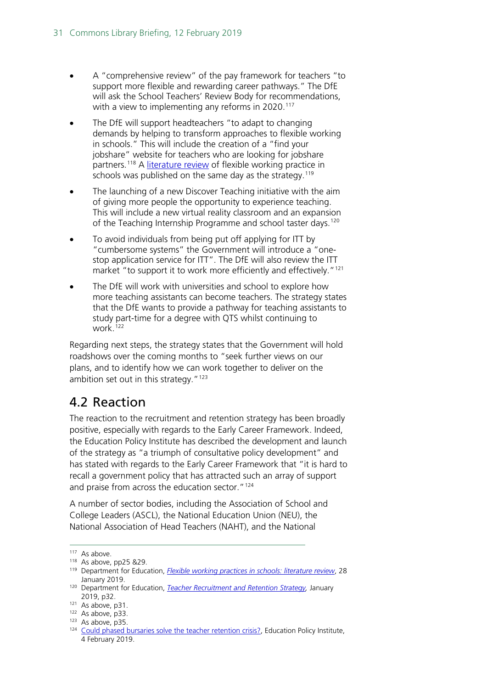- A "comprehensive review" of the pay framework for teachers "to support more flexible and rewarding career pathways." The DfE will ask the School Teachers' Review Body for recommendations, with a view to implementing any reforms in 2020.<sup>[117](#page-30-1)</sup>
- The DfE will support headteachers "to adapt to changing demands by helping to transform approaches to flexible working in schools." This will include the creation of a "find your jobshare" website for teachers who are looking for jobshare partners.<sup>[118](#page-30-2)</sup> A [literature review](https://www.gov.uk/government/publications/flexible-working-practices-in-schools-literature-review) of flexible working practice in schools was published on the same day as the strategy.<sup>[119](#page-30-3)</sup>
- The launching of a new Discover Teaching initiative with the aim of giving more people the opportunity to experience teaching. This will include a new virtual reality classroom and an expansion of the Teaching Internship Programme and school taster days.<sup>[120](#page-30-4)</sup>
- To avoid individuals from being put off applying for ITT by "cumbersome systems" the Government will introduce a "onestop application service for ITT". The DfE will also review the ITT market "to support it to work more efficiently and effectively."<sup>[121](#page-30-5)</sup>
- The DfE will work with universities and school to explore how more teaching assistants can become teachers. The strategy states that the DfE wants to provide a pathway for teaching assistants to study part-time for a degree with QTS whilst continuing to  $work$ <sup>[122](#page-30-6)</sup>

Regarding next steps, the strategy states that the Government will hold roadshows over the coming months to "seek further views on our plans, and to identify how we can work together to deliver on the ambition set out in this strategy.  $^{\prime\prime}$  [123](#page-30-7)

### <span id="page-30-0"></span>4.2 Reaction

The reaction to the recruitment and retention strategy has been broadly positive, especially with regards to the Early Career Framework. Indeed, the Education Policy Institute has described the development and launch of the strategy as "a triumph of consultative policy development" and has stated with regards to the Early Career Framework that "it is hard to recall a government policy that has attracted such an array of support and praise from across the education sector."<sup>[124](#page-30-8)</sup>

A number of sector bodies, including the Association of School and College Leaders (ASCL), the National Education Union (NEU), the National Association of Head Teachers (NAHT), and the National

<span id="page-30-2"></span><span id="page-30-1"></span> $117$  As above.<br> $118$  As above, pp25 &29.

<span id="page-30-3"></span><sup>119</sup> Department for Education, *[Flexible working practices in schools: literature review](https://www.gov.uk/government/publications/flexible-working-practices-in-schools-literature-review)*, 28 January 2019.

<span id="page-30-4"></span><sup>120</sup> Department for Education, *[Teacher Recruitment and Retention Strategy,](https://assets.publishing.service.gov.uk/government/uploads/system/uploads/attachment_data/file/773930/Teacher_Retention_Strategy_Report.PDF.pdf)* January 2019, p32.

<span id="page-30-5"></span> $121$  As above, p31.<br> $122$  As above, p33.

<span id="page-30-8"></span>

<span id="page-30-7"></span><span id="page-30-6"></span><sup>123</sup> As above, p35. 124 As above, p35. 124 As above, p35. 124  $\pm$  [Could phased bursaries solve the teacher retention crisis?,](https://epi.org.uk/publications-and-research/phased-bursaries-teacher-retention/) Education Policy Institute, 4 February 2019.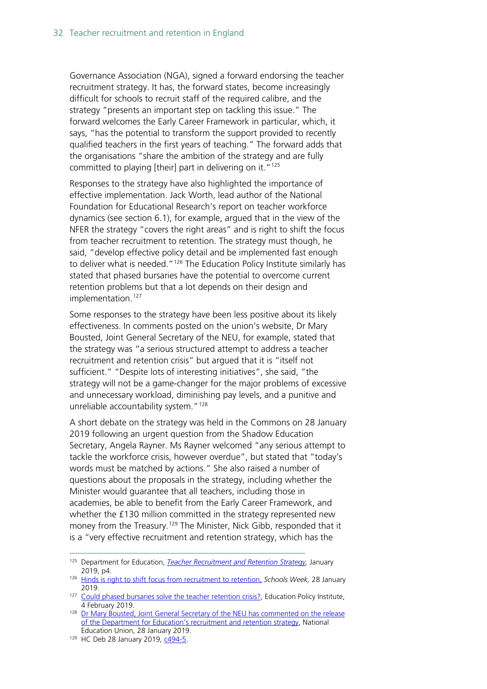Governance Association (NGA), signed a forward endorsing the teacher recruitment strategy. It has, the forward states, become increasingly difficult for schools to recruit staff of the required calibre, and the strategy "presents an important step on tackling this issue." The forward welcomes the Early Career Framework in particular, which, it says, "has the potential to transform the support provided to recently qualified teachers in the first years of teaching." The forward adds that the organisations "share the ambition of the strategy and are fully committed to playing [their] part in delivering on it."[125](#page-31-0)

Responses to the strategy have also highlighted the importance of effective implementation. Jack Worth, lead author of the National Foundation for Educational Research's report on teacher workforce dynamics (see section 6.1), for example, argued that in the view of the NFER the strategy "covers the right areas" and is right to shift the focus from teacher recruitment to retention. The strategy must though, he said, "develop effective policy detail and be implemented fast enough to deliver what is needed."<sup>[126](#page-31-1)</sup> The Education Policy Institute similarly has stated that phased bursaries have the potential to overcome current retention problems but that a lot depends on their design and implementation.<sup>[127](#page-31-2)</sup>

Some responses to the strategy have been less positive about its likely effectiveness. In comments posted on the union's website, Dr Mary Bousted, Joint General Secretary of the NEU, for example, stated that the strategy was "a serious structured attempt to address a teacher recruitment and retention crisis" but argued that it is "itself not sufficient." "Despite lots of interesting initiatives", she said, "the strategy will not be a game-changer for the major problems of excessive and unnecessary workload, diminishing pay levels, and a punitive and unreliable accountability system."<sup>[128](#page-31-3)</sup>

A short debate on the strategy was held in the Commons on 28 January 2019 following an urgent question from the Shadow Education Secretary, Angela Rayner. Ms Rayner welcomed "any serious attempt to tackle the workforce crisis, however overdue", but stated that "today's words must be matched by actions." She also raised a number of questions about the proposals in the strategy, including whether the Minister would guarantee that all teachers, including those in academies, be able to benefit from the Early Career Framework, and whether the £130 million committed in the strategy represented new money from the Treasury.<sup>[129](#page-31-4)</sup> The Minister, Nick Gibb, responded that it is a "very effective recruitment and retention strategy, which has the

<span id="page-31-0"></span> <sup>125</sup> Department for Education, *[Teacher Recruitment and Retention Strategy,](https://assets.publishing.service.gov.uk/government/uploads/system/uploads/attachment_data/file/773930/Teacher_Retention_Strategy_Report.PDF.pdf)* January 2019, p4.

<span id="page-31-1"></span><sup>126</sup> [Hinds is right to shift focus from recruitment to retention,](https://schoolsweek.co.uk/hinds-is-right-to-shift-focus-from-recruitment-to-retention/) *Schools Week,* 28 January 2019.

<span id="page-31-2"></span><sup>127</sup> [Could phased bursaries solve the teacher retention crisis?,](https://epi.org.uk/publications-and-research/phased-bursaries-teacher-retention/) Education Policy Institute, 4 February 2019.

<span id="page-31-3"></span><sup>&</sup>lt;sup>128</sup> Dr Mary Bousted, Joint General Secretary of the NEU has commented on the release [of the Department for Education's recruitment and retention strategy,](https://neu.org.uk/latest/teacher-recruitment-and-retention) National Education Union, 28 January 2019.

<span id="page-31-4"></span><sup>129</sup> HC Deb 28 January 2019, [c494-5.](https://hansard.parliament.uk/Commons/2019-01-28/debates/BE7F2C23-E760-4E2F-BCE5-45828C6DA3DE/TeacherRecruitmentAndRetentionStrategy#contribution-132E4D08-45A6-42B0-9770-A89493540E0A)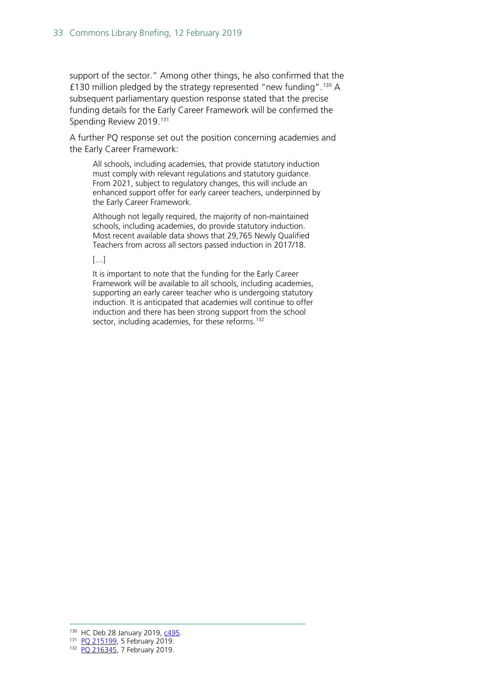support of the sector." Among other things, he also confirmed that the £[130](#page-32-0) million pledged by the strategy represented "new funding".<sup>130</sup> A subsequent parliamentary question response stated that the precise funding details for the Early Career Framework will be confirmed the Spending Review 2019.<sup>[131](#page-32-1)</sup>

A further PQ response set out the position concerning academies and the Early Career Framework:

All schools, including academies, that provide statutory induction must comply with relevant regulations and statutory guidance. From 2021, subject to regulatory changes, this will include an enhanced support offer for early career teachers, underpinned by the Early Career Framework.

Although not legally required, the majority of non-maintained schools, including academies, do provide statutory induction. Most recent available data shows that 29,765 Newly Qualified Teachers from across all sectors passed induction in 2017/18.

#### […]

It is important to note that the funding for the Early Career Framework will be available to all schools, including academies, supporting an early career teacher who is undergoing statutory induction. It is anticipated that academies will continue to offer induction and there has been strong support from the school sector, including academies, for these reforms.<sup>[132](#page-32-2)</sup>

<span id="page-32-0"></span> <sup>130</sup> HC Deb 28 January 2019, [c495.](https://hansard.parliament.uk/Commons/2019-01-28/debates/BE7F2C23-E760-4E2F-BCE5-45828C6DA3DE/TeacherRecruitmentAndRetentionStrategy#contribution-FCE79C55-862F-4FF6-894B-D4EADFB462F6)

<span id="page-32-1"></span><sup>131</sup> [PQ 215199,](https://www.parliament.uk/written-questions-answers-statements/written-question/commons/2019-01-31/215199) 5 February 2019.

<span id="page-32-2"></span><sup>132</sup> [PQ 216345,](https://www.parliament.uk/written-questions-answers-statements/written-question/commons/2019-02-04/216345) 7 February 2019.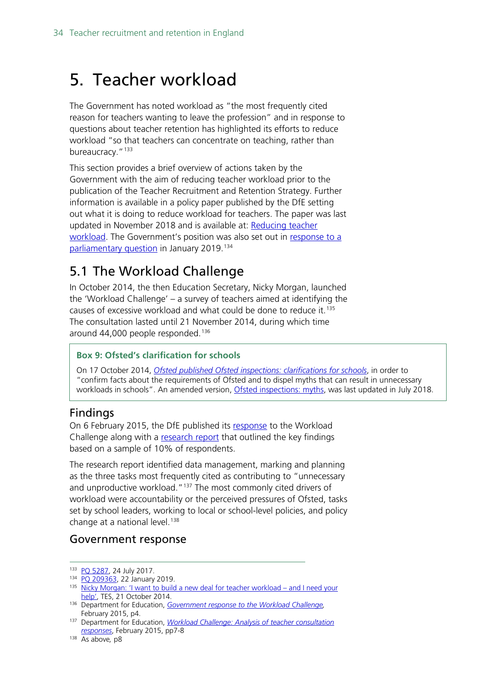## <span id="page-33-0"></span>5. Teacher workload

The Government has noted workload as "the most frequently cited reason for teachers wanting to leave the profession" and in response to questions about teacher retention has highlighted its efforts to reduce workload "so that teachers can concentrate on teaching, rather than bureaucracy."<sup>[133](#page-33-2)</sup>

This section provides a brief overview of actions taken by the Government with the aim of reducing teacher workload prior to the publication of the Teacher Recruitment and Retention Strategy. Further information is available in a policy paper published by the DfE setting out what it is doing to reduce workload for teachers. The paper was last updated in November 2018 and is available at: [Reducing teacher](https://www.gov.uk/government/publications/reducing-teachers-workload)  [workload.](https://www.gov.uk/government/publications/reducing-teachers-workload) The Government's position was also set out in [response to a](https://www.parliament.uk/written-questions-answers-statements/written-question/commons/2019-01-16/209363)  [parliamentary question](https://www.parliament.uk/written-questions-answers-statements/written-question/commons/2019-01-16/209363) in January 2019.<sup>[134](#page-33-3)</sup>

### <span id="page-33-1"></span>5.1 The Workload Challenge

In October 2014, the then Education Secretary, Nicky Morgan, launched the 'Workload Challenge' – a survey of teachers aimed at identifying the causes of excessive workload and what could be done to reduce it.[135](#page-33-4) The consultation lasted until 21 November 2014, during which time around 44,000 people responded.<sup>[136](#page-33-5)</sup>

#### **Box 9: Ofsted's clarification for schools**

On 17 October 2014, *[Ofsted published Ofsted inspections: clarifications for schools](https://www.gov.uk/government/uploads/system/uploads/attachment_data/file/463242/Ofsted_inspections_clarification_for_schools.pdf)*, in order to "confirm facts about the requirements of Ofsted and to dispel myths that can result in unnecessary workloads in schools". An amended version, [Ofsted inspections: myths,](https://www.gov.uk/government/publications/school-inspection-handbook-from-september-2015/ofsted-inspections-mythbusting) was last updated in July 2018.

#### **Findings**

On 6 February 2015, the DfE published its [response](https://www.gov.uk/government/uploads/system/uploads/attachment_data/file/415874/Government_Response_to_the_Workload_Challenge.pdf) to the Workload Challenge along with a [research report](https://www.gov.uk/government/uploads/system/uploads/attachment_data/file/401406/RR445_-_Workload_Challenge_-_Analysis_of_teacher_consultation_responses_FINAL.pdf) that outlined the key findings based on a sample of 10% of respondents.

The research report identified data management, marking and planning as the three tasks most frequently cited as contributing to "unnecessary and unproductive workload."<sup>[137](#page-33-6)</sup> The most commonly cited drivers of workload were accountability or the perceived pressures of Ofsted, tasks set by school leaders, working to local or school-level policies, and policy change at a national level.<sup>[138](#page-33-7)</sup>

#### Government response

<span id="page-33-2"></span><sup>133</sup> [PQ 5287,](http://www.parliament.uk/written-questions-answers-statements/written-question/commons/2017-07-17/5287) 24 July 2017.

<span id="page-33-3"></span><sup>134</sup> [PQ 209363,](https://www.parliament.uk/written-questions-answers-statements/written-question/commons/2019-01-16/209363) 22 January 2019.

<span id="page-33-4"></span><sup>135</sup> [Nicky Morgan: 'I want to build a new deal for teacher workload –](https://www.tes.co.uk/news/school-news/breaking-views/nicky-morgan-%E2%80%98i-want-build-a-new-deal-teacher-workload-%E2%80%93-and-i-need) and I need your [help',](https://www.tes.co.uk/news/school-news/breaking-views/nicky-morgan-%E2%80%98i-want-build-a-new-deal-teacher-workload-%E2%80%93-and-i-need) TES, 21 October 2014.

<span id="page-33-5"></span><sup>136</sup> Department for Education, *[Government response to the Workload Challenge,](https://www.gov.uk/government/uploads/system/uploads/attachment_data/file/415874/Government_Response_to_the_Workload_Challenge.pdf)*  February 2015, p4.

<span id="page-33-6"></span><sup>137</sup> Department for Education, *[Workload Challenge: Analysis of teacher consultation](https://www.gov.uk/government/uploads/system/uploads/attachment_data/file/401406/RR445_-_Workload_Challenge_-_Analysis_of_teacher_consultation_responses_FINAL.pdf)  [responses](https://www.gov.uk/government/uploads/system/uploads/attachment_data/file/401406/RR445_-_Workload_Challenge_-_Analysis_of_teacher_consultation_responses_FINAL.pdf)*, February 2015, pp7-8

<span id="page-33-7"></span><sup>138</sup> As above*,* p8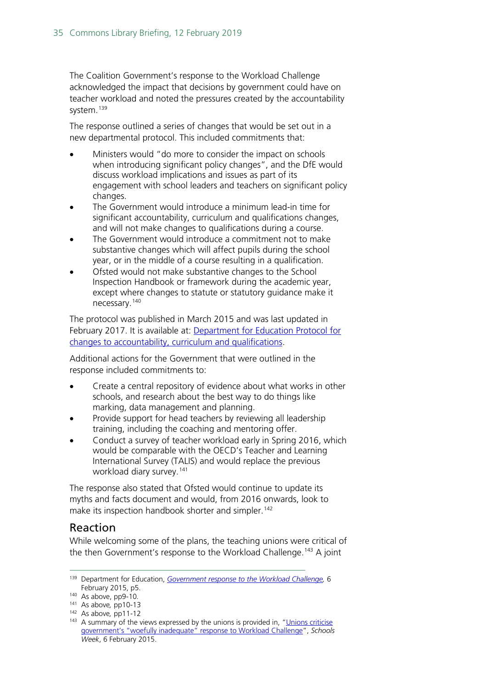The Coalition Government's response to the Workload Challenge acknowledged the impact that decisions by government could have on teacher workload and noted the pressures created by the accountability system.<sup>[139](#page-34-0)</sup>

The response outlined a series of changes that would be set out in a new departmental protocol. This included commitments that:

- Ministers would "do more to consider the impact on schools when introducing significant policy changes", and the DfE would discuss workload implications and issues as part of its engagement with school leaders and teachers on significant policy changes.
- The Government would introduce a minimum lead-in time for significant accountability, curriculum and qualifications changes, and will not make changes to qualifications during a course.
- The Government would introduce a commitment not to make substantive changes which will affect pupils during the school year, or in the middle of a course resulting in a qualification.
- Ofsted would not make substantive changes to the School Inspection Handbook or framework during the academic year, except where changes to statute or statutory guidance make it necessary.[140](#page-34-1)

The protocol was published in March 2015 and was last updated in February 2017. It is available at: [Department for Education Protocol for](https://www.gov.uk/government/uploads/system/uploads/attachment_data/file/594215/DfE_Protocol_-_Feb_2017.pdf)  [changes to accountability, curriculum and qualifications.](https://www.gov.uk/government/uploads/system/uploads/attachment_data/file/594215/DfE_Protocol_-_Feb_2017.pdf)

Additional actions for the Government that were outlined in the response included commitments to:

- Create a central repository of evidence about what works in other schools, and research about the best way to do things like marking, data management and planning.
- Provide support for head teachers by reviewing all leadership training, including the coaching and mentoring offer.
- Conduct a survey of teacher workload early in Spring 2016, which would be comparable with the OECD's Teacher and Learning International Survey (TALIS) and would replace the previous workload diary survey.<sup>[141](#page-34-2)</sup>

The response also stated that Ofsted would continue to update its myths and facts document and would, from 2016 onwards, look to make its inspection handbook shorter and simpler.<sup>[142](#page-34-3)</sup>

#### Reaction

While welcoming some of the plans, the teaching unions were critical of the then Government's response to the Workload Challenge.<sup>[143](#page-34-4)</sup> A joint

<span id="page-34-0"></span> <sup>139</sup> Department for Education, *[Government response to the Workload](https://www.gov.uk/government/uploads/system/uploads/attachment_data/file/415874/Government_Response_to_the_Workload_Challenge.pdf) Challenge,* <sup>6</sup> February 2015, p5.

<span id="page-34-1"></span><sup>140</sup> As above, pp9-10*.*

<span id="page-34-2"></span><sup>141</sup> As above*,* pp10-13

<span id="page-34-3"></span><sup>142</sup> As above*,* pp11-12

<span id="page-34-4"></span><sup>&</sup>lt;sup>143</sup> A summary of the views expressed by the unions is provided in, "Unions criticise [government's "woefully inadequate" response to Workload Challenge"](http://schoolsweek.co.uk/unions-criticise-governments-woefully-inadequate-response-to-workload-challenge/), *Schools Week*, 6 February 2015.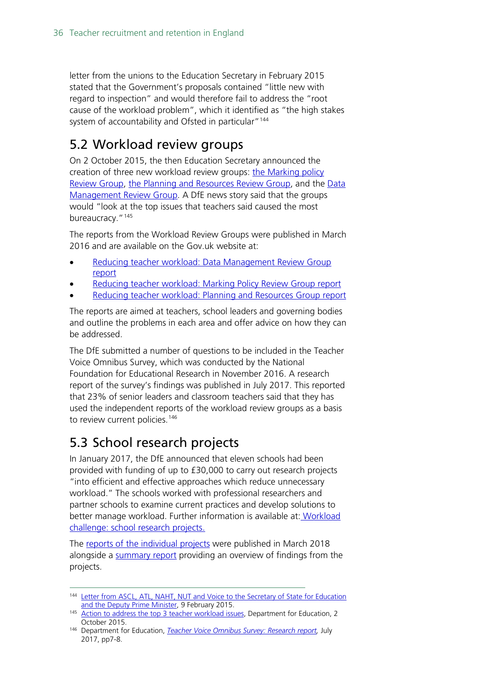letter from the unions to the Education Secretary in February 2015 stated that the Government's proposals contained "little new with regard to inspection" and would therefore fail to address the "root cause of the workload problem", which it identified as "the high stakes system of accountability and Ofsted in particular"<sup>[144](#page-35-2)</sup>

### <span id="page-35-0"></span>5.2 Workload review groups

On 2 October 2015, the then Education Secretary announced the creation of three new workload review groups: [the Marking policy](https://www.gov.uk/government/groups/teacher-workload-marking-policy-review-group)  [Review Group,](https://www.gov.uk/government/groups/teacher-workload-marking-policy-review-group) [the Planning and Resources Review Group,](https://www.gov.uk/government/groups/teacher-workload-planning-and-resources-review-group) and the Data Management Review Group. A DfE news story said that the groups would "look at the top issues that teachers said caused the most bureaucracy."<sup>[145](#page-35-3)</sup>

The reports from the Workload Review Groups were published in March 2016 and are available on the Gov.uk website at:

- [Reducing teacher workload: Data Management Review Group](file://hpap03f/DIS_Rdf$/fosterda/Desktop/Reducing%20teacher%20workload:%20Data%20Management%20Review%20Group%20report)  [report](file://hpap03f/DIS_Rdf$/fosterda/Desktop/Reducing%20teacher%20workload:%20Data%20Management%20Review%20Group%20report)
- [Reducing teacher workload: Marking Policy Review Group report](https://www.gov.uk/government/publications/reducing-teacher-workload-marking-policy-review-group-report)
- [Reducing teacher workload: Planning and Resources Group report](file://hpap03f/DIS_Rdf$/fosterda/Desktop/Reducing%20teacher%20workload:%20Planning%20and%20Resources%20Group%20report)

The reports are aimed at teachers, school leaders and governing bodies and outline the problems in each area and offer advice on how they can be addressed.

The DfE submitted a number of questions to be included in the Teacher Voice Omnibus Survey, which was conducted by the National Foundation for Educational Research in November 2016. A research report of the survey's findings was published in July 2017. This reported that 23% of senior leaders and classroom teachers said that they has used the independent reports of the workload review groups as a basis to review current policies.<sup>[146](#page-35-4)</sup>

### <span id="page-35-1"></span>5.3 School research projects

In January 2017, the DfE announced that eleven schools had been provided with funding of up to £30,000 to carry out research projects "into efficient and effective approaches which reduce unnecessary workload." The schools worked with professional researchers and partner schools to examine current practices and develop solutions to better manage workload. Further information is available at: [Workload](https://www.gov.uk/government/publications/workload-challenge-school-research-projects)  [challenge: school research projects.](https://www.gov.uk/government/publications/workload-challenge-school-research-projects)

The [reports of the individual projects](https://www.gov.uk/government/publications/teacher-workload-challenge-school-research-project-reports) were published in March 2018 alongside a [summary report](https://www.gov.uk/government/publications/workload-challenge-research-projects-summary-report-2018) providing an overview of findings from the projects.

<span id="page-35-2"></span><sup>144</sup> Letter from ASCL, ATL, NAHT, NUT and Voice to the Secretary of State for Education [and the Deputy Prime Minister,](https://www.atl.org.uk/Images/ATL_Morgan_Clegg_Workload_Challenge_Response.pdf) 9 February 2015.

<span id="page-35-3"></span><sup>145</sup> [Action to address the top 3 teacher workload issues,](https://www.gov.uk/government/news/action-to-address-the-top-3-teacher-workload-issues) Department for Education, 2 October 2015.

<span id="page-35-4"></span><sup>146</sup> Department for Education, *[Teacher Voice Omnibus Survey: Research report,](https://www.gov.uk/government/uploads/system/uploads/attachment_data/file/625908/NFER_Teacher_Voice_report_November_2016.pdf)* July 2017, pp7-8.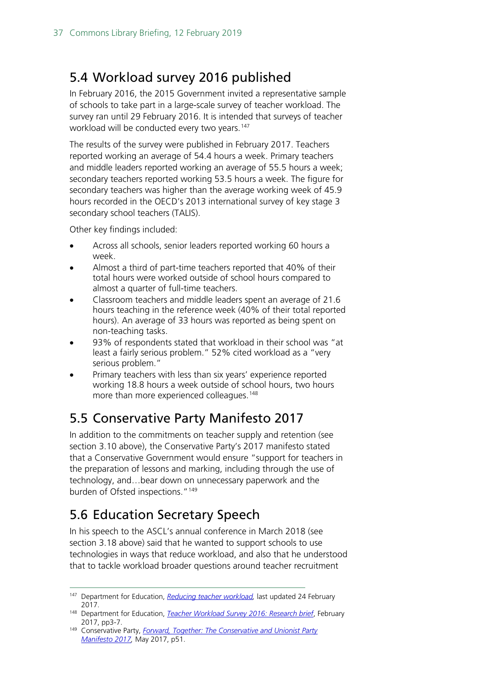### <span id="page-36-0"></span>5.4 Workload survey 2016 published

In February 2016, the 2015 Government invited a representative sample of schools to take part in a large-scale survey of teacher workload. The survey ran until 29 February 2016. It is intended that surveys of teacher workload will be conducted every two years.<sup>[147](#page-36-3)</sup>

The results of the survey were published in February 2017. Teachers reported working an average of 54.4 hours a week. Primary teachers and middle leaders reported working an average of 55.5 hours a week; secondary teachers reported working 53.5 hours a week. The figure for secondary teachers was higher than the average working week of 45.9 hours recorded in the OECD's 2013 international survey of key stage 3 secondary school teachers (TALIS).

Other key findings included:

- Across all schools, senior leaders reported working 60 hours a week.
- Almost a third of part-time teachers reported that 40% of their total hours were worked outside of school hours compared to almost a quarter of full-time teachers.
- Classroom teachers and middle leaders spent an average of 21.6 hours teaching in the reference week (40% of their total reported hours). An average of 33 hours was reported as being spent on non-teaching tasks.
- 93% of respondents stated that workload in their school was "at least a fairly serious problem." 52% cited workload as a "very serious problem."
- Primary teachers with less than six years' experience reported working 18.8 hours a week outside of school hours, two hours more than more experienced colleagues.<sup>[148](#page-36-4)</sup>

### <span id="page-36-1"></span>5.5 Conservative Party Manifesto 2017

In addition to the commitments on teacher supply and retention (see section 3.10 above), the Conservative Party's 2017 manifesto stated that a Conservative Government would ensure "support for teachers in the preparation of lessons and marking, including through the use of technology, and…bear down on unnecessary paperwork and the burden of Ofsted inspections."[149](#page-36-5)

### <span id="page-36-2"></span>5.6 Education Secretary Speech

In his speech to the ASCL's annual conference in March 2018 (see section 3.18 above) said that he wanted to support schools to use technologies in ways that reduce workload, and also that he understood that to tackle workload broader questions around teacher recruitment

<span id="page-36-3"></span> <sup>147</sup> Department for Education, *[Reducing teacher workload,](https://www.gov.uk/government/publications/reducing-teachers-workload/reducing-teachers-workload)* last updated 24 February 2017.

<span id="page-36-4"></span><sup>148</sup> Department for Education, *[Teacher Workload Survey 2016: Research brief](https://www.gov.uk/government/uploads/system/uploads/attachment_data/file/594696/TWS-2016_FINAL_Research_brief_Feb_2017.pdf)*, February 2017, pp3-7.

<span id="page-36-5"></span><sup>149</sup> Conservative Party, *[Forward, Together: The Conservative and Unionist Party](https://s3.eu-west-2.amazonaws.com/manifesto2017/Manifesto2017.pdf)  [Manifesto 2017,](https://s3.eu-west-2.amazonaws.com/manifesto2017/Manifesto2017.pdf)* May 2017, p51.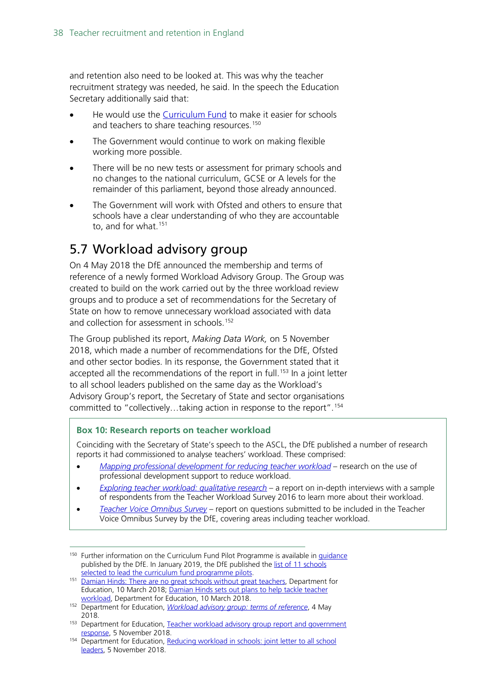and retention also need to be looked at. This was why the teacher recruitment strategy was needed, he said. In the speech the Education Secretary additionally said that:

- He would use the [Curriculum Fund](https://www.gov.uk/government/news/boost-for-school-standards-with-primary-literacy-drive) to make it easier for schools and teachers to share teaching resources.<sup>[150](#page-37-1)</sup>
- The Government would continue to work on making flexible working more possible.
- There will be no new tests or assessment for primary schools and no changes to the national curriculum, GCSE or A levels for the remainder of this parliament, beyond those already announced.
- The Government will work with Ofsted and others to ensure that schools have a clear understanding of who they are accountable to, and for what.<sup>[151](#page-37-2)</sup>

### <span id="page-37-0"></span>5.7 Workload advisory group

On 4 May 2018 the DfE announced the membership and terms of reference of a newly formed Workload Advisory Group. The Group was created to build on the work carried out by the three workload review groups and to produce a set of recommendations for the Secretary of State on how to remove unnecessary workload associated with data and collection for assessment in schools.<sup>[152](#page-37-3)</sup>

The Group published its report, *Making Data Work,* on 5 November 2018, which made a number of recommendations for the DfE, Ofsted and other sector bodies. In its response, the Government stated that it accepted all the recommendations of the report in full. [153](#page-37-4) In a joint letter to all school leaders published on the same day as the Workload's Advisory Group's report, the Secretary of State and sector organisations committed to "collectively…taking action in response to the report".[154](#page-37-5)

#### **Box 10: Research reports on teacher workload**

Coinciding with the Secretary of State's speech to the ASCL, the DfE published a number of research reports it had commissioned to analyse teachers' workload. These comprised:

- *[Mapping professional development for reducing teacher workload](https://www.gov.uk/government/publications/mapping-professional-development-for-reducing-teacher-workload)* research on the use of professional development support to reduce workload.
- *[Exploring teacher workload: qualitative research](https://www.gov.uk/government/publications/exploring-teacher-workload-qualitative-research)* a report on in-depth interviews with a sample of respondents from the Teacher Workload Survey 2016 to learn more about their workload.
- *[Teacher Voice Omnibus Survey](https://assets.publishing.service.gov.uk/government/uploads/system/uploads/attachment_data/file/687010/Teacher_Voice_report_Summer_2017.pdf)* report on questions submitted to be included in the Teacher Voice Omnibus Survey by the DfE, covering areas including teacher workload.

<span id="page-37-1"></span><sup>&</sup>lt;sup>150</sup> Further information on the Curriculum Fund Pilot Programme is available in [guidance](https://www.gov.uk/government/publications/curriculum-fund-programme-pilot) published by the DfE. In January 2019, the DfE published the list of 11 schools [selected to lead the curriculum fund programme pilots.](https://www.gov.uk/government/publications/curriculum-fund-programme-pilots-list-of-lead-schools)

<span id="page-37-2"></span><sup>151</sup> [Damian Hinds: There are no great schools without great teachers,](https://www.gov.uk/government/speeches/damian-hinds-there-are-no-great-schools-without-great-teachers) Department for Education, 10 March 2018; [Damian Hinds sets out plans to help tackle teacher](https://www.gov.uk/government/news/damian-hinds-sets-out-plans-to-help-tackle-teacher-workload)  [workload,](https://www.gov.uk/government/news/damian-hinds-sets-out-plans-to-help-tackle-teacher-workload) Department for Education, 10 March 2018.

<span id="page-37-3"></span><sup>152</sup> Department for Education, *[Workload advisory group: terms of reference](https://www.gov.uk/government/publications/workload-advisory-group-terms-of-reference?utm_source=6ea98f98-31a8-4eeb-8af7-162f50911369&utm_medium=email&utm_campaign=govuk-notifications&utm_content=immediate)*, 4 May 2018.

<span id="page-37-4"></span><sup>&</sup>lt;sup>153</sup> Department for Education, [Teacher workload advisory group report and government](https://www.gov.uk/government/publications/teacher-workload-advisory-group-report-and-government-response) response, 5 November 2018.

<span id="page-37-5"></span><sup>&</sup>lt;sup>154</sup> Department for Education, Reducing workload in schools: joint letter to all school [leaders,](https://www.gov.uk/government/publications/reducing-workload-in-schools-joint-letter-to-all-school-leaders) 5 November 2018.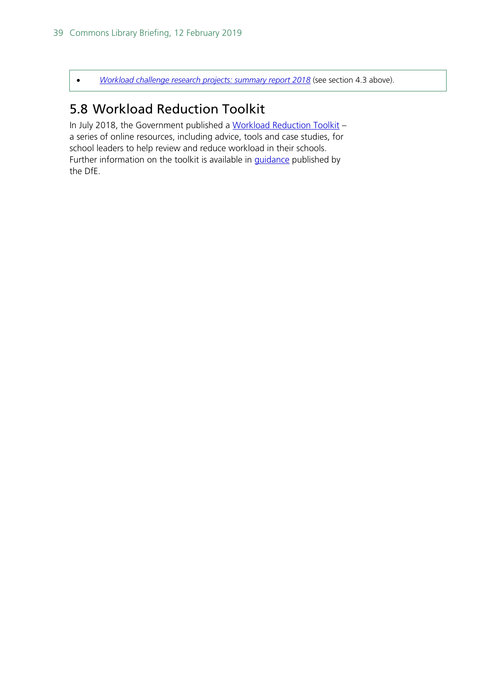• *[Workload challenge research projects: summary report 2018](https://www.gov.uk/government/publications/workload-challenge-research-projects-summary-report-2018)* (see section 4.3 above).

### <span id="page-38-0"></span>5.8 Workload Reduction Toolkit

In July 2018, the Government published a [Workload Reduction Toolkit](https://www.gov.uk/government/collections/workload-reduction-toolkit?utm_source=83156181-a218-46a6-9c68-3f71940a799e&utm_medium=email&utm_campaign=govuk-notifications&utm_content=immediate) – a series of online resources, including advice, tools and case studies, for school leaders to help review and reduce workload in their schools. Further information on the toolkit is available in **guidance** published by the DfE.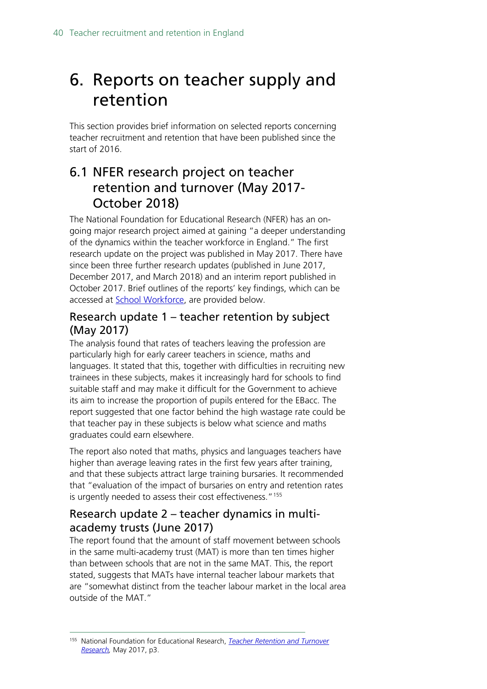## <span id="page-39-0"></span>6. Reports on teacher supply and retention

This section provides brief information on selected reports concerning teacher recruitment and retention that have been published since the start of 2016.

### <span id="page-39-1"></span>6.1 NFER research project on teacher retention and turnover (May 2017- October 2018)

The National Foundation for Educational Research (NFER) has an ongoing major research project aimed at gaining "a deeper understanding of the dynamics within the teacher workforce in England." The first research update on the project was published in May 2017. There have since been three further research updates (published in June 2017, December 2017, and March 2018) and an interim report published in October 2017. Brief outlines of the reports' key findings, which can be accessed at [School Workforce,](https://www.nfer.ac.uk/research/school-workforce/) are provided below.

#### Research update 1 – teacher retention by subject (May 2017)

The analysis found that rates of teachers leaving the profession are particularly high for early career teachers in science, maths and languages. It stated that this, together with difficulties in recruiting new trainees in these subjects, makes it increasingly hard for schools to find suitable staff and may make it difficult for the Government to achieve its aim to increase the proportion of pupils entered for the EBacc. The report suggested that one factor behind the high wastage rate could be that teacher pay in these subjects is below what science and maths graduates could earn elsewhere.

The report also noted that maths, physics and languages teachers have higher than average leaving rates in the first few years after training, and that these subjects attract large training bursaries. It recommended that "evaluation of the impact of bursaries on entry and retention rates is urgently needed to assess their cost effectiveness."[155](#page-39-2)

#### Research update 2 – teacher dynamics in multiacademy trusts (June 2017)

The report found that the amount of staff movement between schools in the same multi-academy trust (MAT) is more than ten times higher than between schools that are not in the same MAT. This, the report stated, suggests that MATs have internal teacher labour markets that are "somewhat distinct from the teacher labour market in the local area outside of the MAT."

<span id="page-39-2"></span> <sup>155</sup> National Foundation for Educational Research, *[Teacher Retention and Turnover](https://www.nfer.ac.uk/publications/NUFS01/NUFS01.pdf)  [Research,](https://www.nfer.ac.uk/publications/NUFS01/NUFS01.pdf)* May 2017, p3.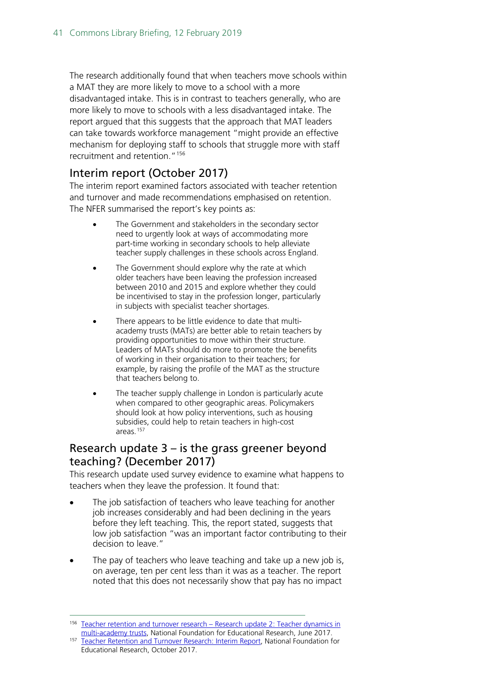The research additionally found that when teachers move schools within a MAT they are more likely to move to a school with a more disadvantaged intake. This is in contrast to teachers generally, who are more likely to move to schools with a less disadvantaged intake. The report argued that this suggests that the approach that MAT leaders can take towards workforce management "might provide an effective mechanism for deploving staff to schools that struggle more with staff recruitment and retention."[156](#page-40-1)

#### Interim report (October 2017)

The interim report examined factors associated with teacher retention and turnover and made recommendations emphasised on retention. The NFER summarised the report's key points as:

- The Government and stakeholders in the secondary sector need to urgently look at ways of accommodating more part-time working in secondary schools to help alleviate teacher supply challenges in these schools across England.
- The Government should explore why the rate at which older teachers have been leaving the profession increased between 2010 and 2015 and explore whether they could be incentivised to stay in the profession longer, particularly in subjects with specialist teacher shortages.
- There appears to be little evidence to date that multiacademy trusts (MATs) are better able to retain teachers by providing opportunities to move within their structure. Leaders of MATs should do more to promote the benefits of working in their organisation to their teachers; for example, by raising the profile of the MAT as the structure that teachers belong to.
- The teacher supply challenge in London is particularly acute when compared to other geographic areas. Policymakers should look at how policy interventions, such as housing subsidies, could help to retain teachers in high-cost areas.[157](#page-40-2)

#### <span id="page-40-0"></span>Research update 3 – is the grass greener beyond teaching? (December 2017)

This research update used survey evidence to examine what happens to teachers when they leave the profession. It found that:

- The job satisfaction of teachers who leave teaching for another job increases considerably and had been declining in the years before they left teaching. This, the report stated, suggests that low job satisfaction "was an important factor contributing to their decision to leave."
- The pay of teachers who leave teaching and take up a new job is, on average, ten per cent less than it was as a teacher. The report noted that this does not necessarily show that pay has no impact

<span id="page-40-1"></span><sup>&</sup>lt;sup>156</sup> [Teacher retention and turnover research –](https://www.nfer.ac.uk/publications/NUFS02/) Research update 2: Teacher dynamics in [multi-academy trusts,](https://www.nfer.ac.uk/publications/NUFS02/) National Foundation for Educational Research, June 2017.

<span id="page-40-2"></span><sup>157</sup> [Teacher Retention and Turnover Research: Interim Report,](https://www.nfer.ac.uk/publications/NUFS03/) National Foundation for Educational Research, October 2017.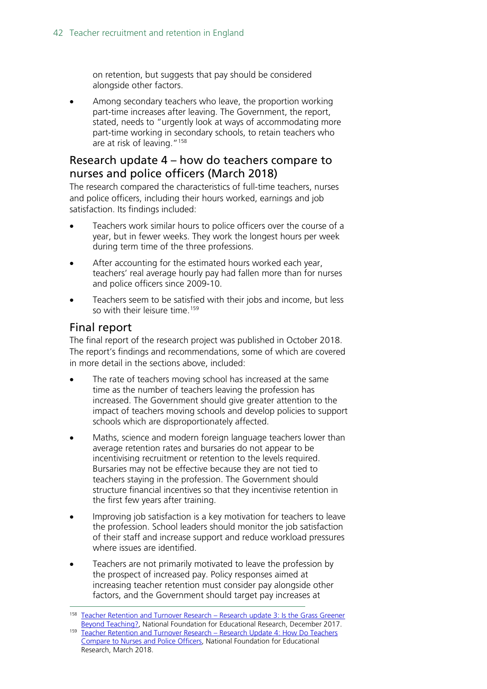on retention, but suggests that pay should be considered alongside other factors.

• Among secondary teachers who leave, the proportion working part-time increases after leaving. The Government, the report, stated, needs to "urgently look at ways of accommodating more part-time working in secondary schools, to retain teachers who are at risk of leaving."[158](#page-41-2)

#### <span id="page-41-0"></span>Research update 4 – how do teachers compare to nurses and police officers (March 2018)

The research compared the characteristics of full-time teachers, nurses and police officers, including their hours worked, earnings and job satisfaction. Its findings included:

- Teachers work similar hours to police officers over the course of a year, but in fewer weeks. They work the longest hours per week during term time of the three professions.
- After accounting for the estimated hours worked each year, teachers' real average hourly pay had fallen more than for nurses and police officers since 2009-10.
- Teachers seem to be satisfied with their jobs and income, but less so with their leisure time.<sup>[159](#page-41-3)</sup>

#### <span id="page-41-1"></span>Final report

The final report of the research project was published in October 2018. The report's findings and recommendations, some of which are covered in more detail in the sections above, included:

- The rate of teachers moving school has increased at the same time as the number of teachers leaving the profession has increased. The Government should give greater attention to the impact of teachers moving schools and develop policies to support schools which are disproportionately affected.
- Maths, science and modern foreign language teachers lower than average retention rates and bursaries do not appear to be incentivising recruitment or retention to the levels required. Bursaries may not be effective because they are not tied to teachers staying in the profession. The Government should structure financial incentives so that they incentivise retention in the first few years after training.
- Improving job satisfaction is a key motivation for teachers to leave the profession. School leaders should monitor the job satisfaction of their staff and increase support and reduce workload pressures where issues are identified.
- Teachers are not primarily motivated to leave the profession by the prospect of increased pay. Policy responses aimed at increasing teacher retention must consider pay alongside other factors, and the Government should target pay increases at

<span id="page-41-2"></span> <sup>158</sup> [Teacher Retention and Turnover Research –](https://www.nfer.ac.uk/publications/NUFS04/) Research update 3: Is the Grass Greener [Beyond Teaching?,](https://www.nfer.ac.uk/publications/NUFS04/) National Foundation for Educational Research, December 2017. 159 [Teacher Retention and Turnover Research –](https://www.nfer.ac.uk/publications/NUFS05/NUFS05.pdf) Research Update 4: How Do Teachers

<span id="page-41-3"></span>[Compare to Nurses and Police Officers,](https://www.nfer.ac.uk/publications/NUFS05/NUFS05.pdf) National Foundation for Educational Research, March 2018.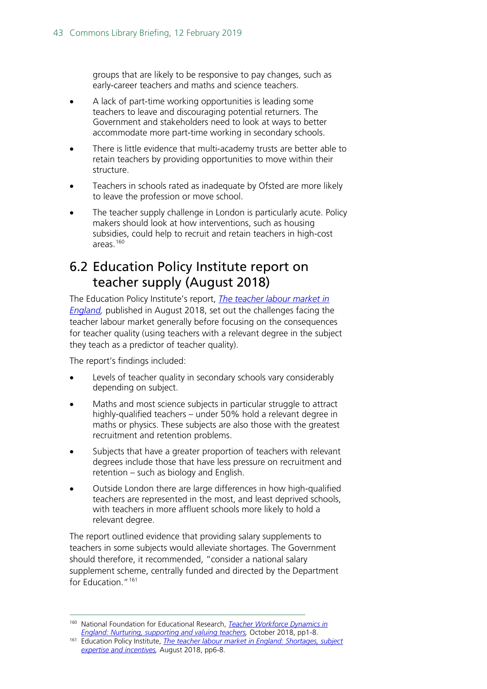groups that are likely to be responsive to pay changes, such as early-career teachers and maths and science teachers.

- A lack of part-time working opportunities is leading some teachers to leave and discouraging potential returners. The Government and stakeholders need to look at ways to better accommodate more part-time working in secondary schools.
- There is little evidence that multi-academy trusts are better able to retain teachers by providing opportunities to move within their structure.
- Teachers in schools rated as inadequate by Ofsted are more likely to leave the profession or move school.
- The teacher supply challenge in London is particularly acute. Policy makers should look at how interventions, such as housing subsidies, could help to recruit and retain teachers in high-cost areas[.160](#page-42-1)

### <span id="page-42-0"></span>6.2 Education Policy Institute report on teacher supply (August 2018)

The Education Policy Institute's report, *[The teacher labour market in](https://epi.org.uk/wp-content/uploads/2018/08/EPI-Teacher-Labour-Market_2018.pdf)  [England,](https://epi.org.uk/wp-content/uploads/2018/08/EPI-Teacher-Labour-Market_2018.pdf)* published in August 2018, set out the challenges facing the teacher labour market generally before focusing on the consequences for teacher quality (using teachers with a relevant degree in the subject they teach as a predictor of teacher quality).

The report's findings included:

- Levels of teacher quality in secondary schools vary considerably depending on subject.
- Maths and most science subjects in particular struggle to attract highly-qualified teachers – under 50% hold a relevant degree in maths or physics. These subjects are also those with the greatest recruitment and retention problems.
- Subjects that have a greater proportion of teachers with relevant degrees include those that have less pressure on recruitment and retention – such as biology and English.
- Outside London there are large differences in how high-qualified teachers are represented in the most, and least deprived schools, with teachers in more affluent schools more likely to hold a relevant degree.

The report outlined evidence that providing salary supplements to teachers in some subjects would alleviate shortages. The Government should therefore, it recommended, "consider a national salary supplement scheme, centrally funded and directed by the Department for Education<sup>"[161](#page-42-2)</sup>

<span id="page-42-1"></span> <sup>160</sup> National Foundation for Educational Research, *[Teacher Workforce Dynamics in](https://www.nfer.ac.uk/media/3111/teacher_workforce_dynamics_in_england_final_report.pdf)  [England: Nurturing, supporting and valuing teachers,](https://www.nfer.ac.uk/media/3111/teacher_workforce_dynamics_in_england_final_report.pdf)* October 2018, pp1-8.

<span id="page-42-2"></span><sup>161</sup> Education Policy Institute, *[The teacher labour market in England: Shortages, subject](https://epi.org.uk/wp-content/uploads/2018/08/EPI-Teacher-Labour-Market_2018.pdf)  [expertise and incentives,](https://epi.org.uk/wp-content/uploads/2018/08/EPI-Teacher-Labour-Market_2018.pdf)* August 2018, pp6-8.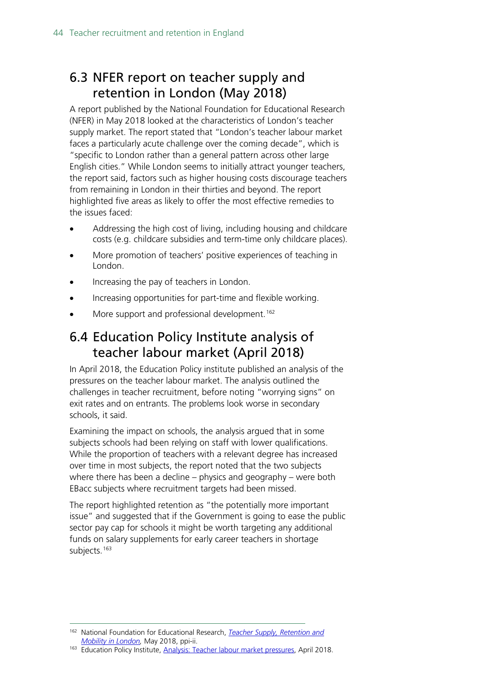### <span id="page-43-0"></span>6.3 NFER report on teacher supply and retention in London (May 2018)

A report published by the National Foundation for Educational Research (NFER) in May 2018 looked at the characteristics of London's teacher supply market. The report stated that "London's teacher labour market faces a particularly acute challenge over the coming decade", which is "specific to London rather than a general pattern across other large English cities." While London seems to initially attract younger teachers, the report said, factors such as higher housing costs discourage teachers from remaining in London in their thirties and beyond. The report highlighted five areas as likely to offer the most effective remedies to the issues faced:

- Addressing the high cost of living, including housing and childcare costs (e.g. childcare subsidies and term-time only childcare places).
- More promotion of teachers' positive experiences of teaching in London.
- Increasing the pay of teachers in London.
- Increasing opportunities for part-time and flexible working.
- More support and professional development.<sup>[162](#page-43-2)</sup>

### <span id="page-43-1"></span>6.4 Education Policy Institute analysis of teacher labour market (April 2018)

In April 2018, the Education Policy institute published an analysis of the pressures on the teacher labour market. The analysis outlined the challenges in teacher recruitment, before noting "worrying signs" on exit rates and on entrants. The problems look worse in secondary schools, it said.

Examining the impact on schools, the analysis argued that in some subjects schools had been relying on staff with lower qualifications. While the proportion of teachers with a relevant degree has increased over time in most subjects, the report noted that the two subjects where there has been a decline – physics and geography – were both EBacc subjects where recruitment targets had been missed.

The report highlighted retention as "the potentially more important issue" and suggested that if the Government is going to ease the public sector pay cap for schools it might be worth targeting any additional funds on salary supplements for early career teachers in shortage subjects.<sup>[163](#page-43-3)</sup>

<span id="page-43-2"></span> <sup>162</sup> National Foundation for Educational Research, *[Teacher Supply, Retention and](https://www.nfer.ac.uk/media/2668/teach-london-report_glts.pdf)  [Mobility in London,](https://www.nfer.ac.uk/media/2668/teach-london-report_glts.pdf)* May 2018, ppi-ii.

<span id="page-43-3"></span><sup>163</sup> Education Policy Institute, [Analysis: Teacher labour market pressures,](https://epi.org.uk/publications-and-research/the-teacher-labour-market/) April 2018.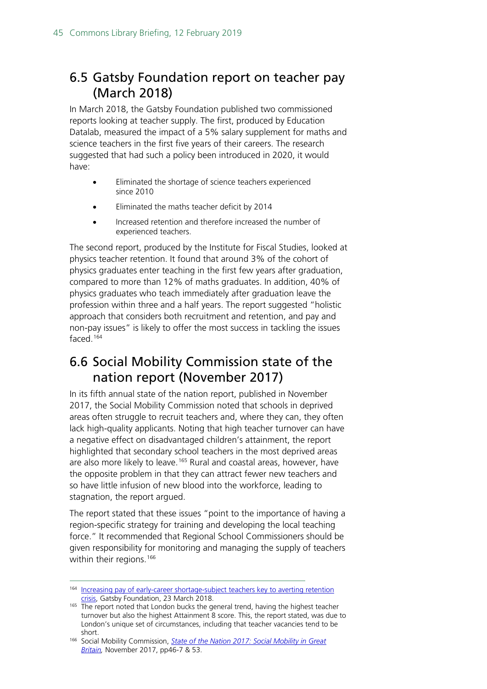### <span id="page-44-0"></span>6.5 Gatsby Foundation report on teacher pay (March 2018)

In March 2018, the Gatsby Foundation published two commissioned reports looking at teacher supply. The first, produced by Education Datalab, measured the impact of a 5% salary supplement for maths and science teachers in the first five years of their careers. The research suggested that had such a policy been introduced in 2020, it would have:

- Eliminated the shortage of science teachers experienced since 2010
- Eliminated the maths teacher deficit by 2014
- Increased retention and therefore increased the number of experienced teachers.

The second report, produced by the Institute for Fiscal Studies, looked at physics teacher retention. It found that around 3% of the cohort of physics graduates enter teaching in the first few years after graduation, compared to more than 12% of maths graduates. In addition, 40% of physics graduates who teach immediately after graduation leave the profession within three and a half years. The report suggested "holistic approach that considers both recruitment and retention, and pay and non-pay issues" is likely to offer the most success in tackling the issues faced.[164](#page-44-2)

### <span id="page-44-1"></span>6.6 Social Mobility Commission state of the nation report (November 2017)

In its fifth annual state of the nation report, published in November 2017, the Social Mobility Commission noted that schools in deprived areas often struggle to recruit teachers and, where they can, they often lack high-quality applicants. Noting that high teacher turnover can have a negative effect on disadvantaged children's attainment, the report highlighted that secondary school teachers in the most deprived areas are also more likely to leave.<sup>[165](#page-44-3)</sup> Rural and coastal areas, however, have the opposite problem in that they can attract fewer new teachers and so have little infusion of new blood into the workforce, leading to stagnation, the report argued.

The report stated that these issues "point to the importance of having a region-specific strategy for training and developing the local teaching force." It recommended that Regional School Commissioners should be given responsibility for monitoring and managing the supply of teachers within their regions.<sup>[166](#page-44-4)</sup>

<span id="page-44-2"></span><sup>&</sup>lt;sup>164</sup> Increasing pay of early-career shortage-subject teachers key to averting retention [crisis,](http://www.gatsby.org.uk/education/latest/examine-pay-of-early-career-shortage-subject-teachers-to-effectively-tackle-retention-in-english-secondary-schools) Gatsby Foundation, 23 March 2018.

<span id="page-44-3"></span><sup>&</sup>lt;sup>165</sup> The report noted that London bucks the general trend, having the highest teacher turnover but also the highest Attainment 8 score. This, the report stated, was due to London's unique set of circumstances, including that teacher vacancies tend to be

<span id="page-44-4"></span>short. 166 Social Mobility Commission, *[State of the Nation 2017: Social Mobility in Great](https://www.gov.uk/government/uploads/system/uploads/attachment_data/file/662744/State_of_the_Nation_2017_-_Social_Mobility_in_Great_Britain.pdf)  [Britain,](https://www.gov.uk/government/uploads/system/uploads/attachment_data/file/662744/State_of_the_Nation_2017_-_Social_Mobility_in_Great_Britain.pdf)* November 2017, pp46-7 & 53.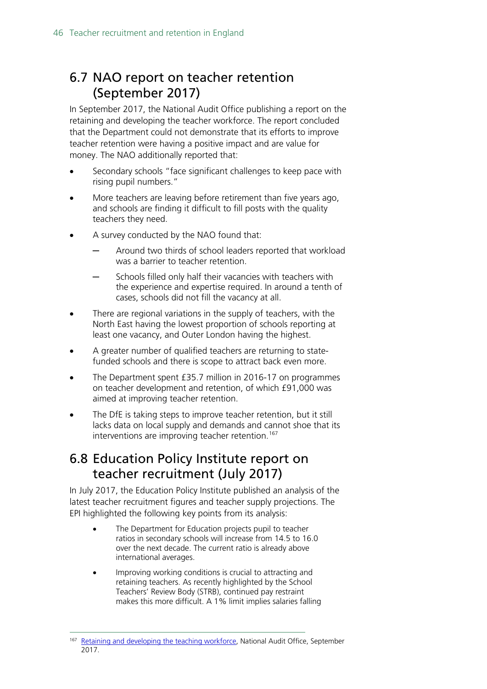### <span id="page-45-0"></span>6.7 NAO report on teacher retention (September 2017)

In September 2017, the National Audit Office publishing a report on the retaining and developing the teacher workforce. The report concluded that the Department could not demonstrate that its efforts to improve teacher retention were having a positive impact and are value for money. The NAO additionally reported that:

- Secondary schools "face significant challenges to keep pace with rising pupil numbers."
- More teachers are leaving before retirement than five years ago, and schools are finding it difficult to fill posts with the quality teachers they need.
- A survey conducted by the NAO found that:
	- Around two thirds of school leaders reported that workload was a barrier to teacher retention.
	- Schools filled only half their vacancies with teachers with the experience and expertise required. In around a tenth of cases, schools did not fill the vacancy at all.
- There are regional variations in the supply of teachers, with the North East having the lowest proportion of schools reporting at least one vacancy, and Outer London having the highest.
- A greater number of qualified teachers are returning to statefunded schools and there is scope to attract back even more.
- The Department spent £35.7 million in 2016-17 on programmes on teacher development and retention, of which £91,000 was aimed at improving teacher retention.
- The DfE is taking steps to improve teacher retention, but it still lacks data on local supply and demands and cannot shoe that its interventions are improving teacher retention.<sup>[167](#page-45-2)</sup>

### <span id="page-45-1"></span>6.8 Education Policy Institute report on teacher recruitment (July 2017)

In July 2017, the Education Policy Institute published an analysis of the latest teacher recruitment figures and teacher supply projections. The EPI highlighted the following key points from its analysis:

- The Department for Education projects pupil to teacher ratios in secondary schools will increase from 14.5 to 16.0 over the next decade. The current ratio is already above international averages.
- Improving working conditions is crucial to attracting and retaining teachers. As recently highlighted by the School Teachers' Review Body (STRB), continued pay restraint makes this more difficult. A 1% limit implies salaries falling

<span id="page-45-2"></span><sup>&</sup>lt;sup>167</sup> [Retaining and developing the teaching workforce,](https://www.nao.org.uk/press-release/retaining-and-developing-the-teaching-workforce/) National Audit Office, September 2017.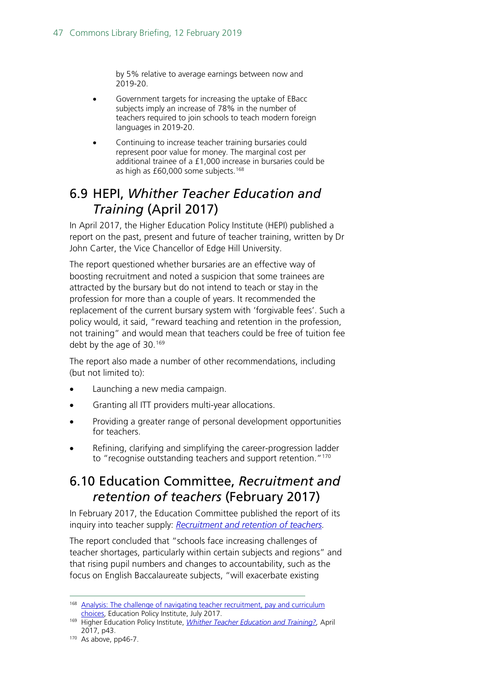by 5% relative to average earnings between now and 2019-20.

- Government targets for increasing the uptake of EBacc subjects imply an increase of 78% in the number of teachers required to join schools to teach modern foreign languages in 2019-20.
- Continuing to increase teacher training bursaries could represent poor value for money. The marginal cost per additional trainee of a £1,000 increase in bursaries could be as high as £60,000 some subjects.<sup>168</sup>

### <span id="page-46-0"></span>6.9 HEPI, *Whither Teacher Education and Training* (April 2017)

In April 2017, the Higher Education Policy Institute (HEPI) published a report on the past, present and future of teacher training, written by Dr John Carter, the Vice Chancellor of Edge Hill University.

The report questioned whether bursaries are an effective way of boosting recruitment and noted a suspicion that some trainees are attracted by the bursary but do not intend to teach or stay in the profession for more than a couple of years. It recommended the replacement of the current bursary system with 'forgivable fees'. Such a policy would, it said, "reward teaching and retention in the profession, not training" and would mean that teachers could be free of tuition fee debt by the age of 30.<sup>[169](#page-46-3)</sup>

The report also made a number of other recommendations, including (but not limited to):

- Launching a new media campaign.
- Granting all ITT providers multi-year allocations.
- Providing a greater range of personal development opportunities for teachers.
- Refining, clarifying and simplifying the career-progression ladder to "recognise outstanding teachers and support retention."<sup>[170](#page-46-4)</sup>

### <span id="page-46-1"></span>6.10 Education Committee, *Recruitment and retention of teachers* (February 2017)

In February 2017, the Education Committee published the report of its inquiry into teacher supply: *[Recruitment and retention of teachers.](http://www.parliament.uk/business/committees/committees-a-z/commons-select/education-committee/news-parliament-2015/supply-of-teachers-report-published-16-17/)* 

The report concluded that "schools face increasing challenges of teacher shortages, particularly within certain subjects and regions" and that rising pupil numbers and changes to accountability, such as the focus on English Baccalaureate subjects, "will exacerbate existing

<span id="page-46-2"></span><sup>&</sup>lt;sup>168</sup> Analysis: The challenge of navigating teacher recruitment, pay and curriculum [choices,](https://epi.org.uk/analysis/analysis-challenge-navigating-teacher-recruitment-pay-curriculum-choices/) Education Policy Institute, July 2017.

<span id="page-46-3"></span><sup>169</sup> Higher Education Policy Institute, *[Whither Teacher Education and Training?,](http://www.hepi.ac.uk/wp-content/uploads/2017/04/Embargoed-until-00.01am-Thursday-27-April-2017-WHITHER-TEACHER-EDUCATION-AND-TRAINING-Report-95-19_04_17WEB.pdf)* April 2017, p43.

<span id="page-46-4"></span> $170$  As above, pp46-7.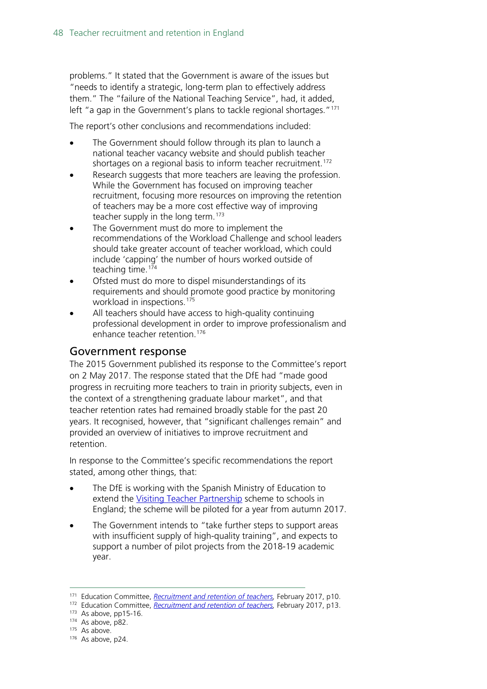problems." It stated that the Government is aware of the issues but "needs to identify a strategic, long-term plan to effectively address them." The "failure of the National Teaching Service", had, it added, left "a gap in the Government's plans to tackle regional shortages."<sup>[171](#page-47-0)</sup>

The report's other conclusions and recommendations included:

- The Government should follow through its plan to launch a national teacher vacancy website and should publish teacher shortages on a regional basis to inform teacher recruitment.<sup>[172](#page-47-1)</sup>
- Research suggests that more teachers are leaving the profession. While the Government has focused on improving teacher recruitment, focusing more resources on improving the retention of teachers may be a more cost effective way of improving teacher supply in the long term.<sup>[173](#page-47-2)</sup>
- The Government must do more to implement the recommendations of the Workload Challenge and school leaders should take greater account of teacher workload, which could include 'capping' the number of hours worked outside of teaching time.<sup>[174](#page-47-3)</sup>
- Ofsted must do more to dispel misunderstandings of its requirements and should promote good practice by monitoring workload in inspections.<sup>[175](#page-47-4)</sup>
- All teachers should have access to high-quality continuing professional development in order to improve professionalism and enhance teacher retention[.176](#page-47-5)

#### Government response

The 2015 Government published its response to the Committee's report on 2 May 2017. The response stated that the DfE had "made good progress in recruiting more teachers to train in priority subjects, even in the context of a strengthening graduate labour market", and that teacher retention rates had remained broadly stable for the past 20 years. It recognised, however, that "significant challenges remain" and provided an overview of initiatives to improve recruitment and retention.

In response to the Committee's specific recommendations the report stated, among other things, that:

- The DfE is working with the Spanish Ministry of Education to extend the [Visiting Teacher Partnership](https://www.gov.uk/guidance/spains-visiting-teachers-programme) scheme to schools in England; the scheme will be piloted for a year from autumn 2017.
- The Government intends to "take further steps to support areas with insufficient supply of high-quality training", and expects to support a number of pilot projects from the 2018-19 academic year.

<span id="page-47-1"></span><span id="page-47-0"></span><sup>&</sup>lt;sup>171</sup> Education Committee, *Recruitment and retention of teachers*, February 2017, p10.

<sup>172</sup> Education Committee, *Recruitment and retention of teachers*, February 2017, p13.

<span id="page-47-2"></span> $173$  As above, pp15-16.

<sup>174</sup> As above, p82.

<span id="page-47-4"></span><span id="page-47-3"></span><sup>&</sup>lt;sup>175</sup> As above.

<span id="page-47-5"></span><sup>176</sup> As above, p24.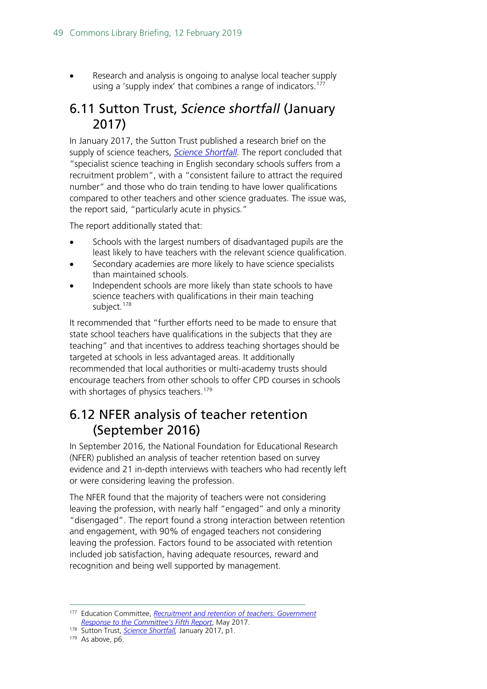• Research and analysis is ongoing to analyse local teacher supply using a 'supply index' that combines a range of indicators.<sup>[177](#page-48-2)</sup>

#### <span id="page-48-0"></span>6.11 Sutton Trust, *Science shortfall* (January 2017)

In January 2017, the Sutton Trust published a research brief on the supply of science teachers, *[Science Shortfall.](http://www.suttontrust.com/wp-content/uploads/2017/01/Science-shortfall_FINAL.pdf)* The report concluded that "specialist science teaching in English secondary schools suffers from a recruitment problem", with a "consistent failure to attract the required number" and those who do train tending to have lower qualifications compared to other teachers and other science graduates. The issue was, the report said, "particularly acute in physics."

The report additionally stated that:

- Schools with the largest numbers of disadvantaged pupils are the least likely to have teachers with the relevant science qualification.
- Secondary academies are more likely to have science specialists than maintained schools.
- Independent schools are more likely than state schools to have science teachers with qualifications in their main teaching subject.<sup>[178](#page-48-3)</sup>

It recommended that "further efforts need to be made to ensure that state school teachers have qualifications in the subjects that they are teaching" and that incentives to address teaching shortages should be targeted at schools in less advantaged areas. It additionally recommended that local authorities or multi-academy trusts should encourage teachers from other schools to offer CPD courses in schools with shortages of physics teachers.<sup>[179](#page-48-4)</sup>

#### <span id="page-48-1"></span>6.12 NFER analysis of teacher retention (September 2016)

In September 2016, the National Foundation for Educational Research (NFER) published an analysis of teacher retention based on survey evidence and 21 in-depth interviews with teachers who had recently left or were considering leaving the profession.

The NFER found that the majority of teachers were not considering leaving the profession, with nearly half "engaged" and only a minority "disengaged". The report found a strong interaction between retention and engagement, with 90% of engaged teachers not considering leaving the profession. Factors found to be associated with retention included job satisfaction, having adequate resources, reward and recognition and being well supported by management.

<span id="page-48-2"></span> <sup>177</sup> Education Committee, *[Recruitment and retention of teachers: Government](https://www.publications.parliament.uk/pa/cm201617/cmselect/cmeduc/638/638.pdf)  [Response to the Committee's Fifth Report](https://www.publications.parliament.uk/pa/cm201617/cmselect/cmeduc/638/638.pdf)*, May 2017.

<span id="page-48-3"></span><sup>178</sup> Sutton Trust, *[Science Shortfall,](http://www.suttontrust.com/wp-content/uploads/2017/01/Science-shortfall_FINAL.pdf)* January 2017, p1.

<span id="page-48-4"></span><sup>&</sup>lt;sup>179</sup> As above, p6.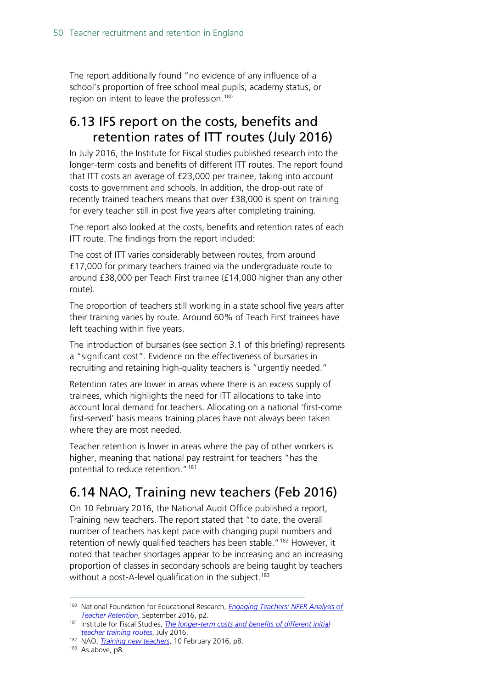The report additionally found "no evidence of any influence of a school's proportion of free school meal pupils, academy status, or region on intent to leave the profession.<sup>[180](#page-49-2)</sup>

### <span id="page-49-0"></span>6.13 IFS report on the costs, benefits and retention rates of ITT routes (July 2016)

In July 2016, the Institute for Fiscal studies published research into the longer-term costs and benefits of different ITT routes. The report found that ITT costs an average of £23,000 per trainee, taking into account costs to government and schools. In addition, the drop-out rate of recently trained teachers means that over £38,000 is spent on training for every teacher still in post five years after completing training.

The report also looked at the costs, benefits and retention rates of each ITT route. The findings from the report included:

The cost of ITT varies considerably between routes, from around £17,000 for primary teachers trained via the undergraduate route to around £38,000 per Teach First trainee (£14,000 higher than any other route).

The proportion of teachers still working in a state school five years after their training varies by route. Around 60% of Teach First trainees have left teaching within five years.

The introduction of bursaries (see section 3.1 of this briefing) represents a "significant cost". Evidence on the effectiveness of bursaries in recruiting and retaining high-quality teachers is "urgently needed."

Retention rates are lower in areas where there is an excess supply of trainees, which highlights the need for ITT allocations to take into account local demand for teachers. Allocating on a national 'first-come first-served' basis means training places have not always been taken where they are most needed.

Teacher retention is lower in areas where the pay of other workers is higher, meaning that national pay restraint for teachers "has the potential to reduce retention."<sup>[181](#page-49-3)</sup>

### <span id="page-49-1"></span>6.14 NAO, Training new teachers (Feb 2016)

On 10 February 2016, the National Audit Office published a report, Training new teachers. The report stated that "to date, the overall number of teachers has kept pace with changing pupil numbers and retention of newly qualified teachers has been stable."<sup>[182](#page-49-4)</sup> However, it noted that teacher shortages appear to be increasing and an increasing proportion of classes in secondary schools are being taught by teachers without a post-A-level qualification in the subject.<sup>[183](#page-49-5)</sup>

<span id="page-49-2"></span> <sup>180</sup> National Foundation for Educational Research, *[Engaging Teachers: NFER Analysis of](https://www.nfer.ac.uk/publications/LFSB01/LFSB01.pdf)  [Teacher Retention](https://www.nfer.ac.uk/publications/LFSB01/LFSB01.pdf)*, September 2016, p2.

<span id="page-49-3"></span><sup>181</sup> Institute for Fiscal Studies, *[The longer-term costs and benefits of different initial](https://www.ifs.org.uk/publications/8368)  [teacher training routes](https://www.ifs.org.uk/publications/8368)*, July 2016.

<span id="page-49-4"></span><sup>182</sup> NAO, *[Training new teachers](https://www.nao.org.uk/wp-content/uploads/2016/02/Training-new-teachers.pdf)*, 10 February 2016, p8.

<span id="page-49-5"></span><sup>&</sup>lt;sup>183</sup> As above, p8.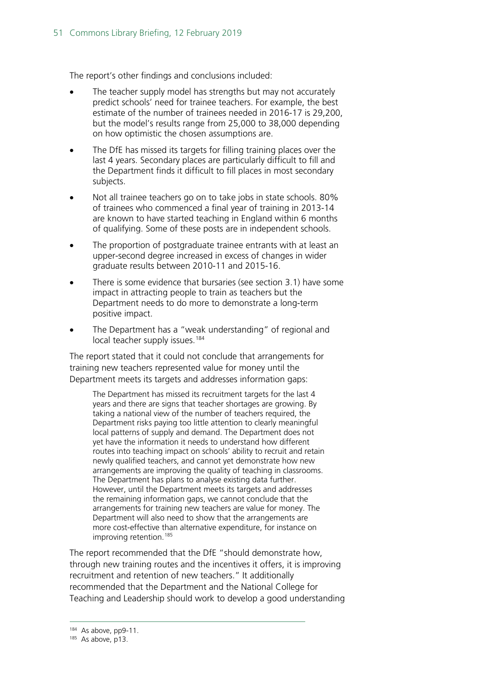The report's other findings and conclusions included:

- The teacher supply model has strengths but may not accurately predict schools' need for trainee teachers. For example, the best estimate of the number of trainees needed in 2016-17 is 29,200, but the model's results range from 25,000 to 38,000 depending on how optimistic the chosen assumptions are.
- The DfE has missed its targets for filling training places over the last 4 years. Secondary places are particularly difficult to fill and the Department finds it difficult to fill places in most secondary subjects.
- Not all trainee teachers go on to take jobs in state schools. 80% of trainees who commenced a final year of training in 2013-14 are known to have started teaching in England within 6 months of qualifying. Some of these posts are in independent schools.
- The proportion of postgraduate trainee entrants with at least an upper-second degree increased in excess of changes in wider graduate results between 2010-11 and 2015-16.
- There is some evidence that bursaries (see section 3.1) have some impact in attracting people to train as teachers but the Department needs to do more to demonstrate a long-term positive impact.
- The Department has a "weak understanding" of regional and local teacher supply issues.<sup>[184](#page-50-0)</sup>

The report stated that it could not conclude that arrangements for training new teachers represented value for money until the Department meets its targets and addresses information gaps:

The Department has missed its recruitment targets for the last 4 years and there are signs that teacher shortages are growing. By taking a national view of the number of teachers required, the Department risks paying too little attention to clearly meaningful local patterns of supply and demand. The Department does not yet have the information it needs to understand how different routes into teaching impact on schools' ability to recruit and retain newly qualified teachers, and cannot yet demonstrate how new arrangements are improving the quality of teaching in classrooms. The Department has plans to analyse existing data further. However, until the Department meets its targets and addresses the remaining information gaps, we cannot conclude that the arrangements for training new teachers are value for money. The Department will also need to show that the arrangements are more cost-effective than alternative expenditure, for instance on improving retention.<sup>[185](#page-50-1)</sup>

The report recommended that the DfE "should demonstrate how, through new training routes and the incentives it offers, it is improving recruitment and retention of new teachers." It additionally recommended that the Department and the National College for Teaching and Leadership should work to develop a good understanding

<span id="page-50-1"></span><span id="page-50-0"></span><sup>184</sup> As above, pp9-11.

 $185$  As above, p13.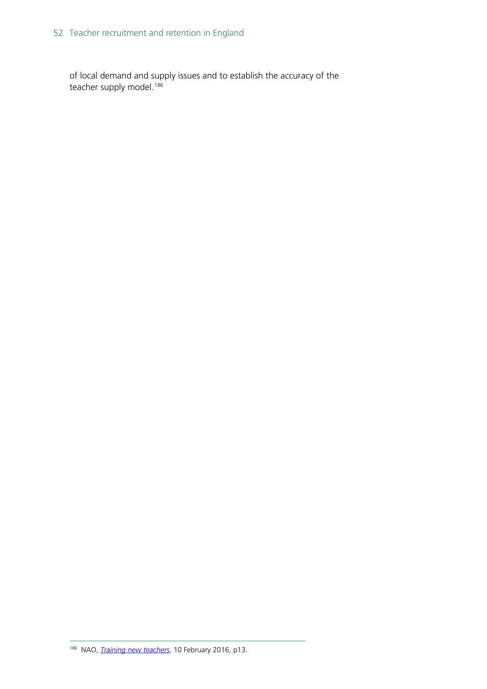of local demand and supply issues and to establish the accuracy of the teacher supply model.<sup>[186](#page-51-0)</sup>

<span id="page-51-0"></span> <sup>186</sup> NAO, *[Training new teachers](https://www.nao.org.uk/wp-content/uploads/2016/02/Training-new-teachers.pdf)*, 10 February 2016, p13.